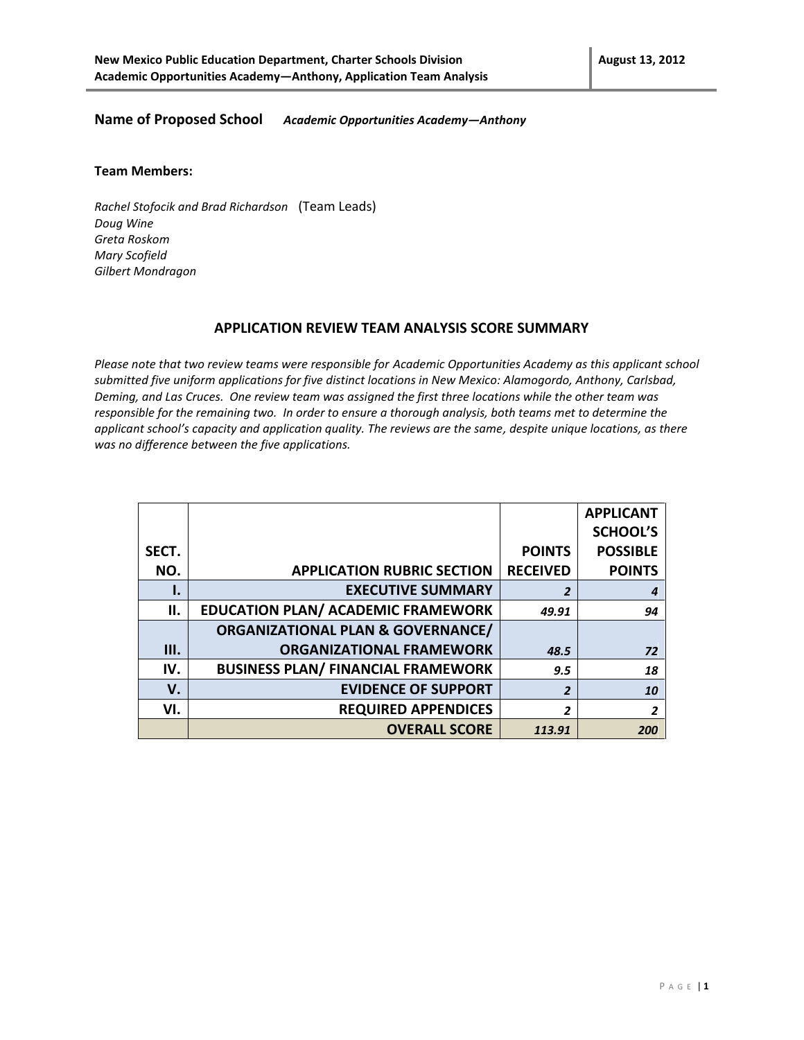#### **Name of Proposed School** *Academic Opportunities Academy—Anthony*

#### **Team Members:**

*Rachel Stofocik and Brad Richardson* (Team Leads) *Doug Wine Greta Roskom Mary Scofield Gilbert Mondragon*

#### **APPLICATION REVIEW TEAM ANALYSIS SCORE SUMMARY**

*Please note that two review teams were responsible for Academic Opportunities Academy as this applicant school submitted five uniform applications for five distinct locations in New Mexico: Alamogordo, Anthony, Carlsbad, Deming, and Las Cruces. One review team was assigned the first three locations while the other team was responsible for the remaining two. In order to ensure a thorough analysis, both teams met to determine the applicant school's capacity and application quality. The reviews are the same, despite unique locations, as there was no difference between the five applications.*

|       |                                              |                 | <b>APPLICANT</b> |
|-------|----------------------------------------------|-----------------|------------------|
|       |                                              |                 | <b>SCHOOL'S</b>  |
| SECT. |                                              | <b>POINTS</b>   | <b>POSSIBLE</b>  |
| NO.   | <b>APPLICATION RUBRIC SECTION</b>            | <b>RECEIVED</b> | <b>POINTS</b>    |
| ι.    | <b>EXECUTIVE SUMMARY</b>                     | $\overline{2}$  | 4                |
| ΙΙ.   | <b>EDUCATION PLAN/ ACADEMIC FRAMEWORK</b>    | 49.91           | 94               |
|       | <b>ORGANIZATIONAL PLAN &amp; GOVERNANCE/</b> |                 |                  |
| Ш.    | <b>ORGANIZATIONAL FRAMEWORK</b>              | 48.5            | 72               |
| IV.   | <b>BUSINESS PLAN/ FINANCIAL FRAMEWORK</b>    | 9.5             | 18               |
| V.    | <b>EVIDENCE OF SUPPORT</b>                   | $\overline{2}$  | 10               |
| VI.   | <b>REQUIRED APPENDICES</b>                   | $\overline{2}$  | $\overline{2}$   |
|       | <b>OVERALL SCORE</b>                         | 113.91          | 200              |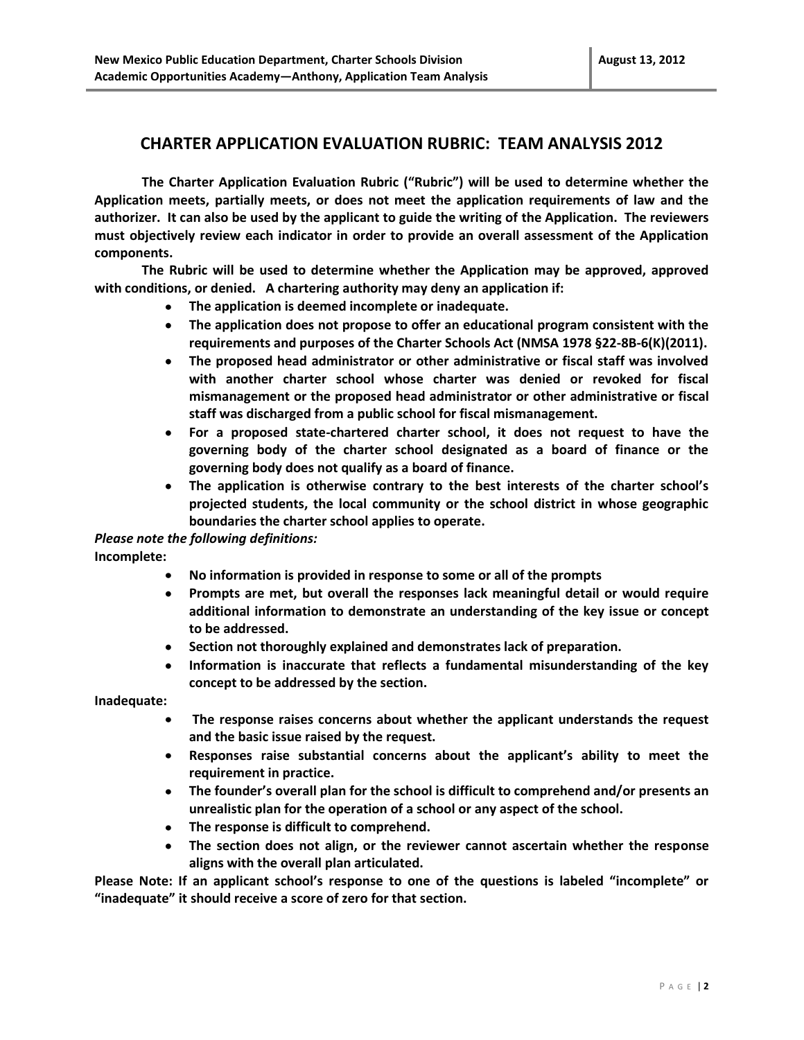#### **CHARTER APPLICATION EVALUATION RUBRIC: TEAM ANALYSIS 2012**

**The Charter Application Evaluation Rubric ("Rubric") will be used to determine whether the Application meets, partially meets, or does not meet the application requirements of law and the authorizer. It can also be used by the applicant to guide the writing of the Application. The reviewers must objectively review each indicator in order to provide an overall assessment of the Application components.** 

**The Rubric will be used to determine whether the Application may be approved, approved with conditions, or denied. A chartering authority may deny an application if:** 

- **The application is deemed incomplete or inadequate.**
- **The application does not propose to offer an educational program consistent with the requirements and purposes of the Charter Schools Act (NMSA 1978 §22-8B-6(K)(2011).**
- **The proposed head administrator or other administrative or fiscal staff was involved with another charter school whose charter was denied or revoked for fiscal mismanagement or the proposed head administrator or other administrative or fiscal staff was discharged from a public school for fiscal mismanagement.**
- **For a proposed state-chartered charter school, it does not request to have the**   $\bullet$ **governing body of the charter school designated as a board of finance or the governing body does not qualify as a board of finance.**
- $\bullet$ **The application is otherwise contrary to the best interests of the charter school's projected students, the local community or the school district in whose geographic boundaries the charter school applies to operate.**

#### *Please note the following definitions:*

**Incomplete:** 

- **No information is provided in response to some or all of the prompts**
- **Prompts are met, but overall the responses lack meaningful detail or would require**   $\bullet$ **additional information to demonstrate an understanding of the key issue or concept to be addressed.**
- $\bullet$ **Section not thoroughly explained and demonstrates lack of preparation.**
- **Information is inaccurate that reflects a fundamental misunderstanding of the key concept to be addressed by the section.**

**Inadequate:** 

- **The response raises concerns about whether the applicant understands the request**   $\bullet$ **and the basic issue raised by the request.**
- $\bullet$ **Responses raise substantial concerns about the applicant's ability to meet the requirement in practice.**
- **The founder's overall plan for the school is difficult to comprehend and/or presents an unrealistic plan for the operation of a school or any aspect of the school.**
- **The response is difficult to comprehend.**
- **The section does not align, or the reviewer cannot ascertain whether the response aligns with the overall plan articulated.**

**Please Note: If an applicant school's response to one of the questions is labeled "incomplete" or "inadequate" it should receive a score of zero for that section.**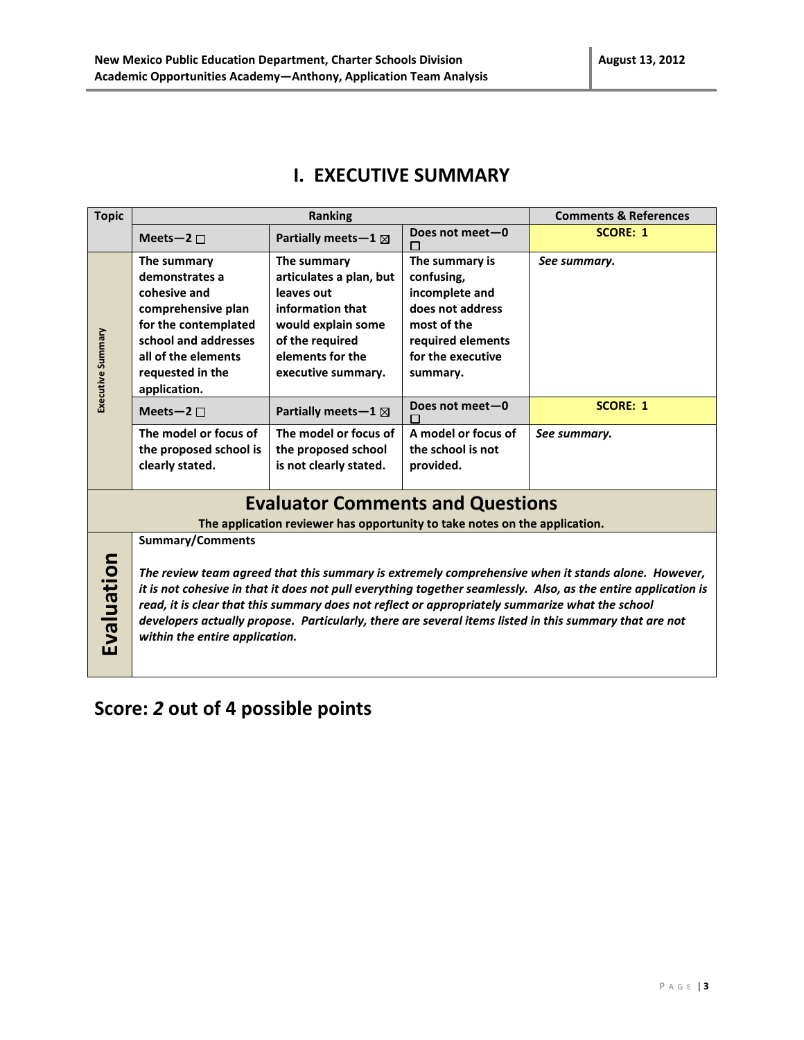### **I. EXECUTIVE SUMMARY**

| <b>Topic</b>      | Ranking                                                                                                                                                                                                                                                                                                                                                                                                                                                                                        |                                                                                                                                                             | <b>Comments &amp; References</b>                                                                                                        |                 |
|-------------------|------------------------------------------------------------------------------------------------------------------------------------------------------------------------------------------------------------------------------------------------------------------------------------------------------------------------------------------------------------------------------------------------------------------------------------------------------------------------------------------------|-------------------------------------------------------------------------------------------------------------------------------------------------------------|-----------------------------------------------------------------------------------------------------------------------------------------|-----------------|
|                   | Meets-2 $\square$                                                                                                                                                                                                                                                                                                                                                                                                                                                                              | Partially meets - $1 \boxtimes$                                                                                                                             | Does not meet-0                                                                                                                         | <b>SCORE: 1</b> |
| Executive Summary | The summary<br>demonstrates a<br>cohesive and<br>comprehensive plan<br>for the contemplated<br>school and addresses<br>all of the elements<br>requested in the<br>application.                                                                                                                                                                                                                                                                                                                 | The summary<br>articulates a plan, but<br>leaves out<br>information that<br>would explain some<br>of the required<br>elements for the<br>executive summary. | The summary is<br>confusing,<br>incomplete and<br>does not address<br>most of the<br>required elements<br>for the executive<br>summary. | See summary.    |
|                   | Meets-2 $\square$                                                                                                                                                                                                                                                                                                                                                                                                                                                                              | Partially meets-1 $\boxtimes$                                                                                                                               | Does not meet-0                                                                                                                         | <b>SCORE: 1</b> |
|                   | The model or focus of<br>the proposed school is<br>clearly stated.                                                                                                                                                                                                                                                                                                                                                                                                                             | The model or focus of<br>the proposed school<br>is not clearly stated.                                                                                      | A model or focus of<br>the school is not<br>provided.                                                                                   | See summary.    |
|                   |                                                                                                                                                                                                                                                                                                                                                                                                                                                                                                | <b>Evaluator Comments and Questions</b><br>The application reviewer has opportunity to take notes on the application.                                       |                                                                                                                                         |                 |
| Evaluation        | <b>Summary/Comments</b><br>The review team agreed that this summary is extremely comprehensive when it stands alone. However,<br>it is not cohesive in that it does not pull everything together seamlessly. Also, as the entire application is<br>read, it is clear that this summary does not reflect or appropriately summarize what the school<br>developers actually propose. Particularly, there are several items listed in this summary that are not<br>within the entire application. |                                                                                                                                                             |                                                                                                                                         |                 |

## **Score:** *2* **out of 4 possible points**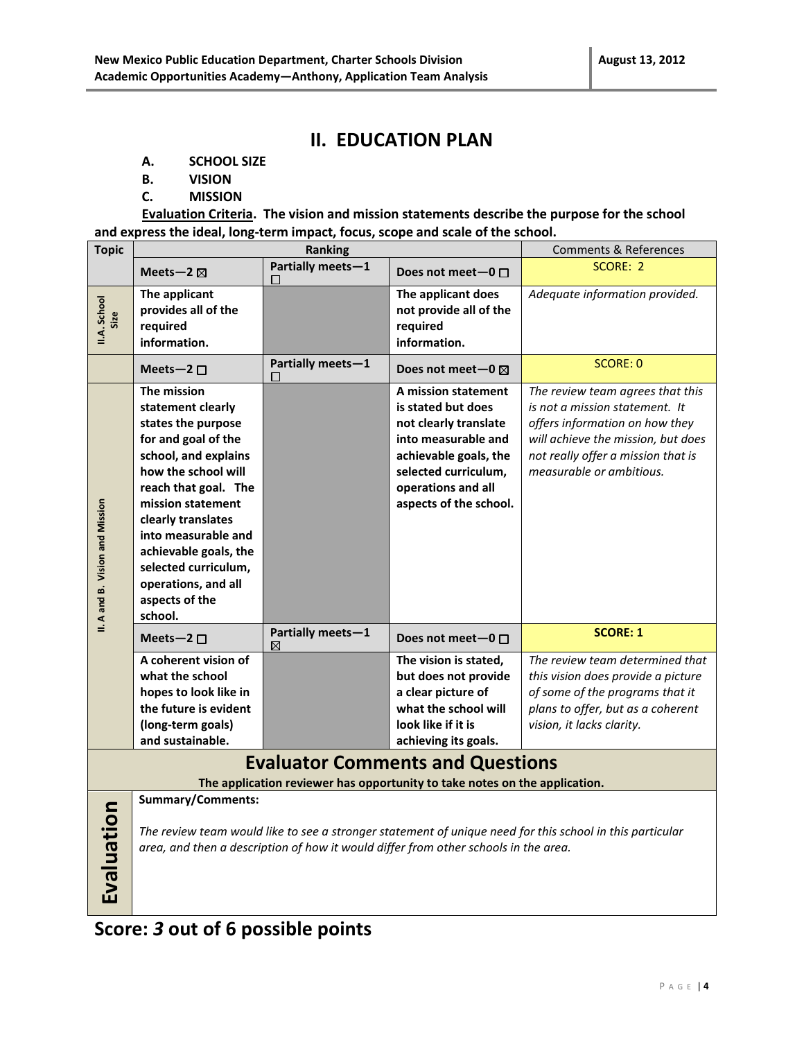### **II. EDUCATION PLAN**

- **A. SCHOOL SIZE**
- **B. VISION**
- **C. MISSION**

**Evaluation Criteria. The vision and mission statements describe the purpose for the school and express the ideal, long-term impact, focus, scope and scale of the school.**

| <b>Topic</b>                    | <b>Ranking</b>        |                             | <b>Comments &amp; References</b>                                                    |                                                                                                          |
|---------------------------------|-----------------------|-----------------------------|-------------------------------------------------------------------------------------|----------------------------------------------------------------------------------------------------------|
|                                 | Meets-2 $\boxtimes$   | Partially meets-1<br>⊔      | Does not meet-0 $\Box$                                                              | SCORE: 2                                                                                                 |
|                                 | The applicant         |                             | The applicant does                                                                  | Adequate information provided.                                                                           |
| Size                            | provides all of the   |                             | not provide all of the                                                              |                                                                                                          |
| II.A. School                    | required              |                             | required                                                                            |                                                                                                          |
|                                 | information.          |                             | information.                                                                        |                                                                                                          |
|                                 | Meets-2 $\square$     | Partially meets-1<br>$\Box$ | Does not meet $-0 \boxtimes$                                                        | <b>SCORE: 0</b>                                                                                          |
|                                 | The mission           |                             | A mission statement                                                                 | The review team agrees that this                                                                         |
|                                 | statement clearly     |                             | is stated but does                                                                  | is not a mission statement. It                                                                           |
|                                 | states the purpose    |                             | not clearly translate                                                               | offers information on how they                                                                           |
|                                 | for and goal of the   |                             | into measurable and                                                                 | will achieve the mission, but does                                                                       |
|                                 | school, and explains  |                             | achievable goals, the                                                               | not really offer a mission that is                                                                       |
|                                 | how the school will   |                             | selected curriculum,                                                                | measurable or ambitious.                                                                                 |
|                                 | reach that goal. The  |                             | operations and all                                                                  |                                                                                                          |
|                                 | mission statement     |                             | aspects of the school.                                                              |                                                                                                          |
|                                 | clearly translates    |                             |                                                                                     |                                                                                                          |
|                                 | into measurable and   |                             |                                                                                     |                                                                                                          |
|                                 | achievable goals, the |                             |                                                                                     |                                                                                                          |
|                                 | selected curriculum,  |                             |                                                                                     |                                                                                                          |
|                                 | operations, and all   |                             |                                                                                     |                                                                                                          |
|                                 | aspects of the        |                             |                                                                                     |                                                                                                          |
| II. A and B. Vision and Mission | school.               |                             |                                                                                     |                                                                                                          |
|                                 | Meets-2 $\square$     | Partially meets-1<br>⊠      | Does not meet-0 $\Box$                                                              | <b>SCORE: 1</b>                                                                                          |
|                                 | A coherent vision of  |                             | The vision is stated,                                                               | The review team determined that                                                                          |
|                                 | what the school       |                             | but does not provide                                                                | this vision does provide a picture                                                                       |
|                                 | hopes to look like in |                             | a clear picture of                                                                  | of some of the programs that it                                                                          |
|                                 | the future is evident |                             | what the school will                                                                | plans to offer, but as a coherent                                                                        |
|                                 | (long-term goals)     |                             | look like if it is                                                                  | vision, it lacks clarity.                                                                                |
|                                 | and sustainable.      |                             | achieving its goals.                                                                |                                                                                                          |
|                                 |                       |                             | <b>Evaluator Comments and Questions</b>                                             |                                                                                                          |
|                                 |                       |                             | The application reviewer has opportunity to take notes on the application.          |                                                                                                          |
|                                 | Summary/Comments:     |                             |                                                                                     |                                                                                                          |
| Evaluation                      |                       |                             |                                                                                     |                                                                                                          |
|                                 |                       |                             |                                                                                     | The review team would like to see a stronger statement of unique need for this school in this particular |
|                                 |                       |                             | area, and then a description of how it would differ from other schools in the area. |                                                                                                          |
|                                 |                       |                             |                                                                                     |                                                                                                          |
|                                 |                       |                             |                                                                                     |                                                                                                          |
|                                 |                       |                             |                                                                                     |                                                                                                          |
|                                 |                       |                             |                                                                                     |                                                                                                          |

### **Score:** *3* **out of 6 possible points**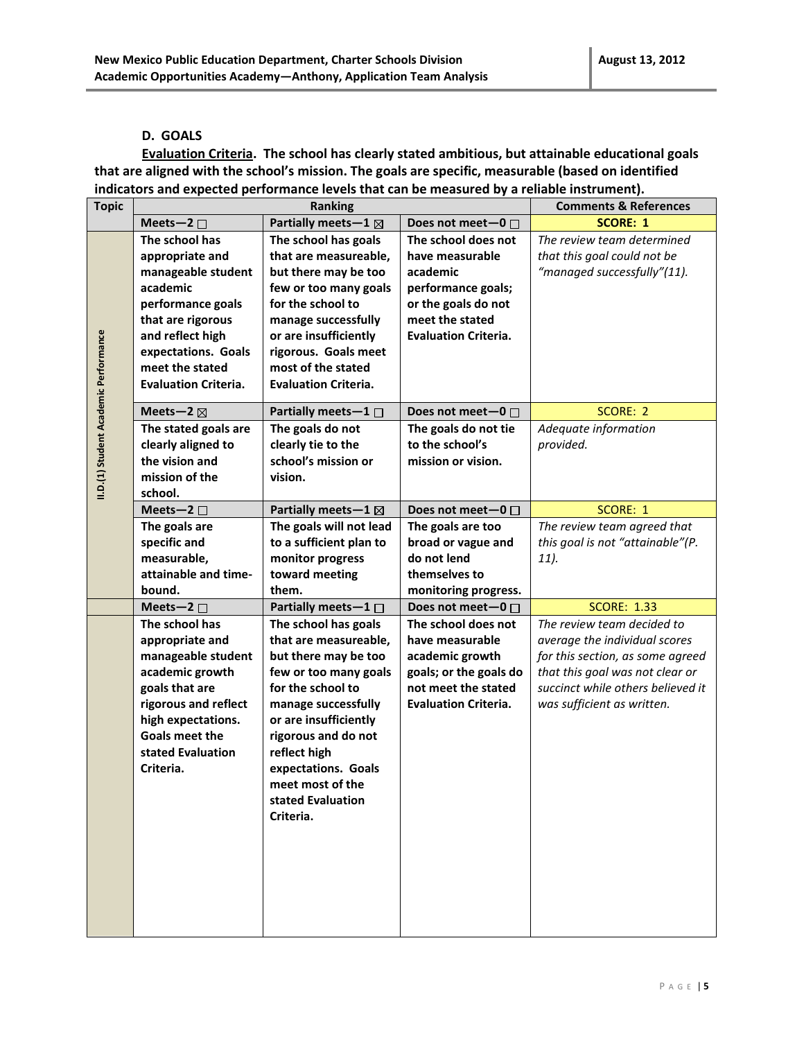#### **D. GOALS**

**Evaluation Criteria. The school has clearly stated ambitious, but attainable educational goals that are aligned with the school's mission. The goals are specific, measurable (based on identified indicators and expected performance levels that can be measured by a reliable instrument).** 

| <b>Topic</b>                          | <b>Ranking</b>                                                                                                                                                                                                                                                                                                      |                                                                                                                                                                                                                                                                                                                                                                | <b>Comments &amp; References</b>                                                                                                                                                                                                                |                                                                                                                                                                                                       |
|---------------------------------------|---------------------------------------------------------------------------------------------------------------------------------------------------------------------------------------------------------------------------------------------------------------------------------------------------------------------|----------------------------------------------------------------------------------------------------------------------------------------------------------------------------------------------------------------------------------------------------------------------------------------------------------------------------------------------------------------|-------------------------------------------------------------------------------------------------------------------------------------------------------------------------------------------------------------------------------------------------|-------------------------------------------------------------------------------------------------------------------------------------------------------------------------------------------------------|
|                                       | Meets-2 $\square$                                                                                                                                                                                                                                                                                                   | Partially meets-1 ⊠                                                                                                                                                                                                                                                                                                                                            | Does not meet-0 □                                                                                                                                                                                                                               | <b>SCORE: 1</b>                                                                                                                                                                                       |
| II.D.(1) Student Academic Performance | The school has<br>appropriate and<br>manageable student<br>academic<br>performance goals<br>that are rigorous<br>and reflect high<br>expectations. Goals<br>meet the stated<br><b>Evaluation Criteria.</b><br>Meets-2 $\boxtimes$<br>The stated goals are<br>clearly aligned to<br>the vision and<br>mission of the | The school has goals<br>that are measureable,<br>but there may be too<br>few or too many goals<br>for the school to<br>manage successfully<br>or are insufficiently<br>rigorous. Goals meet<br>most of the stated<br><b>Evaluation Criteria.</b><br>Partially meets $-1$ $\square$<br>The goals do not<br>clearly tie to the<br>school's mission or<br>vision. | The school does not<br>have measurable<br>academic<br>performance goals;<br>or the goals do not<br>meet the stated<br><b>Evaluation Criteria.</b><br>Does not meet-0 $\square$<br>The goals do not tie<br>to the school's<br>mission or vision. | The review team determined<br>that this goal could not be<br>"managed successfully"(11).<br>SCORE: 2<br>Adequate information<br>provided.                                                             |
|                                       | school.                                                                                                                                                                                                                                                                                                             |                                                                                                                                                                                                                                                                                                                                                                |                                                                                                                                                                                                                                                 |                                                                                                                                                                                                       |
|                                       | Meets-2 $\square$                                                                                                                                                                                                                                                                                                   | Partially meets $-1$ $\boxtimes$                                                                                                                                                                                                                                                                                                                               | Does not meet-0 $\square$                                                                                                                                                                                                                       | SCORE: 1                                                                                                                                                                                              |
|                                       | The goals are<br>specific and<br>measurable,<br>attainable and time-<br>bound.                                                                                                                                                                                                                                      | The goals will not lead<br>to a sufficient plan to<br>monitor progress<br>toward meeting<br>them.                                                                                                                                                                                                                                                              | The goals are too<br>broad or vague and<br>do not lend<br>themselves to<br>monitoring progress.                                                                                                                                                 | The review team agreed that<br>this goal is not "attainable"(P.<br>11).                                                                                                                               |
|                                       | Meets-2 $\square$                                                                                                                                                                                                                                                                                                   | Partially meets-1 □                                                                                                                                                                                                                                                                                                                                            | Does not meet-0 □                                                                                                                                                                                                                               | <b>SCORE: 1.33</b>                                                                                                                                                                                    |
|                                       | The school has<br>appropriate and<br>manageable student<br>academic growth<br>goals that are<br>rigorous and reflect<br>high expectations.<br><b>Goals meet the</b><br>stated Evaluation<br>Criteria.                                                                                                               | The school has goals<br>that are measureable,<br>but there may be too<br>few or too many goals<br>for the school to<br>manage successfully<br>or are insufficiently<br>rigorous and do not<br>reflect high<br>expectations. Goals<br>meet most of the<br>stated Evaluation<br>Criteria.                                                                        | The school does not<br>have measurable<br>academic growth<br>goals; or the goals do<br>not meet the stated<br><b>Evaluation Criteria.</b>                                                                                                       | The review team decided to<br>average the individual scores<br>for this section, as some agreed<br>that this goal was not clear or<br>succinct while others believed it<br>was sufficient as written. |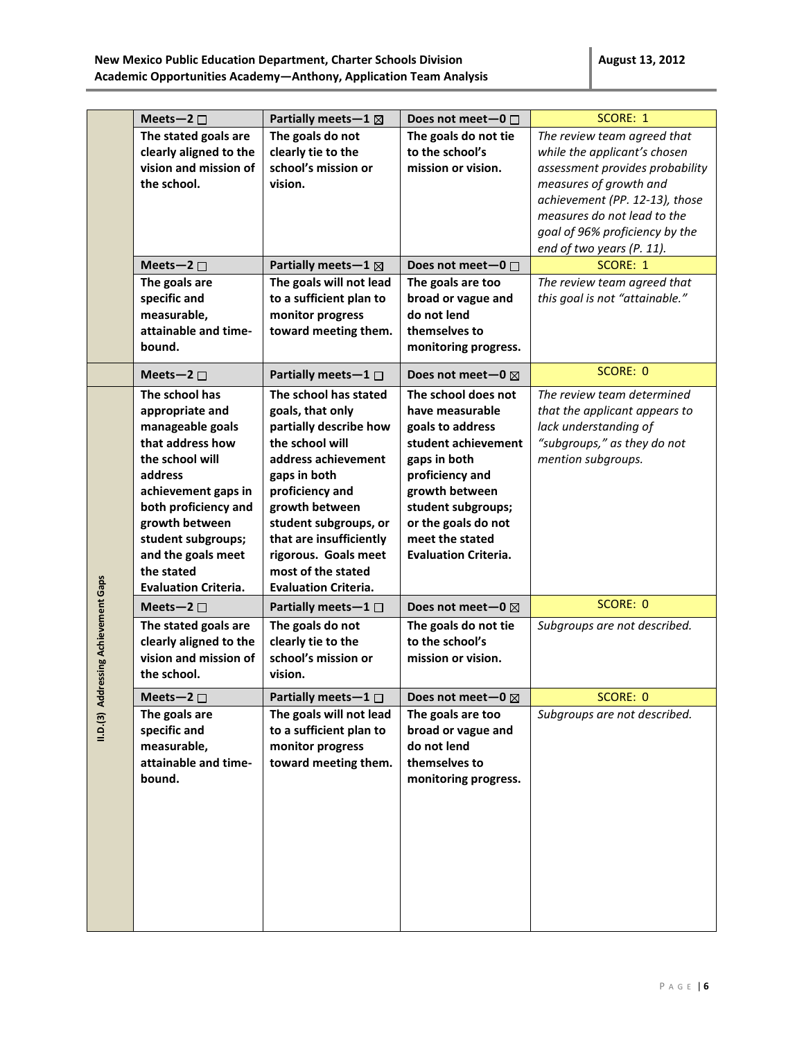|                                      | Meets-2 $\square$                                                                                                                                                                                                                                                 | Partially meets - $1 \boxtimes$                                                                                                                                                                                                                                                                     | Does not meet-0 $\Box$                                                                                                                                                                                                                | SCORE: 1                                                                                                                                                                                                                                                                                            |
|--------------------------------------|-------------------------------------------------------------------------------------------------------------------------------------------------------------------------------------------------------------------------------------------------------------------|-----------------------------------------------------------------------------------------------------------------------------------------------------------------------------------------------------------------------------------------------------------------------------------------------------|---------------------------------------------------------------------------------------------------------------------------------------------------------------------------------------------------------------------------------------|-----------------------------------------------------------------------------------------------------------------------------------------------------------------------------------------------------------------------------------------------------------------------------------------------------|
|                                      | The stated goals are<br>clearly aligned to the<br>vision and mission of<br>the school.<br>Meets-2 $\square$<br>The goals are                                                                                                                                      | The goals do not<br>clearly tie to the<br>school's mission or<br>vision.<br>Partially meets-1 ⊠<br>The goals will not lead                                                                                                                                                                          | The goals do not tie<br>to the school's<br>mission or vision.<br>Does not meet-0 $\Box$<br>The goals are too                                                                                                                          | The review team agreed that<br>while the applicant's chosen<br>assessment provides probability<br>measures of growth and<br>achievement (PP. 12-13), those<br>measures do not lead to the<br>goal of 96% proficiency by the<br>end of two years (P. 11).<br>SCORE: 1<br>The review team agreed that |
|                                      | specific and<br>measurable,<br>attainable and time-<br>bound.                                                                                                                                                                                                     | to a sufficient plan to<br>monitor progress<br>toward meeting them.                                                                                                                                                                                                                                 | broad or vague and<br>do not lend<br>themselves to<br>monitoring progress.                                                                                                                                                            | this goal is not "attainable."                                                                                                                                                                                                                                                                      |
|                                      | Meets-2 $\square$                                                                                                                                                                                                                                                 | Partially meets $-1$ $\Box$                                                                                                                                                                                                                                                                         | Does not meet-0 $\boxtimes$                                                                                                                                                                                                           | SCORE: 0                                                                                                                                                                                                                                                                                            |
|                                      | The school has<br>appropriate and<br>manageable goals<br>that address how<br>the school will<br>address<br>achievement gaps in<br>both proficiency and<br>growth between<br>student subgroups;<br>and the goals meet<br>the stated<br><b>Evaluation Criteria.</b> | The school has stated<br>goals, that only<br>partially describe how<br>the school will<br>address achievement<br>gaps in both<br>proficiency and<br>growth between<br>student subgroups, or<br>that are insufficiently<br>rigorous. Goals meet<br>most of the stated<br><b>Evaluation Criteria.</b> | The school does not<br>have measurable<br>goals to address<br>student achievement<br>gaps in both<br>proficiency and<br>growth between<br>student subgroups;<br>or the goals do not<br>meet the stated<br><b>Evaluation Criteria.</b> | The review team determined<br>that the applicant appears to<br>lack understanding of<br>"subgroups," as they do not<br>mention subgroups.                                                                                                                                                           |
|                                      | Meets-2 $\square$                                                                                                                                                                                                                                                 | Partially meets $-1$ $\Box$                                                                                                                                                                                                                                                                         | Does not meet-0 $\boxtimes$                                                                                                                                                                                                           | SCORE: 0                                                                                                                                                                                                                                                                                            |
| II.D.(3) Addressing Achievement Gaps | The stated goals are<br>clearly aligned to the<br>vision and mission of<br>the school.                                                                                                                                                                            | The goals do not<br>clearly tie to the<br>school's mission or<br>vision.                                                                                                                                                                                                                            | The goals do not tie<br>to the school's<br>mission or vision.                                                                                                                                                                         | Subgroups are not described.                                                                                                                                                                                                                                                                        |
|                                      | Meets-2 $\square$                                                                                                                                                                                                                                                 | Partially meets-1 □                                                                                                                                                                                                                                                                                 | Does not meet-0 ⊠                                                                                                                                                                                                                     | SCORE: 0                                                                                                                                                                                                                                                                                            |
|                                      | The goals are<br>specific and<br>measurable,<br>attainable and time-<br>bound.                                                                                                                                                                                    | The goals will not lead<br>to a sufficient plan to<br>monitor progress<br>toward meeting them.                                                                                                                                                                                                      | The goals are too<br>broad or vague and<br>do not lend<br>themselves to<br>monitoring progress.                                                                                                                                       | Subgroups are not described.                                                                                                                                                                                                                                                                        |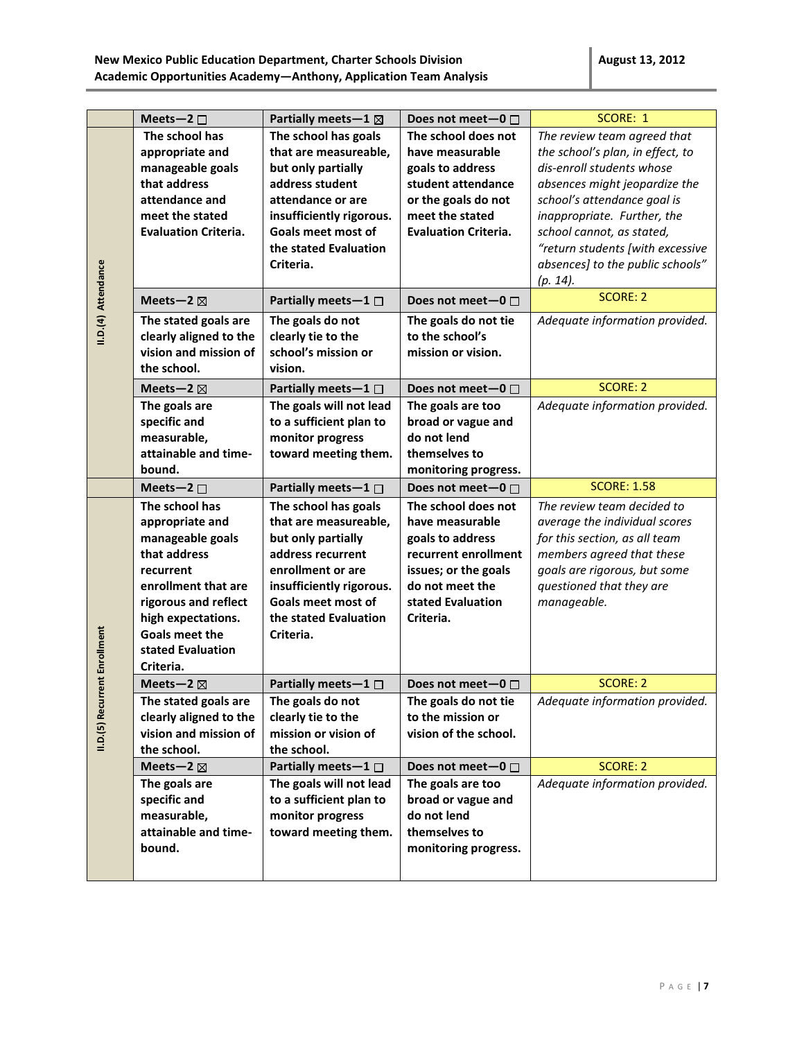|                     | Meets-2 $\square$           | Partially meets - $1 \boxtimes$ | Does not meet-0 $\Box$      | SCORE: 1                         |
|---------------------|-----------------------------|---------------------------------|-----------------------------|----------------------------------|
|                     | The school has              | The school has goals            | The school does not         | The review team agreed that      |
|                     | appropriate and             | that are measureable,           | have measurable             | the school's plan, in effect, to |
|                     | manageable goals            | but only partially              | goals to address            | dis-enroll students whose        |
|                     | that address                | address student                 | student attendance          | absences might jeopardize the    |
|                     | attendance and              | attendance or are               | or the goals do not         | school's attendance goal is      |
|                     | meet the stated             | insufficiently rigorous.        | meet the stated             | inappropriate. Further, the      |
|                     | <b>Evaluation Criteria.</b> | Goals meet most of              | <b>Evaluation Criteria.</b> | school cannot, as stated,        |
|                     |                             | the stated Evaluation           |                             | "return students [with excessive |
|                     |                             | Criteria.                       |                             | absences] to the public schools" |
|                     |                             |                                 |                             | $(p. 14)$ .                      |
| II.D.(4) Attendance | Meets-2 $\boxtimes$         | Partially meets $-1$ $\Box$     | Does not meet-0 $\Box$      | <b>SCORE: 2</b>                  |
|                     | The stated goals are        | The goals do not                | The goals do not tie        | Adequate information provided.   |
|                     | clearly aligned to the      | clearly tie to the              | to the school's             |                                  |
|                     | vision and mission of       | school's mission or             | mission or vision.          |                                  |
|                     | the school.                 | vision.                         |                             |                                  |
|                     | Meets-2 $\boxtimes$         | Partially meets-1 $\Box$        | Does not meet-0 $\Box$      | <b>SCORE: 2</b>                  |
|                     | The goals are               | The goals will not lead         | The goals are too           | Adequate information provided.   |
|                     | specific and                | to a sufficient plan to         | broad or vague and          |                                  |
|                     | measurable,                 | monitor progress                | do not lend                 |                                  |
|                     | attainable and time-        | toward meeting them.            | themselves to               |                                  |
|                     | bound.                      |                                 | monitoring progress.        |                                  |
|                     | Meets-2 $\square$           | Partially meets $-1$ $\Box$     | Does not meet-0 □           | <b>SCORE: 1.58</b>               |
|                     | The school has              | The school has goals            | The school does not         | The review team decided to       |
|                     | appropriate and             | that are measureable,           | have measurable             | average the individual scores    |
|                     | manageable goals            | but only partially              | goals to address            | for this section, as all team    |
|                     | that address                | address recurrent               | recurrent enrollment        | members agreed that these        |
|                     | recurrent                   | enrollment or are               | issues; or the goals        | goals are rigorous, but some     |
|                     | enrollment that are         | insufficiently rigorous.        | do not meet the             | questioned that they are         |
|                     | rigorous and reflect        | Goals meet most of              | stated Evaluation           | manageable.                      |
|                     | high expectations.          | the stated Evaluation           | Criteria.                   |                                  |
|                     | Goals meet the              | Criteria.                       |                             |                                  |
|                     | stated Evaluation           |                                 |                             |                                  |
| ent Enrollment      | Criteria.                   |                                 |                             |                                  |
|                     | Meets-2 $\boxtimes$         | Partially meets $-1$ $\Box$     | Does not meet-0 $\Box$      | <b>SCORE: 2</b>                  |
| II.D.(5) Recur      | The stated goals are        | The goals do not                | The goals do not tie        | Adequate information provided.   |
|                     | clearly aligned to the      | clearly tie to the              | to the mission or           |                                  |
|                     | vision and mission of       | mission or vision of            | vision of the school.       |                                  |
|                     | the school.                 | the school.                     |                             |                                  |
|                     | Meets-2 $\boxtimes$         | Partially meets $-1$ $\Box$     | Does not meet-0 $\Box$      | <b>SCORE: 2</b>                  |
|                     | The goals are               | The goals will not lead         | The goals are too           | Adequate information provided.   |
|                     | specific and                | to a sufficient plan to         | broad or vague and          |                                  |
|                     | measurable,                 | monitor progress                | do not lend                 |                                  |
|                     | attainable and time-        | toward meeting them.            | themselves to               |                                  |
|                     | bound.                      |                                 | monitoring progress.        |                                  |
|                     |                             |                                 |                             |                                  |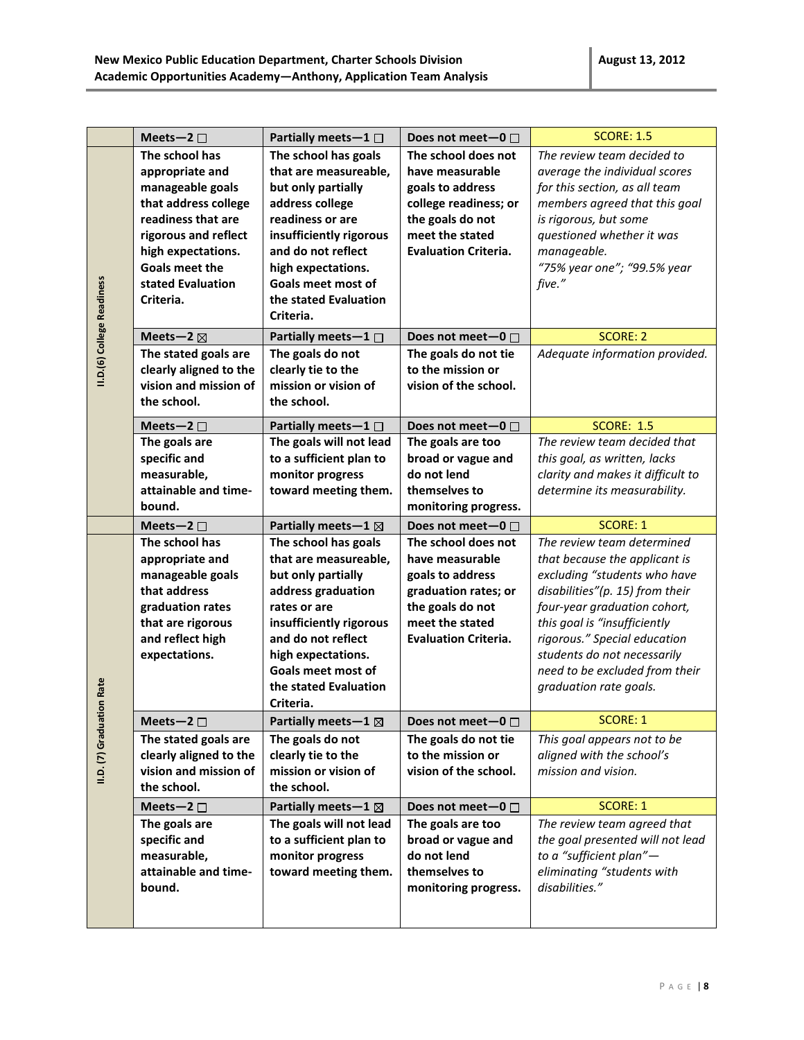|                            | Meets-2 $\square$      | Partially meets $-1$ $\Box$     | Does not meet-0 □           | <b>SCORE: 1.5</b>                 |
|----------------------------|------------------------|---------------------------------|-----------------------------|-----------------------------------|
|                            | The school has         | The school has goals            | The school does not         | The review team decided to        |
|                            | appropriate and        | that are measureable,           | have measurable             | average the individual scores     |
|                            | manageable goals       | but only partially              | goals to address            | for this section, as all team     |
|                            | that address college   | address college                 | college readiness; or       | members agreed that this goal     |
|                            | readiness that are     | readiness or are                | the goals do not            | is rigorous, but some             |
|                            | rigorous and reflect   | insufficiently rigorous         | meet the stated             | questioned whether it was         |
|                            | high expectations.     | and do not reflect              | <b>Evaluation Criteria.</b> | manageable.                       |
|                            | <b>Goals meet the</b>  | high expectations.              |                             | "75% year one"; "99.5% year       |
|                            | stated Evaluation      | Goals meet most of              |                             | five."                            |
|                            | Criteria.              | the stated Evaluation           |                             |                                   |
|                            |                        | Criteria.                       |                             |                                   |
| II.D.(6) College Readiness | Meets-2 $\boxtimes$    | Partially meets $-1$ $\Box$     | Does not meet-0 $\square$   | <b>SCORE: 2</b>                   |
|                            | The stated goals are   | The goals do not                | The goals do not tie        | Adequate information provided.    |
|                            | clearly aligned to the | clearly tie to the              | to the mission or           |                                   |
|                            | vision and mission of  | mission or vision of            | vision of the school.       |                                   |
|                            | the school.            | the school.                     |                             |                                   |
|                            | Meets-2 $\square$      | Partially meets $-1$ $\Box$     | Does not meet-0 □           | <b>SCORE: 1.5</b>                 |
|                            | The goals are          | The goals will not lead         | The goals are too           | The review team decided that      |
|                            | specific and           | to a sufficient plan to         | broad or vague and          | this goal, as written, lacks      |
|                            | measurable,            | monitor progress                | do not lend                 | clarity and makes it difficult to |
|                            | attainable and time-   | toward meeting them.            | themselves to               | determine its measurability.      |
|                            | bound.                 |                                 | monitoring progress.        |                                   |
|                            | Meets-2 $\square$      | Partially meets - $1 \boxtimes$ | Does not meet-0 □           | <b>SCORE: 1</b>                   |
|                            | The school has         | The school has goals            | The school does not         | The review team determined        |
|                            | appropriate and        | that are measureable,           | have measurable             | that because the applicant is     |
|                            | manageable goals       | but only partially              | goals to address            | excluding "students who have      |
|                            | that address           | address graduation              | graduation rates; or        | disabilities"(p. 15) from their   |
|                            | graduation rates       | rates or are                    | the goals do not            | four-year graduation cohort,      |
|                            | that are rigorous      | insufficiently rigorous         | meet the stated             | this goal is "insufficiently      |
|                            | and reflect high       | and do not reflect              | <b>Evaluation Criteria.</b> | rigorous." Special education      |
|                            | expectations.          | high expectations.              |                             | students do not necessarily       |
|                            |                        | Goals meet most of              |                             | need to be excluded from their    |
|                            |                        | the stated Evaluation           |                             | graduation rate goals.            |
| ion Rate                   |                        | Criteria.                       |                             |                                   |
|                            | Meets-2 $\square$      | Partially meets - $1 \boxtimes$ | Does not meet-0 □           | <b>SCORE: 1</b>                   |
|                            | The stated goals are   | The goals do not                | The goals do not tie        | This goal appears not to be       |
|                            | clearly aligned to the | clearly tie to the              | to the mission or           | aligned with the school's         |
| II.D. (7) Graduati         | vision and mission of  | mission or vision of            | vision of the school.       | mission and vision.               |
|                            | the school.            | the school.                     |                             |                                   |
|                            | Meets-2 $\square$      | Partially meets-1 ⊠             | Does not meet-0 □           | <b>SCORE: 1</b>                   |
|                            | The goals are          | The goals will not lead         | The goals are too           | The review team agreed that       |
|                            | specific and           | to a sufficient plan to         | broad or vague and          | the goal presented will not lead  |
|                            | measurable,            | monitor progress                | do not lend                 | to a "sufficient plan"-           |
|                            | attainable and time-   | toward meeting them.            | themselves to               | eliminating "students with        |
|                            | bound.                 |                                 | monitoring progress.        | disabilities."                    |
|                            |                        |                                 |                             |                                   |
|                            |                        |                                 |                             |                                   |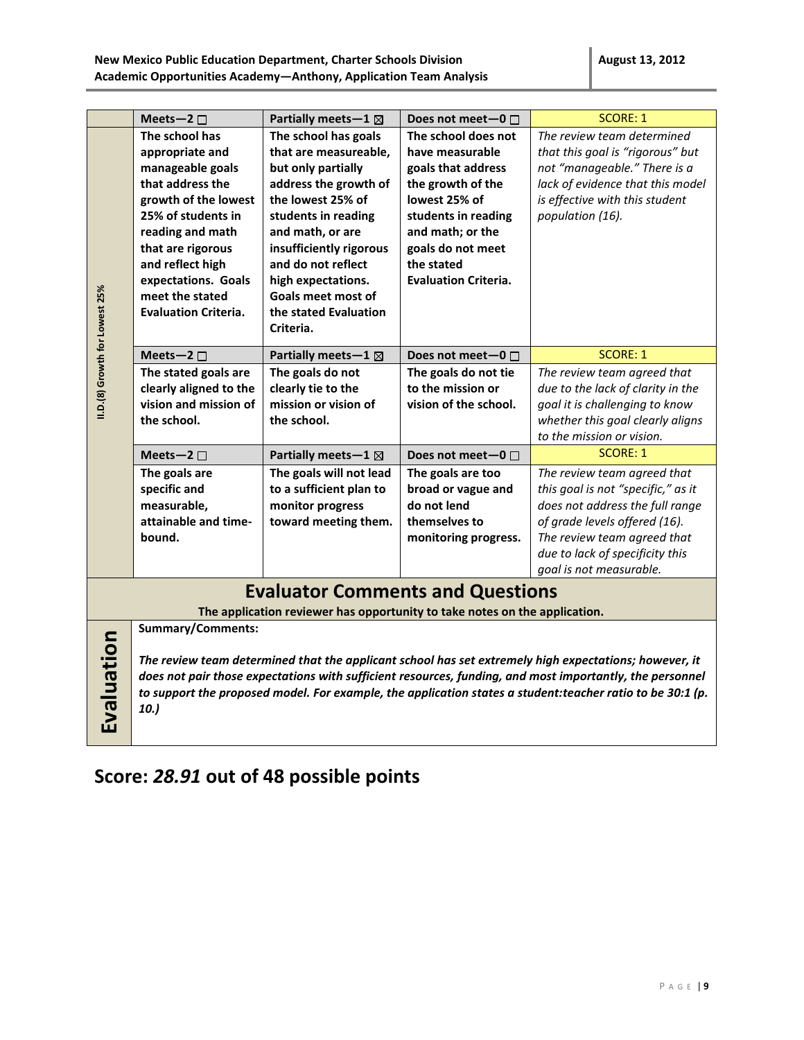|                                                                                                                       | Meets-2 $\square$                                                                                                                                                                                                                                                                                                                                                   | Partially meets - $1 \boxtimes$                                                                                                                                                                                                                                                                 | Does not meet-0 □                                                                                                                                                                                               | <b>SCORE: 1</b>                                                                                                                                                                                                                                                                                |
|-----------------------------------------------------------------------------------------------------------------------|---------------------------------------------------------------------------------------------------------------------------------------------------------------------------------------------------------------------------------------------------------------------------------------------------------------------------------------------------------------------|-------------------------------------------------------------------------------------------------------------------------------------------------------------------------------------------------------------------------------------------------------------------------------------------------|-----------------------------------------------------------------------------------------------------------------------------------------------------------------------------------------------------------------|------------------------------------------------------------------------------------------------------------------------------------------------------------------------------------------------------------------------------------------------------------------------------------------------|
| II.D.(8) Growth for Lowest 25%                                                                                        | The school has<br>appropriate and<br>manageable goals<br>that address the<br>growth of the lowest<br>25% of students in<br>reading and math<br>that are rigorous<br>and reflect high<br>expectations. Goals<br>meet the stated<br><b>Evaluation Criteria.</b>                                                                                                       | The school has goals<br>that are measureable,<br>but only partially<br>address the growth of<br>the lowest 25% of<br>students in reading<br>and math, or are<br>insufficiently rigorous<br>and do not reflect<br>high expectations.<br>Goals meet most of<br>the stated Evaluation<br>Criteria. | The school does not<br>have measurable<br>goals that address<br>the growth of the<br>lowest 25% of<br>students in reading<br>and math; or the<br>goals do not meet<br>the stated<br><b>Evaluation Criteria.</b> | The review team determined<br>that this goal is "rigorous" but<br>not "manageable." There is a<br>lack of evidence that this model<br>is effective with this student<br>population (16).                                                                                                       |
|                                                                                                                       | Meets-2 $\square$                                                                                                                                                                                                                                                                                                                                                   | Partially meets-1 ⊠                                                                                                                                                                                                                                                                             | Does not meet-0 $\Box$                                                                                                                                                                                          | <b>SCORE: 1</b>                                                                                                                                                                                                                                                                                |
|                                                                                                                       | The stated goals are<br>clearly aligned to the<br>vision and mission of<br>the school.<br>Meets-2 $\square$<br>The goals are<br>specific and<br>measurable,                                                                                                                                                                                                         | The goals do not<br>clearly tie to the<br>mission or vision of<br>the school.<br>Partially meets - $1 \boxtimes$<br>The goals will not lead<br>to a sufficient plan to<br>monitor progress                                                                                                      | The goals do not tie<br>to the mission or<br>vision of the school.<br>Does not meet-0 $\Box$<br>The goals are too<br>broad or vague and<br>do not lend                                                          | The review team agreed that<br>due to the lack of clarity in the<br>goal it is challenging to know<br>whether this goal clearly aligns<br>to the mission or vision.<br><b>SCORE: 1</b><br>The review team agreed that<br>this goal is not "specific," as it<br>does not address the full range |
|                                                                                                                       | attainable and time-<br>bound.                                                                                                                                                                                                                                                                                                                                      | toward meeting them.                                                                                                                                                                                                                                                                            | themselves to<br>monitoring progress.                                                                                                                                                                           | of grade levels offered (16).<br>The review team agreed that<br>due to lack of specificity this<br>goal is not measurable.                                                                                                                                                                     |
| <b>Evaluator Comments and Questions</b><br>The application reviewer has opportunity to take notes on the application. |                                                                                                                                                                                                                                                                                                                                                                     |                                                                                                                                                                                                                                                                                                 |                                                                                                                                                                                                                 |                                                                                                                                                                                                                                                                                                |
| Evaluation                                                                                                            | <b>Summary/Comments:</b><br>The review team determined that the applicant school has set extremely high expectations; however, it<br>does not pair those expectations with sufficient resources, funding, and most importantly, the personnel<br>to support the proposed model. For example, the application states a student: teacher ratio to be 30:1 (p.<br>10.) |                                                                                                                                                                                                                                                                                                 |                                                                                                                                                                                                                 |                                                                                                                                                                                                                                                                                                |

## **Score:** *28.91* **out of 48 possible points**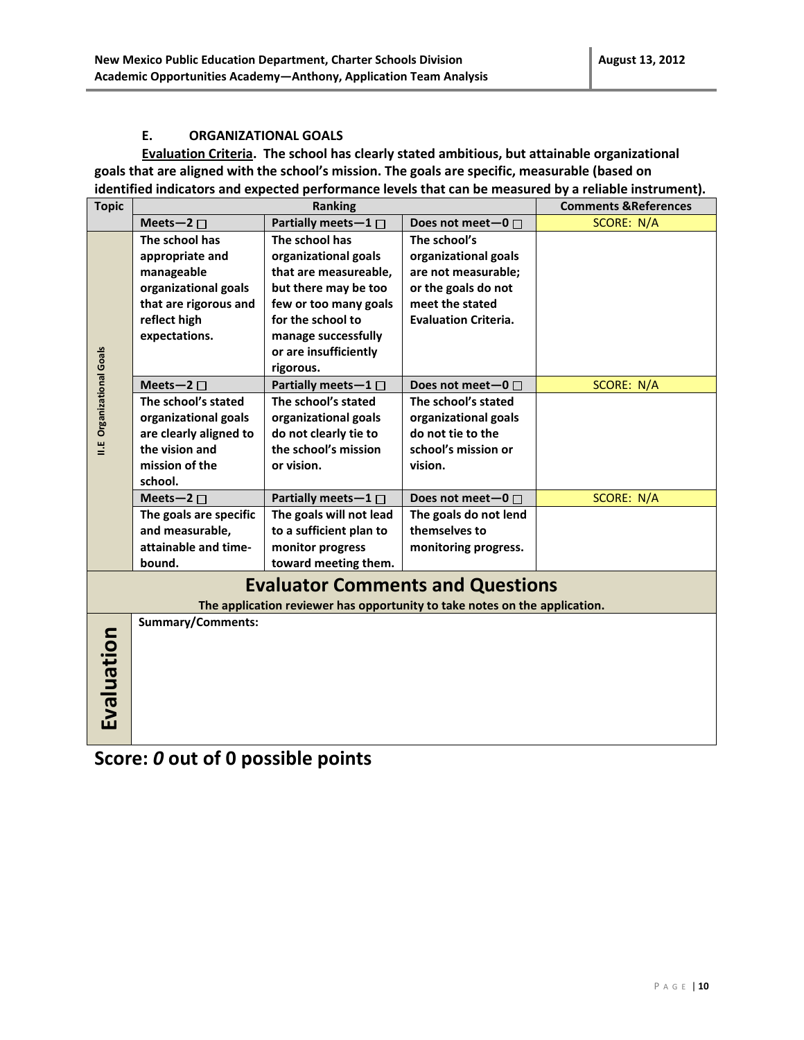#### **E. ORGANIZATIONAL GOALS**

**Evaluation Criteria. The school has clearly stated ambitious, but attainable organizational goals that are aligned with the school's mission. The goals are specific, measurable (based on identified indicators and expected performance levels that can be measured by a reliable instrument).** 

| <b>Topic</b>                     |                          | Ranking                                                                    |                             | <b>Comments &amp;References</b> |
|----------------------------------|--------------------------|----------------------------------------------------------------------------|-----------------------------|---------------------------------|
|                                  | Meets-2 $\square$        | Partially meets-1 $\square$                                                | Does not meet-0 $\square$   | <b>SCORE: N/A</b>               |
|                                  | The school has           | The school has                                                             | The school's                |                                 |
|                                  | appropriate and          | organizational goals                                                       | organizational goals        |                                 |
|                                  | manageable               | that are measureable,                                                      | are not measurable;         |                                 |
|                                  | organizational goals     | but there may be too                                                       | or the goals do not         |                                 |
|                                  | that are rigorous and    | few or too many goals                                                      | meet the stated             |                                 |
|                                  | reflect high             | for the school to                                                          | <b>Evaluation Criteria.</b> |                                 |
|                                  | expectations.            | manage successfully                                                        |                             |                                 |
|                                  |                          | or are insufficiently                                                      |                             |                                 |
|                                  |                          | rigorous.                                                                  |                             |                                 |
|                                  | Meets-2 $\square$        | Partially meets-1 $\square$                                                | Does not meet-0 $\square$   | SCORE: N/A                      |
| <b>II.E</b> Organizational Goals | The school's stated      | The school's stated                                                        | The school's stated         |                                 |
|                                  | organizational goals     | organizational goals                                                       | organizational goals        |                                 |
|                                  | are clearly aligned to   | do not clearly tie to                                                      | do not tie to the           |                                 |
|                                  | the vision and           | the school's mission                                                       | school's mission or         |                                 |
|                                  | mission of the           | or vision.                                                                 | vision.                     |                                 |
|                                  | school.                  |                                                                            |                             |                                 |
|                                  | Meets-2 $\square$        | Partially meets-1 $\Box$                                                   | Does not meet-0 $\square$   | <b>SCORE: N/A</b>               |
|                                  | The goals are specific   | The goals will not lead                                                    | The goals do not lend       |                                 |
|                                  | and measurable,          | to a sufficient plan to                                                    | themselves to               |                                 |
|                                  | attainable and time-     | monitor progress                                                           | monitoring progress.        |                                 |
|                                  | bound.                   | toward meeting them.                                                       |                             |                                 |
|                                  |                          | <b>Evaluator Comments and Questions</b>                                    |                             |                                 |
|                                  |                          | The application reviewer has opportunity to take notes on the application. |                             |                                 |
|                                  | <b>Summary/Comments:</b> |                                                                            |                             |                                 |
|                                  |                          |                                                                            |                             |                                 |
|                                  |                          |                                                                            |                             |                                 |
|                                  |                          |                                                                            |                             |                                 |
|                                  |                          |                                                                            |                             |                                 |
| Evaluation                       |                          |                                                                            |                             |                                 |
|                                  |                          |                                                                            |                             |                                 |
|                                  |                          |                                                                            |                             |                                 |

**Score:** *0* **out of 0 possible points**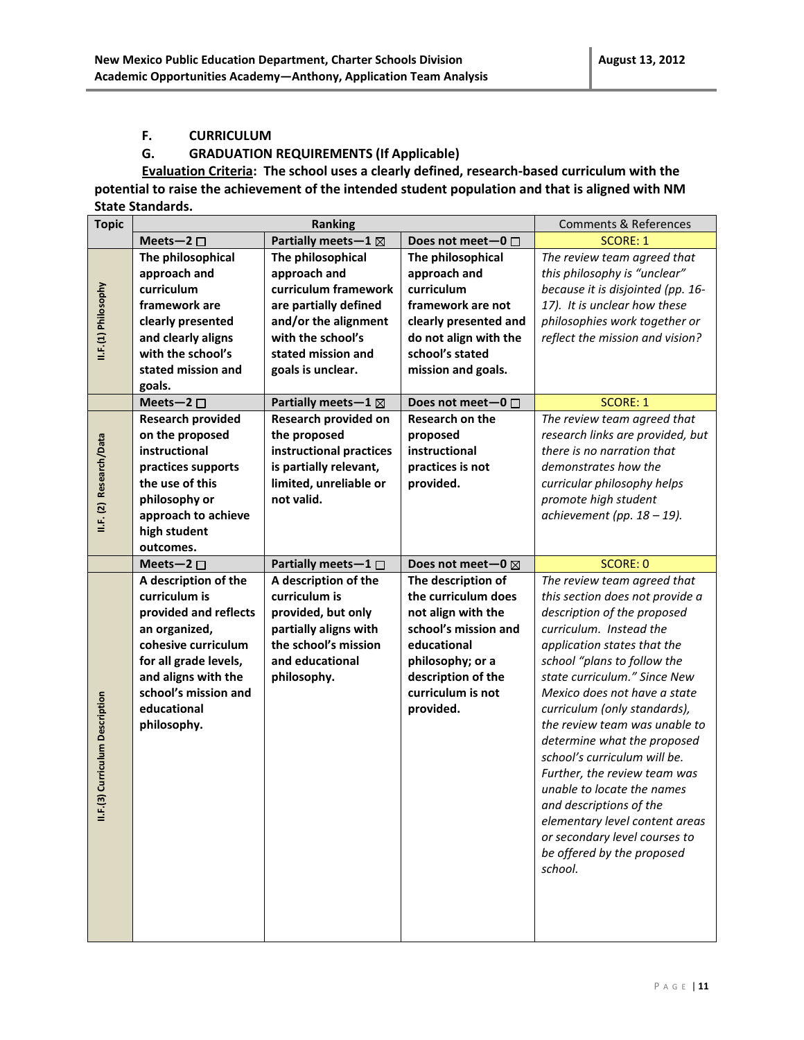#### **F. CURRICULUM**

#### **G. GRADUATION REQUIREMENTS (If Applicable)**

**Evaluation Criteria: The school uses a clearly defined, research-based curriculum with the potential to raise the achievement of the intended student population and that is aligned with NM State Standards.** 

| <b>Topic</b>                   |                           | <b>Ranking</b>           |                             | <b>Comments &amp; References</b>                                                                                                                                    |
|--------------------------------|---------------------------|--------------------------|-----------------------------|---------------------------------------------------------------------------------------------------------------------------------------------------------------------|
|                                | Meets-2 $\square$         | Partially meets-1 ⊠      | Does not meet-0 $\Box$      | <b>SCORE: 1</b>                                                                                                                                                     |
|                                | The philosophical         | The philosophical        | The philosophical           | The review team agreed that                                                                                                                                         |
|                                | approach and              | approach and             | approach and                | this philosophy is "unclear"                                                                                                                                        |
|                                | curriculum                | curriculum framework     | curriculum                  | because it is disjointed (pp. 16-                                                                                                                                   |
| II.F.(1) Philosophy            | framework are             | are partially defined    | framework are not           | 17). It is unclear how these                                                                                                                                        |
|                                | clearly presented         | and/or the alignment     | clearly presented and       | philosophies work together or                                                                                                                                       |
|                                | and clearly aligns        | with the school's        | do not align with the       | reflect the mission and vision?                                                                                                                                     |
|                                | with the school's         | stated mission and       | school's stated             |                                                                                                                                                                     |
|                                | stated mission and        | goals is unclear.        | mission and goals.          |                                                                                                                                                                     |
|                                | goals.                    |                          |                             |                                                                                                                                                                     |
|                                | Meets-2 $\square$         | Partially meets-1 ⊠      | Does not meet-0 □           | <b>SCORE: 1</b>                                                                                                                                                     |
|                                | <b>Research provided</b>  | Research provided on     | <b>Research on the</b>      | The review team agreed that                                                                                                                                         |
|                                | on the proposed           | the proposed             | proposed                    | research links are provided, but                                                                                                                                    |
|                                | instructional             | instructional practices  | instructional               | there is no narration that                                                                                                                                          |
|                                | practices supports        | is partially relevant,   | practices is not            | demonstrates how the                                                                                                                                                |
|                                | the use of this           | limited, unreliable or   | provided.                   | curricular philosophy helps                                                                                                                                         |
| II.F. (2) Research/Data        | philosophy or             | not valid.               |                             | promote high student                                                                                                                                                |
|                                | approach to achieve       |                          |                             | achievement (pp. $18 - 19$ ).                                                                                                                                       |
|                                | high student<br>outcomes. |                          |                             |                                                                                                                                                                     |
|                                | Meets-2 $\square$         | Partially meets-1 $\Box$ | Does not meet-0 $\boxtimes$ | <b>SCORE: 0</b>                                                                                                                                                     |
|                                | A description of the      | A description of the     | The description of          | The review team agreed that                                                                                                                                         |
|                                | curriculum is             | curriculum is            | the curriculum does         | this section does not provide a                                                                                                                                     |
|                                | provided and reflects     | provided, but only       | not align with the          | description of the proposed                                                                                                                                         |
|                                | an organized,             | partially aligns with    | school's mission and        | curriculum. Instead the                                                                                                                                             |
|                                | cohesive curriculum       | the school's mission     | educational                 | application states that the                                                                                                                                         |
|                                | for all grade levels,     | and educational          | philosophy; or a            | school "plans to follow the                                                                                                                                         |
|                                | and aligns with the       | philosophy.              | description of the          | state curriculum." Since New                                                                                                                                        |
|                                | school's mission and      |                          | curriculum is not           | Mexico does not have a state                                                                                                                                        |
|                                | educational               |                          | provided.                   | curriculum (only standards),                                                                                                                                        |
|                                | philosophy.               |                          |                             | the review team was unable to                                                                                                                                       |
|                                |                           |                          |                             | determine what the proposed                                                                                                                                         |
|                                |                           |                          |                             | school's curriculum will be.                                                                                                                                        |
|                                |                           |                          |                             |                                                                                                                                                                     |
|                                |                           |                          |                             | unable to locate the names                                                                                                                                          |
|                                |                           |                          |                             |                                                                                                                                                                     |
|                                |                           |                          |                             |                                                                                                                                                                     |
|                                |                           |                          |                             |                                                                                                                                                                     |
|                                |                           |                          |                             |                                                                                                                                                                     |
|                                |                           |                          |                             |                                                                                                                                                                     |
|                                |                           |                          |                             |                                                                                                                                                                     |
|                                |                           |                          |                             |                                                                                                                                                                     |
|                                |                           |                          |                             |                                                                                                                                                                     |
| 3) Curriculum Description<br>E |                           |                          |                             | Further, the review team was<br>and descriptions of the<br>elementary level content areas<br>or secondary level courses to<br>be offered by the proposed<br>school. |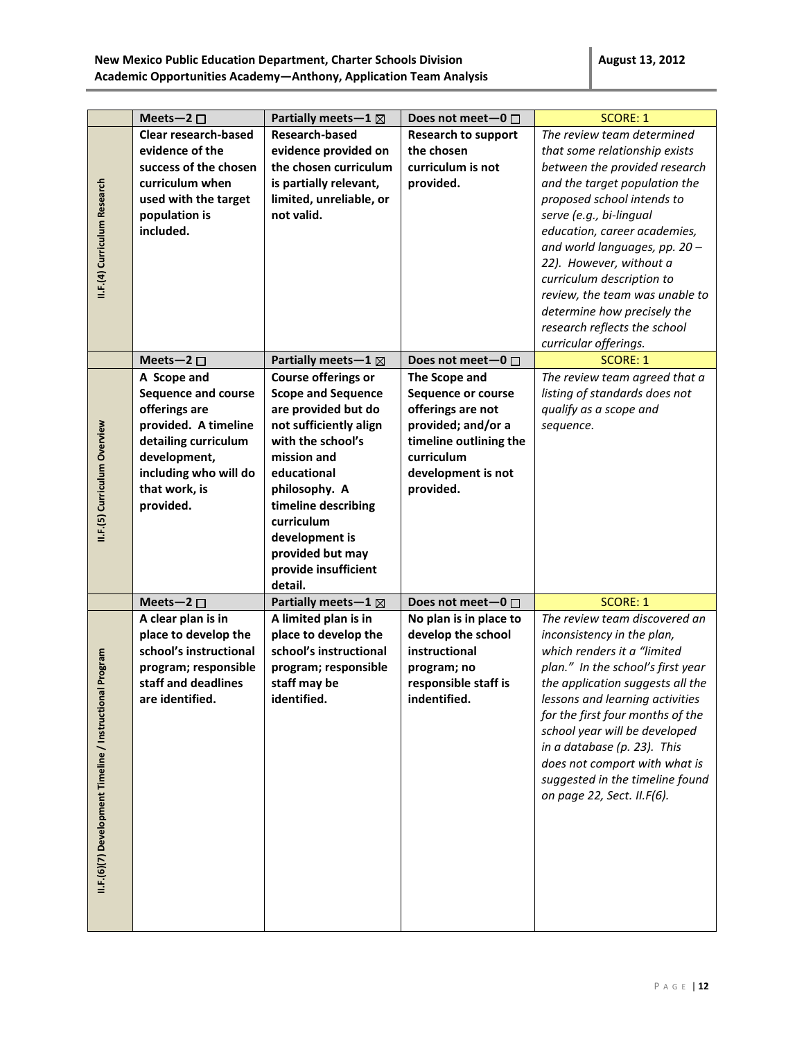|                                                             | Meets-2 $\square$                                                                                                                                                                 | Partially meets-1 $\boxtimes$                                                                                                                                                                                                                                                       | Does not meet-0 $\square$                                                                                                                                 | <b>SCORE: 1</b>                                                                                                                                                                                                                                                                                                                                                                                                                           |
|-------------------------------------------------------------|-----------------------------------------------------------------------------------------------------------------------------------------------------------------------------------|-------------------------------------------------------------------------------------------------------------------------------------------------------------------------------------------------------------------------------------------------------------------------------------|-----------------------------------------------------------------------------------------------------------------------------------------------------------|-------------------------------------------------------------------------------------------------------------------------------------------------------------------------------------------------------------------------------------------------------------------------------------------------------------------------------------------------------------------------------------------------------------------------------------------|
| II.F.(4) Curriculum Research                                | <b>Clear research-based</b><br>evidence of the<br>success of the chosen<br>curriculum when<br>used with the target<br>population is<br>included.                                  | <b>Research-based</b><br>evidence provided on<br>the chosen curriculum<br>is partially relevant,<br>limited, unreliable, or<br>not valid.                                                                                                                                           | <b>Research to support</b><br>the chosen<br>curriculum is not<br>provided.                                                                                | The review team determined<br>that some relationship exists<br>between the provided research<br>and the target population the<br>proposed school intends to<br>serve (e.g., bi-lingual<br>education, career academies,<br>and world languages, pp. 20 -<br>22). However, without a<br>curriculum description to<br>review, the team was unable to<br>determine how precisely the<br>research reflects the school<br>curricular offerings. |
|                                                             | Meets-2 $\square$                                                                                                                                                                 | Partially meets - $1 \boxtimes$                                                                                                                                                                                                                                                     | Does not meet-0 □                                                                                                                                         | <b>SCORE: 1</b>                                                                                                                                                                                                                                                                                                                                                                                                                           |
| II.F.(5) Curriculum Overview                                | A Scope and<br><b>Sequence and course</b><br>offerings are<br>provided. A timeline<br>detailing curriculum<br>development,<br>including who will do<br>that work, is<br>provided. | Course offerings or<br><b>Scope and Sequence</b><br>are provided but do<br>not sufficiently align<br>with the school's<br>mission and<br>educational<br>philosophy. A<br>timeline describing<br>curriculum<br>development is<br>provided but may<br>provide insufficient<br>detail. | The Scope and<br>Sequence or course<br>offerings are not<br>provided; and/or a<br>timeline outlining the<br>curriculum<br>development is not<br>provided. | The review team agreed that a<br>listing of standards does not<br>qualify as a scope and<br>sequence.                                                                                                                                                                                                                                                                                                                                     |
|                                                             | Meets-2 $\square$                                                                                                                                                                 | Partially meets - $1 \boxtimes$                                                                                                                                                                                                                                                     | Does not meet $-0$ $\Box$                                                                                                                                 | <b>SCORE: 1</b>                                                                                                                                                                                                                                                                                                                                                                                                                           |
| Program<br>II.F.(6)(7) Development Timeline / Instructional | A clear plan is in<br>place to develop the<br>school's instructional<br>program; responsible<br>staff and deadlines<br>are identified.                                            | A limited plan is in<br>place to develop the<br>school's instructional<br>program; responsible<br>staff may be<br>identified.                                                                                                                                                       | No plan is in place to<br>develop the school<br>instructional<br>program; no<br>responsible staff is<br>indentified.                                      | The review team discovered an<br>inconsistency in the plan,<br>which renders it a "limited<br>plan." In the school's first year<br>the application suggests all the<br>lessons and learning activities<br>for the first four months of the<br>school year will be developed<br>in a database (p. 23). This<br>does not comport with what is<br>suggested in the timeline found<br>on page 22, Sect. II.F(6).                              |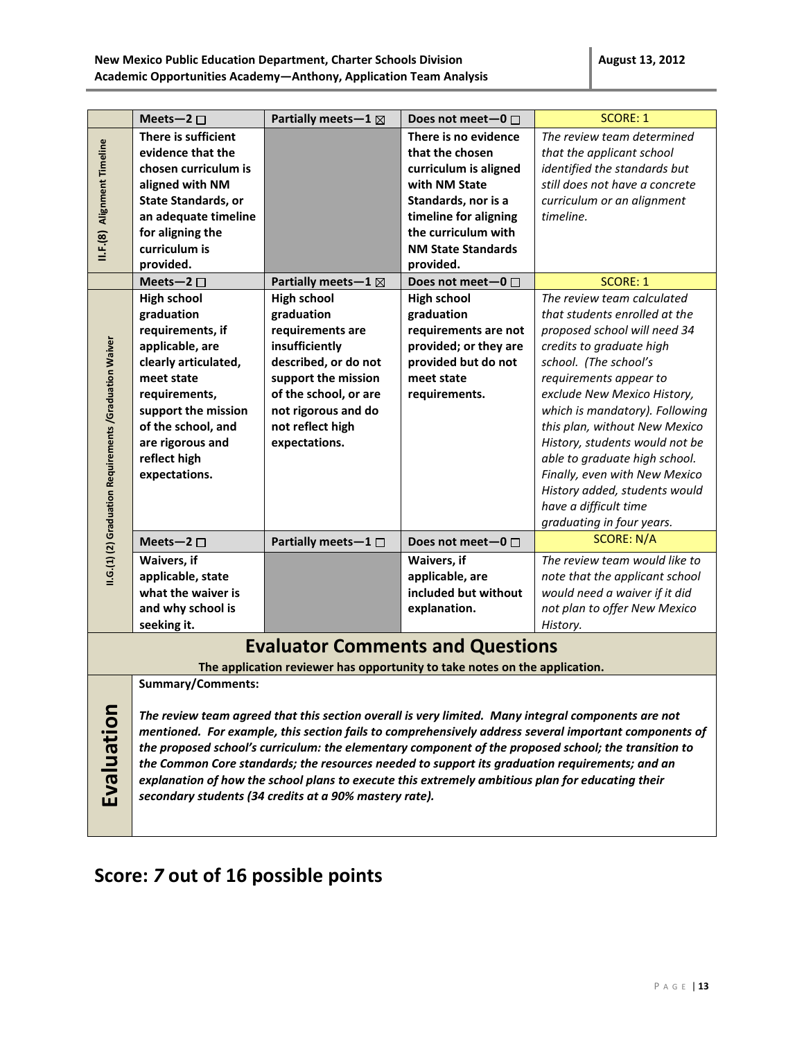|                                                                                                                                                                                                                                                                                                                                                                                                                                                                                                                                                                                                                               | Meets-2 $\square$                                                                                                                                                                                                                | Partially meets - $1 \boxtimes$                                                                                                                                                                            | Does not meet-0 $\square$                                                                                                                                                                          | <b>SCORE: 1</b>                                                                                                                                                                                                                                                                                                                                                                                                                                                         |
|-------------------------------------------------------------------------------------------------------------------------------------------------------------------------------------------------------------------------------------------------------------------------------------------------------------------------------------------------------------------------------------------------------------------------------------------------------------------------------------------------------------------------------------------------------------------------------------------------------------------------------|----------------------------------------------------------------------------------------------------------------------------------------------------------------------------------------------------------------------------------|------------------------------------------------------------------------------------------------------------------------------------------------------------------------------------------------------------|----------------------------------------------------------------------------------------------------------------------------------------------------------------------------------------------------|-------------------------------------------------------------------------------------------------------------------------------------------------------------------------------------------------------------------------------------------------------------------------------------------------------------------------------------------------------------------------------------------------------------------------------------------------------------------------|
| II.F.(8) Alignment Timeline                                                                                                                                                                                                                                                                                                                                                                                                                                                                                                                                                                                                   | There is sufficient<br>evidence that the<br>chosen curriculum is<br>aligned with NM<br><b>State Standards, or</b><br>an adequate timeline<br>for aligning the<br>curriculum is<br>provided.                                      |                                                                                                                                                                                                            | There is no evidence<br>that the chosen<br>curriculum is aligned<br>with NM State<br>Standards, nor is a<br>timeline for aligning<br>the curriculum with<br><b>NM State Standards</b><br>provided. | The review team determined<br>that the applicant school<br>identified the standards but<br>still does not have a concrete<br>curriculum or an alignment<br>timeline.                                                                                                                                                                                                                                                                                                    |
|                                                                                                                                                                                                                                                                                                                                                                                                                                                                                                                                                                                                                               | Meets-2 $\square$                                                                                                                                                                                                                | Partially meets - $1 \boxtimes$                                                                                                                                                                            | Does not meet-0 $\Box$                                                                                                                                                                             | <b>SCORE: 1</b>                                                                                                                                                                                                                                                                                                                                                                                                                                                         |
| II.G.(1) (2) Graduation Requirements /Graduation Waiver                                                                                                                                                                                                                                                                                                                                                                                                                                                                                                                                                                       | <b>High school</b><br>graduation<br>requirements, if<br>applicable, are<br>clearly articulated,<br>meet state<br>requirements,<br>support the mission<br>of the school, and<br>are rigorous and<br>reflect high<br>expectations. | <b>High school</b><br>graduation<br>requirements are<br>insufficiently<br>described, or do not<br>support the mission<br>of the school, or are<br>not rigorous and do<br>not reflect high<br>expectations. | <b>High school</b><br>graduation<br>requirements are not<br>provided; or they are<br>provided but do not<br>meet state<br>requirements.                                                            | The review team calculated<br>that students enrolled at the<br>proposed school will need 34<br>credits to graduate high<br>school. (The school's<br>requirements appear to<br>exclude New Mexico History,<br>which is mandatory). Following<br>this plan, without New Mexico<br>History, students would not be<br>able to graduate high school.<br>Finally, even with New Mexico<br>History added, students would<br>have a difficult time<br>graduating in four years. |
|                                                                                                                                                                                                                                                                                                                                                                                                                                                                                                                                                                                                                               | Meets-2 $\square$                                                                                                                                                                                                                | Partially meets-1 $\Box$                                                                                                                                                                                   | Does not meet-0 □                                                                                                                                                                                  | <b>SCORE: N/A</b>                                                                                                                                                                                                                                                                                                                                                                                                                                                       |
|                                                                                                                                                                                                                                                                                                                                                                                                                                                                                                                                                                                                                               | Waivers, if<br>applicable, state<br>what the waiver is<br>and why school is<br>seeking it.                                                                                                                                       |                                                                                                                                                                                                            | Waivers, if<br>applicable, are<br>included but without<br>explanation.                                                                                                                             | The review team would like to<br>note that the applicant school<br>would need a waiver if it did<br>not plan to offer New Mexico<br>History.                                                                                                                                                                                                                                                                                                                            |
| <b>Evaluator Comments and Questions</b>                                                                                                                                                                                                                                                                                                                                                                                                                                                                                                                                                                                       |                                                                                                                                                                                                                                  |                                                                                                                                                                                                            |                                                                                                                                                                                                    |                                                                                                                                                                                                                                                                                                                                                                                                                                                                         |
|                                                                                                                                                                                                                                                                                                                                                                                                                                                                                                                                                                                                                               |                                                                                                                                                                                                                                  | The application reviewer has opportunity to take notes on the application.                                                                                                                                 |                                                                                                                                                                                                    |                                                                                                                                                                                                                                                                                                                                                                                                                                                                         |
| <b>Summary/Comments:</b><br>Evaluation<br>The review team agreed that this section overall is very limited. Many integral components are not<br>mentioned. For example, this section fails to comprehensively address several important components of<br>the proposed school's curriculum: the elementary component of the proposed school; the transition to<br>the Common Core standards; the resources needed to support its graduation requirements; and an<br>explanation of how the school plans to execute this extremely ambitious plan for educating their<br>secondary students (34 credits at a 90% mastery rate). |                                                                                                                                                                                                                                  |                                                                                                                                                                                                            |                                                                                                                                                                                                    |                                                                                                                                                                                                                                                                                                                                                                                                                                                                         |

# **Score:** *7* **out of 16 possible points**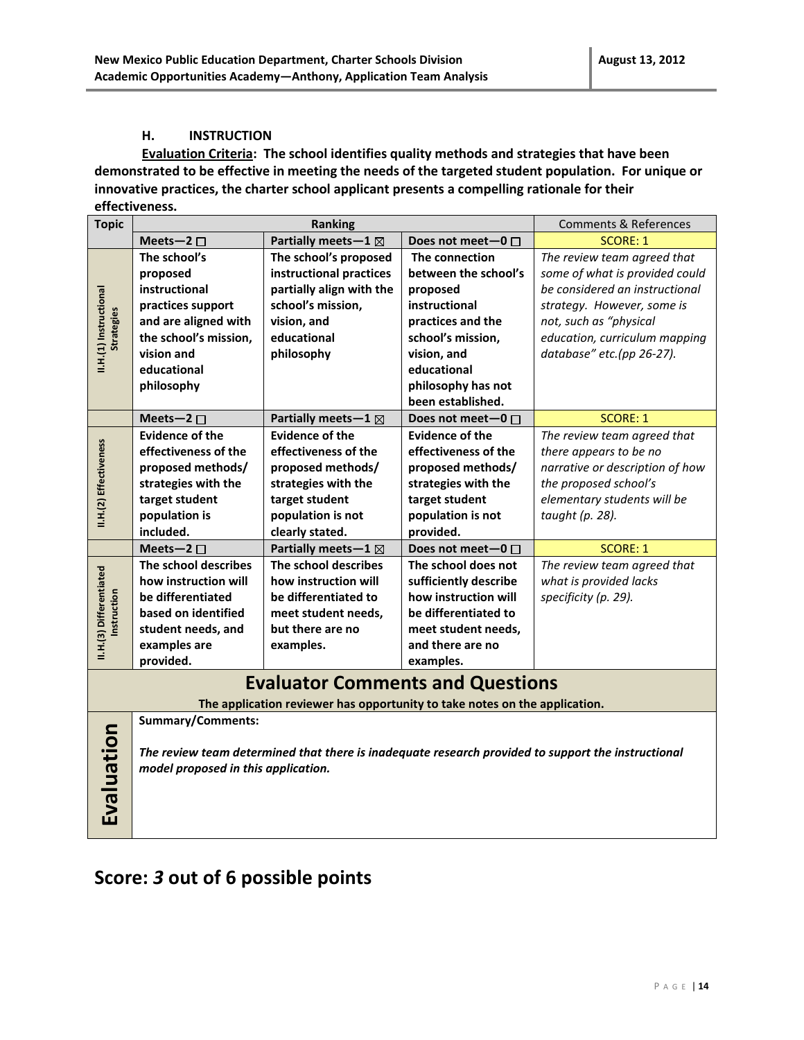#### **H. INSTRUCTION**

**Evaluation Criteria: The school identifies quality methods and strategies that have been demonstrated to be effective in meeting the needs of the targeted student population. For unique or innovative practices, the charter school applicant presents a compelling rationale for their effectiveness.**

| <b>Topic</b>                                | <b>Ranking</b>                                                                                                                            |                                                                            |                        | <b>Comments &amp; References</b> |  |
|---------------------------------------------|-------------------------------------------------------------------------------------------------------------------------------------------|----------------------------------------------------------------------------|------------------------|----------------------------------|--|
|                                             | Meets-2 $\square$                                                                                                                         | Partially meets-1 $\boxtimes$                                              | Does not meet-0 □      | <b>SCORE: 1</b>                  |  |
|                                             | The school's                                                                                                                              | The school's proposed                                                      | The connection         | The review team agreed that      |  |
|                                             | proposed                                                                                                                                  | instructional practices                                                    | between the school's   | some of what is provided could   |  |
|                                             | instructional                                                                                                                             | partially align with the                                                   | proposed               | be considered an instructional   |  |
|                                             | practices support                                                                                                                         | school's mission,                                                          | instructional          | strategy. However, some is       |  |
| II.H.(1) Instructional<br><b>Strategies</b> | and are aligned with                                                                                                                      | vision, and                                                                | practices and the      | not, such as "physical           |  |
|                                             | the school's mission,                                                                                                                     | educational                                                                | school's mission,      | education, curriculum mapping    |  |
|                                             | vision and                                                                                                                                | philosophy                                                                 | vision, and            | database" etc.(pp 26-27).        |  |
|                                             | educational                                                                                                                               |                                                                            | educational            |                                  |  |
|                                             | philosophy                                                                                                                                |                                                                            | philosophy has not     |                                  |  |
|                                             |                                                                                                                                           |                                                                            | been established.      |                                  |  |
|                                             | Meets-2 $\square$                                                                                                                         | Partially meets-1 $\boxtimes$                                              | Does not meet-0 $\Box$ | <b>SCORE: 1</b>                  |  |
|                                             | <b>Evidence of the</b>                                                                                                                    | <b>Evidence of the</b>                                                     | <b>Evidence of the</b> | The review team agreed that      |  |
|                                             | effectiveness of the                                                                                                                      | effectiveness of the                                                       | effectiveness of the   | there appears to be no           |  |
|                                             | proposed methods/                                                                                                                         | proposed methods/                                                          | proposed methods/      | narrative or description of how  |  |
| II.H.(2) Effectiveness                      | strategies with the                                                                                                                       | strategies with the                                                        | strategies with the    | the proposed school's            |  |
|                                             | target student                                                                                                                            | target student                                                             | target student         | elementary students will be      |  |
|                                             | population is                                                                                                                             | population is not                                                          | population is not      | taught (p. 28).                  |  |
|                                             | included.                                                                                                                                 | clearly stated.                                                            | provided.              |                                  |  |
|                                             | Meets-2 $\square$                                                                                                                         | Partially meets-1 $\boxtimes$                                              | Does not meet-0 □      | <b>SCORE: 1</b>                  |  |
|                                             | The school describes                                                                                                                      | The school describes                                                       | The school does not    | The review team agreed that      |  |
|                                             | how instruction will                                                                                                                      | how instruction will                                                       | sufficiently describe  | what is provided lacks           |  |
|                                             | be differentiated                                                                                                                         | be differentiated to                                                       | how instruction will   | specificity (p. 29).             |  |
| II.H.(3) Differentiated<br>nstruction       | based on identified                                                                                                                       | meet student needs,                                                        | be differentiated to   |                                  |  |
|                                             | student needs, and                                                                                                                        | but there are no                                                           | meet student needs,    |                                  |  |
|                                             | examples are                                                                                                                              | examples.                                                                  | and there are no       |                                  |  |
|                                             | provided.                                                                                                                                 |                                                                            | examples.              |                                  |  |
|                                             |                                                                                                                                           | <b>Evaluator Comments and Questions</b>                                    |                        |                                  |  |
|                                             |                                                                                                                                           | The application reviewer has opportunity to take notes on the application. |                        |                                  |  |
|                                             | <b>Summary/Comments:</b>                                                                                                                  |                                                                            |                        |                                  |  |
| Evaluation                                  | The review team determined that there is inadequate research provided to support the instructional<br>model proposed in this application. |                                                                            |                        |                                  |  |
|                                             |                                                                                                                                           |                                                                            |                        |                                  |  |

## **Score:** *3* **out of 6 possible points**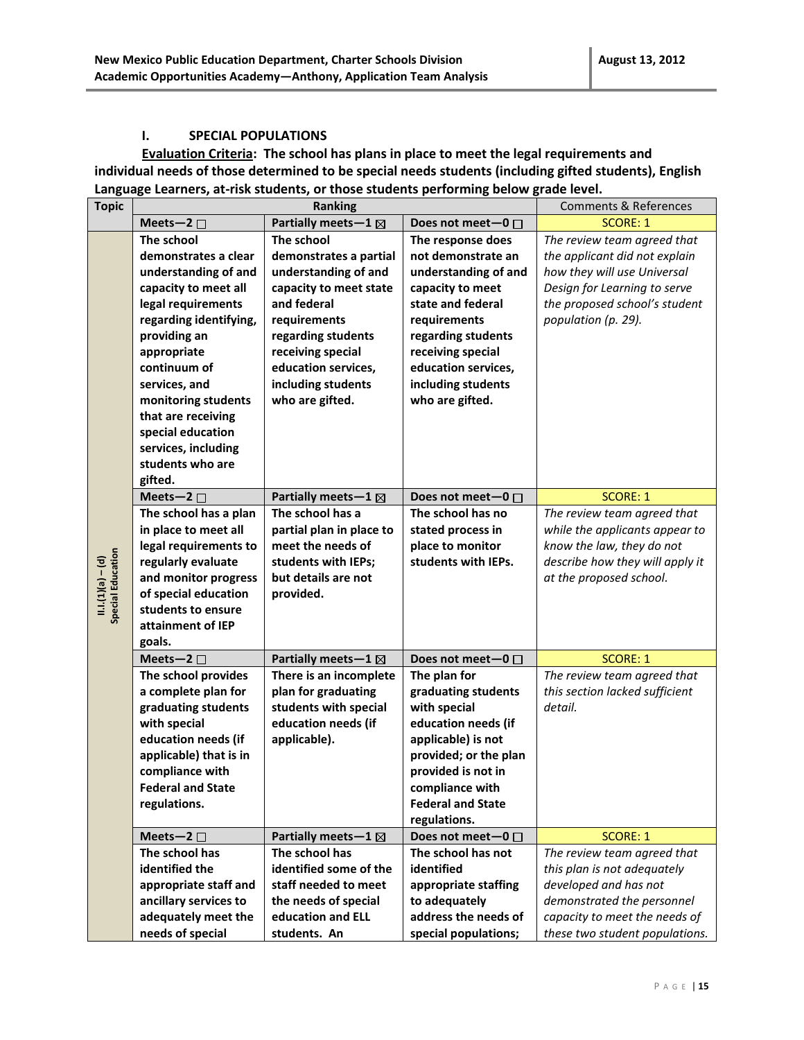#### **I. SPECIAL POPULATIONS**

**Evaluation Criteria: The school has plans in place to meet the legal requirements and individual needs of those determined to be special needs students (including gifted students), English Language Learners, at-risk students, or those students performing below grade level.**

| <b>Topic</b>                           | Ranking                  |                                 | <b>Comments &amp; References</b> |                                 |
|----------------------------------------|--------------------------|---------------------------------|----------------------------------|---------------------------------|
|                                        | Meets-2 $\square$        | Partially meets-1 $\boxtimes$   | Does not meet-0 $\square$        | <b>SCORE: 1</b>                 |
|                                        | The school               | The school                      | The response does                | The review team agreed that     |
|                                        | demonstrates a clear     | demonstrates a partial          | not demonstrate an               | the applicant did not explain   |
|                                        | understanding of and     | understanding of and            | understanding of and             | how they will use Universal     |
|                                        | capacity to meet all     | capacity to meet state          | capacity to meet                 | Design for Learning to serve    |
|                                        | legal requirements       | and federal                     | state and federal                | the proposed school's student   |
|                                        | regarding identifying,   | requirements                    | requirements                     | population (p. 29).             |
|                                        | providing an             | regarding students              | regarding students               |                                 |
|                                        | appropriate              | receiving special               | receiving special                |                                 |
|                                        | continuum of             | education services,             | education services,              |                                 |
|                                        | services, and            | including students              | including students               |                                 |
|                                        |                          |                                 | who are gifted.                  |                                 |
|                                        | monitoring students      | who are gifted.                 |                                  |                                 |
|                                        | that are receiving       |                                 |                                  |                                 |
|                                        | special education        |                                 |                                  |                                 |
|                                        | services, including      |                                 |                                  |                                 |
|                                        | students who are         |                                 |                                  |                                 |
|                                        | gifted.                  |                                 |                                  |                                 |
|                                        | Meets-2 $\square$        | Partially meets-1 $\boxtimes$   | Does not meet-0 $\square$        | <b>SCORE: 1</b>                 |
|                                        | The school has a plan    | The school has a                | The school has no                | The review team agreed that     |
|                                        | in place to meet all     | partial plan in place to        | stated process in                | while the applicants appear to  |
|                                        | legal requirements to    | meet the needs of               | place to monitor                 | know the law, they do not       |
|                                        | regularly evaluate       | students with IEPs;             | students with IEPs.              | describe how they will apply it |
| II.I.(1)(a) – (d)<br>Special Education | and monitor progress     | but details are not             |                                  | at the proposed school.         |
|                                        | of special education     | provided.                       |                                  |                                 |
|                                        | students to ensure       |                                 |                                  |                                 |
|                                        | attainment of IEP        |                                 |                                  |                                 |
|                                        | goals.                   |                                 |                                  |                                 |
|                                        | Meets-2 $\square$        | Partially meets - $1 \boxtimes$ | Does not meet-0 $\Box$           | <b>SCORE: 1</b>                 |
|                                        | The school provides      | There is an incomplete          | The plan for                     | The review team agreed that     |
|                                        | a complete plan for      | plan for graduating             | graduating students              | this section lacked sufficient  |
|                                        | graduating students      | students with special           | with special                     | detail.                         |
|                                        | with special             | education needs (if             | education needs (if              |                                 |
|                                        | education needs (if      | applicable).                    | applicable) is not               |                                 |
|                                        | applicable) that is in   |                                 | provided; or the plan            |                                 |
|                                        | compliance with          |                                 | provided is not in               |                                 |
|                                        | <b>Federal and State</b> |                                 | compliance with                  |                                 |
|                                        | regulations.             |                                 | <b>Federal and State</b>         |                                 |
|                                        |                          |                                 | regulations.                     |                                 |
|                                        | Meets-2 $\square$        | Partially meets-1 ⊠             | Does not meet-0 □                | <b>SCORE: 1</b>                 |
|                                        | The school has           | The school has                  | The school has not               | The review team agreed that     |
|                                        | identified the           | identified some of the          | identified                       | this plan is not adequately     |
|                                        | appropriate staff and    | staff needed to meet            | appropriate staffing             | developed and has not           |
|                                        | ancillary services to    | the needs of special            | to adequately                    | demonstrated the personnel      |
|                                        | adequately meet the      | education and ELL               | address the needs of             | capacity to meet the needs of   |
|                                        | needs of special         | students. An                    | special populations;             | these two student populations.  |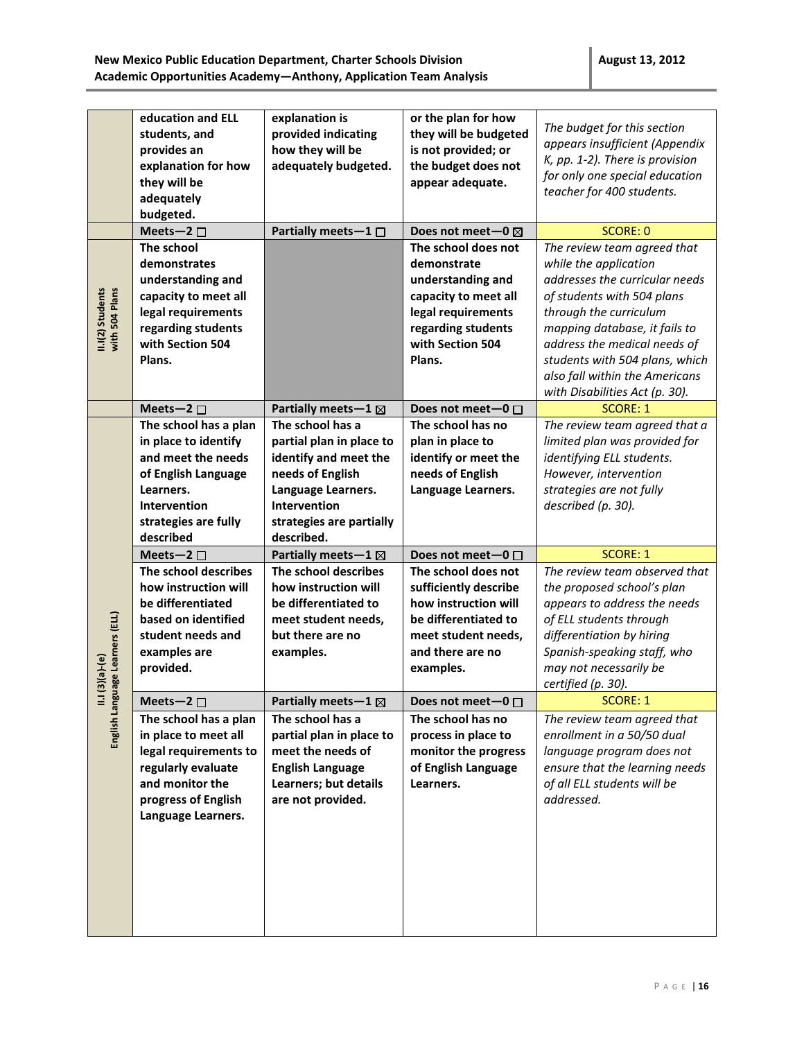|                                    | education and ELL<br>students, and<br>provides an<br>explanation for how<br>they will be<br>adequately<br>budgeted.                                                 | explanation is<br>provided indicating<br>how they will be<br>adequately budgeted.                                                                                         | or the plan for how<br>they will be budgeted<br>is not provided; or<br>the budget does not<br>appear adequate.                                            | The budget for this section<br>appears insufficient (Appendix<br>K, pp. 1-2). There is provision<br>for only one special education<br>teacher for 400 students.                                                                                                                                                       |
|------------------------------------|---------------------------------------------------------------------------------------------------------------------------------------------------------------------|---------------------------------------------------------------------------------------------------------------------------------------------------------------------------|-----------------------------------------------------------------------------------------------------------------------------------------------------------|-----------------------------------------------------------------------------------------------------------------------------------------------------------------------------------------------------------------------------------------------------------------------------------------------------------------------|
|                                    | Meets-2 $\square$                                                                                                                                                   | Partially meets-1 □                                                                                                                                                       | Does not meet-0 ⊠                                                                                                                                         | <b>SCORE: 0</b>                                                                                                                                                                                                                                                                                                       |
| with 504 Plans<br>II.I(2) Students | The school<br>demonstrates<br>understanding and<br>capacity to meet all<br>legal requirements<br>regarding students<br>with Section 504<br>Plans.                   |                                                                                                                                                                           | The school does not<br>demonstrate<br>understanding and<br>capacity to meet all<br>legal requirements<br>regarding students<br>with Section 504<br>Plans. | The review team agreed that<br>while the application<br>addresses the curricular needs<br>of students with 504 plans<br>through the curriculum<br>mapping database, it fails to<br>address the medical needs of<br>students with 504 plans, which<br>also fall within the Americans<br>with Disabilities Act (p. 30). |
|                                    | Meets-2 $\square$                                                                                                                                                   | Partially meets - $1 \boxtimes$                                                                                                                                           | Does not meet-0 □                                                                                                                                         | <b>SCORE: 1</b>                                                                                                                                                                                                                                                                                                       |
|                                    | The school has a plan<br>in place to identify<br>and meet the needs<br>of English Language<br>Learners.<br><b>Intervention</b><br>strategies are fully<br>described | The school has a<br>partial plan in place to<br>identify and meet the<br>needs of English<br>Language Learners.<br>Intervention<br>strategies are partially<br>described. | The school has no<br>plan in place to<br>identify or meet the<br>needs of English<br>Language Learners.                                                   | The review team agreed that a<br>limited plan was provided for<br>identifying ELL students.<br>However, intervention<br>strategies are not fully<br>described (p. 30).                                                                                                                                                |
|                                    | Meets-2 $\square$                                                                                                                                                   | Partially meets - $1 \boxtimes$                                                                                                                                           | Does not meet-0 $\Box$                                                                                                                                    | <b>SCORE: 1</b>                                                                                                                                                                                                                                                                                                       |
| uage Learners (ELL)<br>$(a)-(s)$   | The school describes<br>how instruction will<br>be differentiated<br>based on identified<br>student needs and<br>examples are<br>provided.                          | The school describes<br>how instruction will<br>be differentiated to<br>meet student needs,<br>but there are no<br>examples.                                              | The school does not<br>sufficiently describe<br>how instruction will<br>be differentiated to<br>meet student needs,<br>and there are no<br>examples.      | The review team observed that<br>the proposed school's plan<br>appears to address the needs<br>of ELL students through<br>differentiation by hiring<br>Spanish-speaking staff, who<br>may not necessarily be<br>certified (p. 30).                                                                                    |
|                                    | Meets-2 $\square$                                                                                                                                                   | Partially meets - $1 \boxtimes$                                                                                                                                           | Does not meet-0 $\Box$                                                                                                                                    | <b>SCORE: 1</b>                                                                                                                                                                                                                                                                                                       |
|                                    | The school has a plan<br>in place to meet all<br>legal requirements to<br>regularly evaluate<br>and monitor the<br>progress of English<br>Language Learners.        | The school has a<br>partial plan in place to<br>meet the needs of<br><b>English Language</b><br>Learners; but details<br>are not provided.                                | The school has no<br>process in place to<br>monitor the progress<br>of English Language<br>Learners.                                                      | The review team agreed that<br>enrollment in a 50/50 dual<br>language program does not<br>ensure that the learning needs<br>of all ELL students will be<br>addressed.                                                                                                                                                 |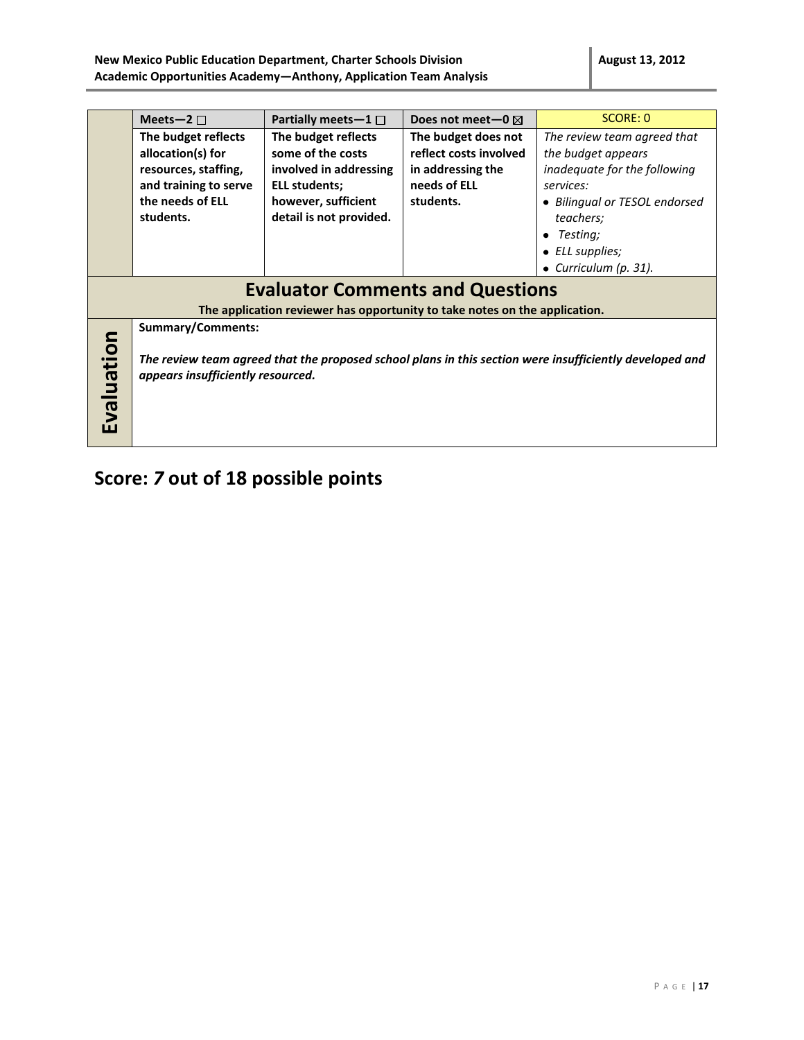|            | Meets-2 $\square$                                                                                                     | Partially meets $-1$ $\Box$ | Does not meet-0 $\boxtimes$ | SCORE: 0                                                                                                |  |  |  |
|------------|-----------------------------------------------------------------------------------------------------------------------|-----------------------------|-----------------------------|---------------------------------------------------------------------------------------------------------|--|--|--|
|            | The budget reflects                                                                                                   | The budget reflects         | The budget does not         | The review team agreed that                                                                             |  |  |  |
|            | allocation(s) for                                                                                                     | some of the costs           | reflect costs involved      | the budget appears                                                                                      |  |  |  |
|            | resources, staffing,                                                                                                  | involved in addressing      | in addressing the           | inadequate for the following                                                                            |  |  |  |
|            | and training to serve                                                                                                 | <b>ELL students;</b>        | needs of ELL                | services:                                                                                               |  |  |  |
|            | the needs of ELL                                                                                                      | however, sufficient         | students.                   | • Bilingual or TESOL endorsed                                                                           |  |  |  |
|            | students.                                                                                                             | detail is not provided.     |                             | teachers;                                                                                               |  |  |  |
|            |                                                                                                                       |                             |                             | Testing;<br>٠                                                                                           |  |  |  |
|            |                                                                                                                       |                             |                             | $\bullet$ ELL supplies;                                                                                 |  |  |  |
|            |                                                                                                                       |                             |                             | • Curriculum (p. 31).                                                                                   |  |  |  |
|            | <b>Evaluator Comments and Questions</b><br>The application reviewer has opportunity to take notes on the application. |                             |                             |                                                                                                         |  |  |  |
|            | <b>Summary/Comments:</b>                                                                                              |                             |                             |                                                                                                         |  |  |  |
| Evaluation | appears insufficiently resourced.                                                                                     |                             |                             | The review team agreed that the proposed school plans in this section were insufficiently developed and |  |  |  |

## **Score:** *7* **out of 18 possible points**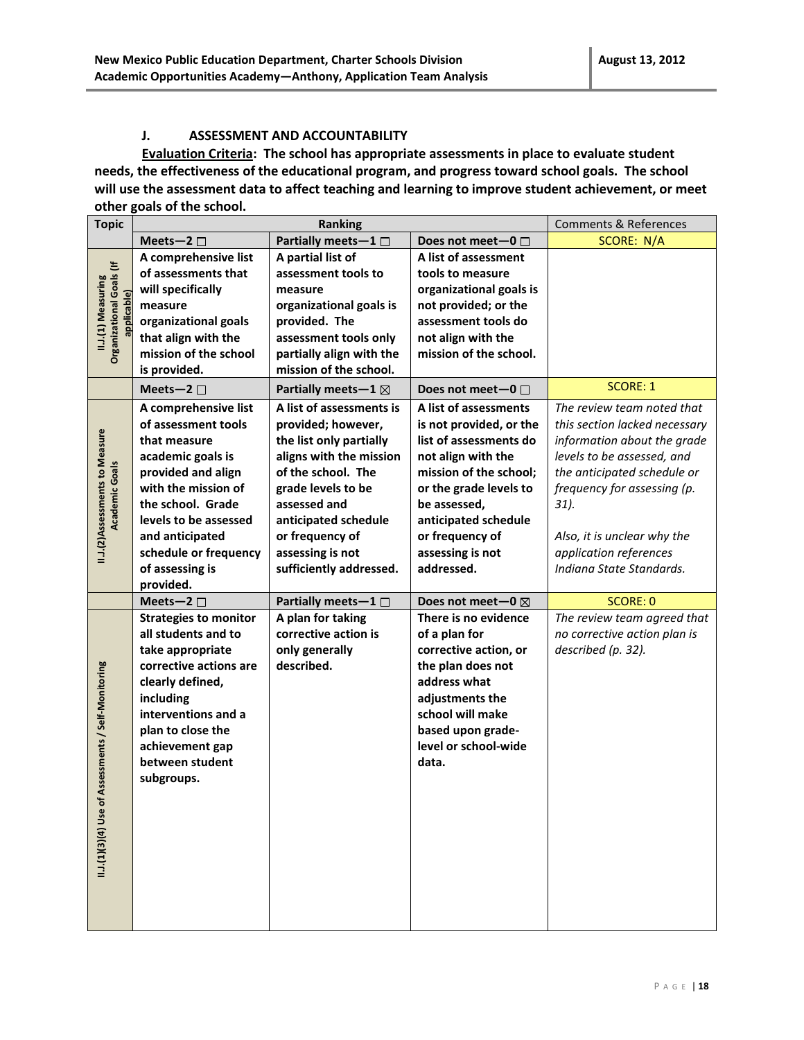#### **J. ASSESSMENT AND ACCOUNTABILITY**

**Evaluation Criteria: The school has appropriate assessments in place to evaluate student needs, the effectiveness of the educational program, and progress toward school goals. The school will use the assessment data to affect teaching and learning to improve student achievement, or meet other goals of the school.** 

| Partially meets-1<br><b>SCORE: N/A</b><br>Meets-2 $\square$<br>Does not meet-0 $\Box$<br>A comprehensive list<br>A partial list of<br>A list of assessment<br><b>Organizational Goals (If</b><br>of assessments that<br>assessment tools to<br>tools to measure<br>II.J.(1) Measuring<br>will specifically<br>organizational goals is<br>measure<br>applicable)<br>organizational goals is<br>not provided; or the<br>measure<br>assessment tools do<br>organizational goals<br>provided. The<br>that align with the<br>assessment tools only<br>not align with the<br>mission of the school<br>partially align with the<br>mission of the school.<br>mission of the school.<br>is provided.<br><b>SCORE: 1</b><br>Partially meets - $1 \boxtimes$<br>Meets-2 $\square$<br>Does not meet-0 $\Box$<br>A comprehensive list<br>A list of assessments is<br>A list of assessments<br>The review team noted that<br>of assessment tools<br>provided; however,<br>is not provided, or the<br>this section lacked necessary<br>II.J.(2)Assessments to Measure<br>list of assessments do<br>that measure<br>the list only partially<br>information about the grade |
|-------------------------------------------------------------------------------------------------------------------------------------------------------------------------------------------------------------------------------------------------------------------------------------------------------------------------------------------------------------------------------------------------------------------------------------------------------------------------------------------------------------------------------------------------------------------------------------------------------------------------------------------------------------------------------------------------------------------------------------------------------------------------------------------------------------------------------------------------------------------------------------------------------------------------------------------------------------------------------------------------------------------------------------------------------------------------------------------------------------------------------------------------------------|
|                                                                                                                                                                                                                                                                                                                                                                                                                                                                                                                                                                                                                                                                                                                                                                                                                                                                                                                                                                                                                                                                                                                                                             |
|                                                                                                                                                                                                                                                                                                                                                                                                                                                                                                                                                                                                                                                                                                                                                                                                                                                                                                                                                                                                                                                                                                                                                             |
|                                                                                                                                                                                                                                                                                                                                                                                                                                                                                                                                                                                                                                                                                                                                                                                                                                                                                                                                                                                                                                                                                                                                                             |
|                                                                                                                                                                                                                                                                                                                                                                                                                                                                                                                                                                                                                                                                                                                                                                                                                                                                                                                                                                                                                                                                                                                                                             |
|                                                                                                                                                                                                                                                                                                                                                                                                                                                                                                                                                                                                                                                                                                                                                                                                                                                                                                                                                                                                                                                                                                                                                             |
|                                                                                                                                                                                                                                                                                                                                                                                                                                                                                                                                                                                                                                                                                                                                                                                                                                                                                                                                                                                                                                                                                                                                                             |
|                                                                                                                                                                                                                                                                                                                                                                                                                                                                                                                                                                                                                                                                                                                                                                                                                                                                                                                                                                                                                                                                                                                                                             |
|                                                                                                                                                                                                                                                                                                                                                                                                                                                                                                                                                                                                                                                                                                                                                                                                                                                                                                                                                                                                                                                                                                                                                             |
|                                                                                                                                                                                                                                                                                                                                                                                                                                                                                                                                                                                                                                                                                                                                                                                                                                                                                                                                                                                                                                                                                                                                                             |
|                                                                                                                                                                                                                                                                                                                                                                                                                                                                                                                                                                                                                                                                                                                                                                                                                                                                                                                                                                                                                                                                                                                                                             |
|                                                                                                                                                                                                                                                                                                                                                                                                                                                                                                                                                                                                                                                                                                                                                                                                                                                                                                                                                                                                                                                                                                                                                             |
|                                                                                                                                                                                                                                                                                                                                                                                                                                                                                                                                                                                                                                                                                                                                                                                                                                                                                                                                                                                                                                                                                                                                                             |
|                                                                                                                                                                                                                                                                                                                                                                                                                                                                                                                                                                                                                                                                                                                                                                                                                                                                                                                                                                                                                                                                                                                                                             |
| academic goals is<br>aligns with the mission<br>not align with the<br>levels to be assessed, and                                                                                                                                                                                                                                                                                                                                                                                                                                                                                                                                                                                                                                                                                                                                                                                                                                                                                                                                                                                                                                                            |
| Academic Goals<br>of the school. The<br>mission of the school;<br>the anticipated schedule or<br>provided and align                                                                                                                                                                                                                                                                                                                                                                                                                                                                                                                                                                                                                                                                                                                                                                                                                                                                                                                                                                                                                                         |
| with the mission of<br>grade levels to be<br>or the grade levels to<br>frequency for assessing (p.                                                                                                                                                                                                                                                                                                                                                                                                                                                                                                                                                                                                                                                                                                                                                                                                                                                                                                                                                                                                                                                          |
| the school. Grade<br>assessed and<br>be assessed,<br>31.                                                                                                                                                                                                                                                                                                                                                                                                                                                                                                                                                                                                                                                                                                                                                                                                                                                                                                                                                                                                                                                                                                    |
| anticipated schedule<br>levels to be assessed<br>anticipated schedule                                                                                                                                                                                                                                                                                                                                                                                                                                                                                                                                                                                                                                                                                                                                                                                                                                                                                                                                                                                                                                                                                       |
| and anticipated<br>or frequency of<br>or frequency of<br>Also, it is unclear why the                                                                                                                                                                                                                                                                                                                                                                                                                                                                                                                                                                                                                                                                                                                                                                                                                                                                                                                                                                                                                                                                        |
| assessing is not<br>schedule or frequency<br>assessing is not<br>application references                                                                                                                                                                                                                                                                                                                                                                                                                                                                                                                                                                                                                                                                                                                                                                                                                                                                                                                                                                                                                                                                     |
| addressed.<br>Indiana State Standards.<br>of assessing is<br>sufficiently addressed.                                                                                                                                                                                                                                                                                                                                                                                                                                                                                                                                                                                                                                                                                                                                                                                                                                                                                                                                                                                                                                                                        |
| provided.                                                                                                                                                                                                                                                                                                                                                                                                                                                                                                                                                                                                                                                                                                                                                                                                                                                                                                                                                                                                                                                                                                                                                   |
| Partially meets-1 □<br>Meets-2 $\square$<br>Does not meet-0 $\boxtimes$<br><b>SCORE: 0</b>                                                                                                                                                                                                                                                                                                                                                                                                                                                                                                                                                                                                                                                                                                                                                                                                                                                                                                                                                                                                                                                                  |
| There is no evidence<br><b>Strategies to monitor</b><br>A plan for taking<br>The review team agreed that                                                                                                                                                                                                                                                                                                                                                                                                                                                                                                                                                                                                                                                                                                                                                                                                                                                                                                                                                                                                                                                    |
| corrective action is<br>all students and to<br>of a plan for<br>no corrective action plan is                                                                                                                                                                                                                                                                                                                                                                                                                                                                                                                                                                                                                                                                                                                                                                                                                                                                                                                                                                                                                                                                |
| take appropriate<br>only generally<br>corrective action, or<br>described (p. 32).                                                                                                                                                                                                                                                                                                                                                                                                                                                                                                                                                                                                                                                                                                                                                                                                                                                                                                                                                                                                                                                                           |
| corrective actions are<br>described.<br>II.1.(1)(3)(4) Use of Assessments / Self-Monitoring<br>the plan does not                                                                                                                                                                                                                                                                                                                                                                                                                                                                                                                                                                                                                                                                                                                                                                                                                                                                                                                                                                                                                                            |
| address what<br>clearly defined,                                                                                                                                                                                                                                                                                                                                                                                                                                                                                                                                                                                                                                                                                                                                                                                                                                                                                                                                                                                                                                                                                                                            |
| including<br>adjustments the                                                                                                                                                                                                                                                                                                                                                                                                                                                                                                                                                                                                                                                                                                                                                                                                                                                                                                                                                                                                                                                                                                                                |
| interventions and a<br>school will make                                                                                                                                                                                                                                                                                                                                                                                                                                                                                                                                                                                                                                                                                                                                                                                                                                                                                                                                                                                                                                                                                                                     |
| plan to close the<br>based upon grade-                                                                                                                                                                                                                                                                                                                                                                                                                                                                                                                                                                                                                                                                                                                                                                                                                                                                                                                                                                                                                                                                                                                      |
| level or school-wide<br>achievement gap                                                                                                                                                                                                                                                                                                                                                                                                                                                                                                                                                                                                                                                                                                                                                                                                                                                                                                                                                                                                                                                                                                                     |
| between student<br>data.                                                                                                                                                                                                                                                                                                                                                                                                                                                                                                                                                                                                                                                                                                                                                                                                                                                                                                                                                                                                                                                                                                                                    |
| subgroups.                                                                                                                                                                                                                                                                                                                                                                                                                                                                                                                                                                                                                                                                                                                                                                                                                                                                                                                                                                                                                                                                                                                                                  |
|                                                                                                                                                                                                                                                                                                                                                                                                                                                                                                                                                                                                                                                                                                                                                                                                                                                                                                                                                                                                                                                                                                                                                             |
|                                                                                                                                                                                                                                                                                                                                                                                                                                                                                                                                                                                                                                                                                                                                                                                                                                                                                                                                                                                                                                                                                                                                                             |
|                                                                                                                                                                                                                                                                                                                                                                                                                                                                                                                                                                                                                                                                                                                                                                                                                                                                                                                                                                                                                                                                                                                                                             |
|                                                                                                                                                                                                                                                                                                                                                                                                                                                                                                                                                                                                                                                                                                                                                                                                                                                                                                                                                                                                                                                                                                                                                             |
|                                                                                                                                                                                                                                                                                                                                                                                                                                                                                                                                                                                                                                                                                                                                                                                                                                                                                                                                                                                                                                                                                                                                                             |
|                                                                                                                                                                                                                                                                                                                                                                                                                                                                                                                                                                                                                                                                                                                                                                                                                                                                                                                                                                                                                                                                                                                                                             |
|                                                                                                                                                                                                                                                                                                                                                                                                                                                                                                                                                                                                                                                                                                                                                                                                                                                                                                                                                                                                                                                                                                                                                             |
|                                                                                                                                                                                                                                                                                                                                                                                                                                                                                                                                                                                                                                                                                                                                                                                                                                                                                                                                                                                                                                                                                                                                                             |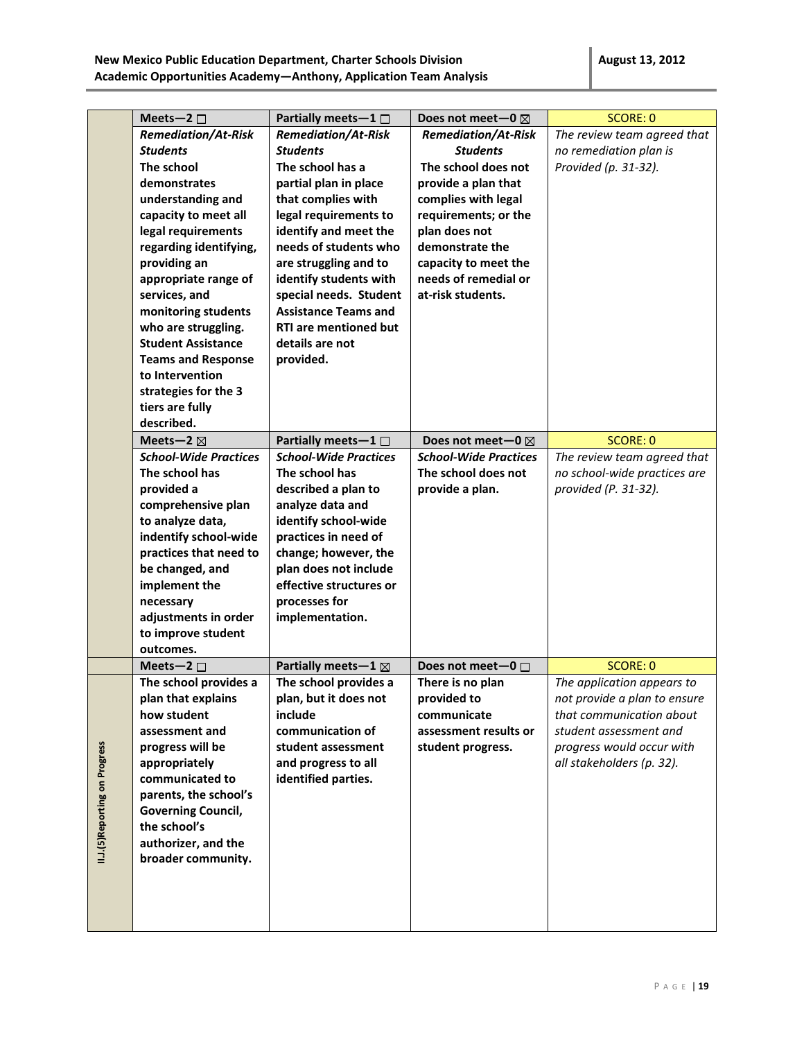|                                | Meets-2 $\square$                              | Partially meets $-1$ $\Box$                                 | Does not meet-0 $\boxtimes$                | <b>SCORE: 0</b>                                          |
|--------------------------------|------------------------------------------------|-------------------------------------------------------------|--------------------------------------------|----------------------------------------------------------|
|                                | <b>Remediation/At-Risk</b>                     | <b>Remediation/At-Risk</b>                                  | <b>Remediation/At-Risk</b>                 | The review team agreed that                              |
|                                | <b>Students</b>                                | <b>Students</b>                                             | <b>Students</b>                            | no remediation plan is                                   |
|                                | The school                                     | The school has a                                            | The school does not                        | Provided (p. 31-32).                                     |
|                                | demonstrates                                   | partial plan in place                                       | provide a plan that                        |                                                          |
|                                | understanding and                              | that complies with                                          | complies with legal                        |                                                          |
|                                |                                                | legal requirements to                                       |                                            |                                                          |
|                                | capacity to meet all                           |                                                             | requirements; or the                       |                                                          |
|                                | legal requirements                             | identify and meet the<br>needs of students who              | plan does not<br>demonstrate the           |                                                          |
|                                | regarding identifying,                         |                                                             |                                            |                                                          |
|                                | providing an                                   | are struggling and to                                       | capacity to meet the                       |                                                          |
|                                | appropriate range of                           | identify students with                                      | needs of remedial or<br>at-risk students.  |                                                          |
|                                | services, and                                  | special needs. Student                                      |                                            |                                                          |
|                                | monitoring students                            | <b>Assistance Teams and</b><br><b>RTI are mentioned but</b> |                                            |                                                          |
|                                | who are struggling.                            |                                                             |                                            |                                                          |
|                                | <b>Student Assistance</b>                      | details are not                                             |                                            |                                                          |
|                                | <b>Teams and Response</b>                      | provided.                                                   |                                            |                                                          |
|                                | to Intervention                                |                                                             |                                            |                                                          |
|                                | strategies for the 3                           |                                                             |                                            |                                                          |
|                                | tiers are fully                                |                                                             |                                            |                                                          |
|                                | described.                                     |                                                             |                                            |                                                          |
|                                | Meets-2 $\boxtimes$                            | Partially meets-1 $\Box$                                    | Does not meet-0 $\boxtimes$                | <b>SCORE: 0</b>                                          |
|                                | <b>School-Wide Practices</b><br>The school has | <b>School-Wide Practices</b>                                | <b>School-Wide Practices</b>               | The review team agreed that                              |
|                                |                                                | The school has                                              | The school does not                        | no school-wide practices are                             |
|                                | provided a                                     | described a plan to                                         | provide a plan.                            | provided (P. 31-32).                                     |
|                                | comprehensive plan                             | analyze data and                                            |                                            |                                                          |
|                                | to analyze data,                               | identify school-wide                                        |                                            |                                                          |
|                                | indentify school-wide                          | practices in need of                                        |                                            |                                                          |
|                                | practices that need to                         | change; however, the                                        |                                            |                                                          |
|                                | be changed, and                                | plan does not include<br>effective structures or            |                                            |                                                          |
|                                | implement the                                  |                                                             |                                            |                                                          |
|                                | necessary                                      | processes for                                               |                                            |                                                          |
|                                | adjustments in order<br>to improve student     | implementation.                                             |                                            |                                                          |
|                                |                                                |                                                             |                                            |                                                          |
|                                | outcomes.                                      |                                                             |                                            | <b>SCORE: 0</b>                                          |
|                                | Meets-2 $\square$<br>The school provides a     | Partially meets-1 $\boxtimes$                               | Does not meet-0 $\Box$                     |                                                          |
|                                |                                                | The school provides a                                       | There is no plan                           | The application appears to                               |
|                                | plan that explains<br>how student              | plan, but it does not<br>include                            | provided to<br>communicate                 | not provide a plan to ensure<br>that communication about |
|                                |                                                |                                                             |                                            | student assessment and                                   |
|                                | assessment and<br>progress will be             | communication of<br>student assessment                      | assessment results or<br>student progress. | progress would occur with                                |
|                                | appropriately                                  | and progress to all                                         |                                            | all stakeholders (p. 32).                                |
|                                | communicated to                                | identified parties.                                         |                                            |                                                          |
|                                | parents, the school's                          |                                                             |                                            |                                                          |
|                                | <b>Governing Council,</b>                      |                                                             |                                            |                                                          |
|                                | the school's                                   |                                                             |                                            |                                                          |
|                                | authorizer, and the                            |                                                             |                                            |                                                          |
| II.J.(5) Reporting on Progress | broader community.                             |                                                             |                                            |                                                          |
|                                |                                                |                                                             |                                            |                                                          |
|                                |                                                |                                                             |                                            |                                                          |
|                                |                                                |                                                             |                                            |                                                          |
|                                |                                                |                                                             |                                            |                                                          |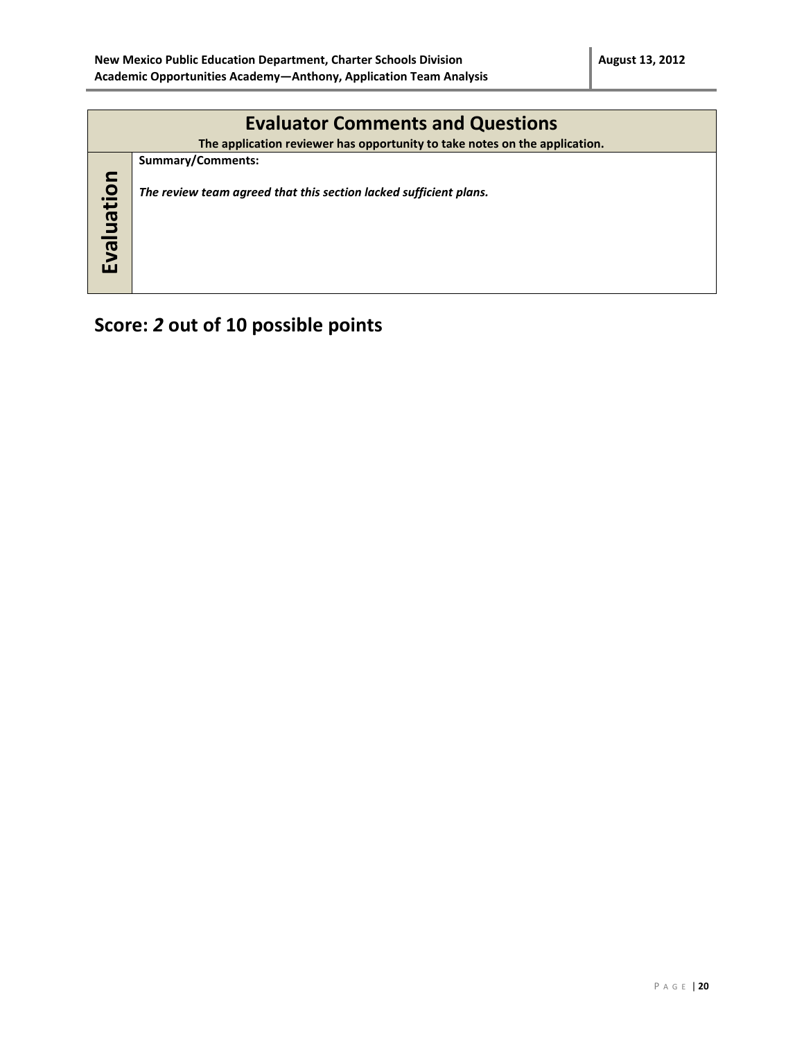| <b>Evaluator Comments and Questions</b> |                                                                            |  |  |  |  |  |
|-----------------------------------------|----------------------------------------------------------------------------|--|--|--|--|--|
|                                         | The application reviewer has opportunity to take notes on the application. |  |  |  |  |  |
|                                         | Summary/Comments:                                                          |  |  |  |  |  |
| Evaluation                              | The review team agreed that this section lacked sufficient plans.          |  |  |  |  |  |

# **Score:** *2* **out of 10 possible points**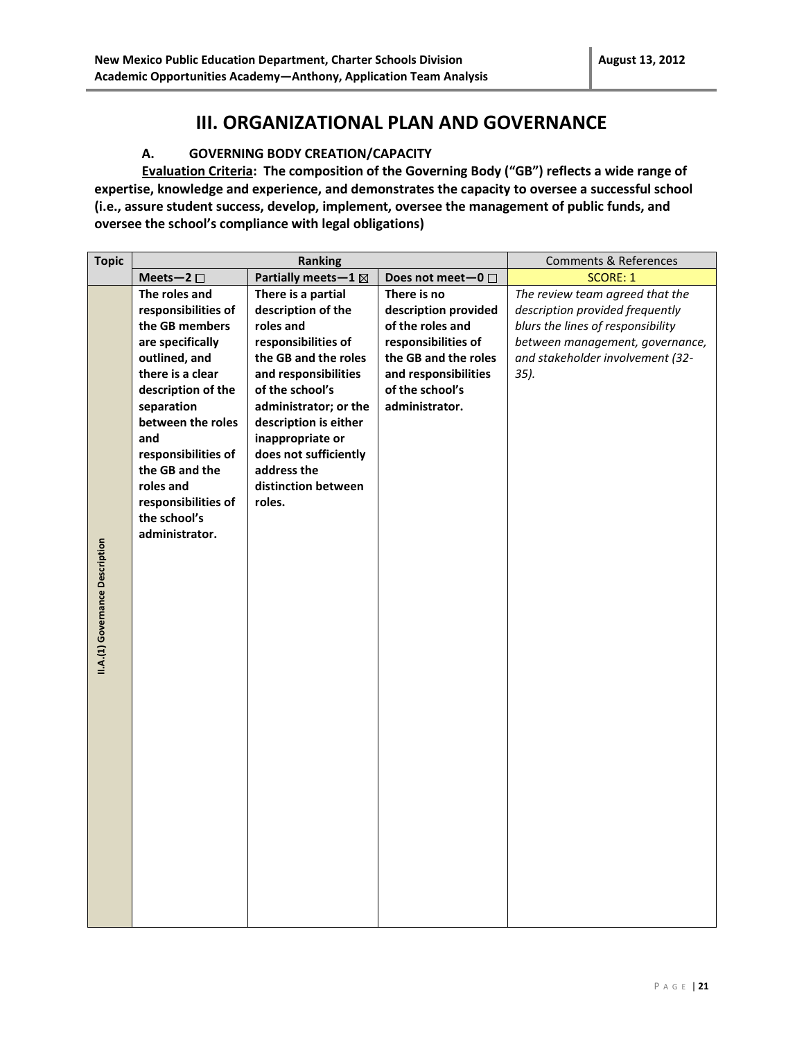### **III. ORGANIZATIONAL PLAN AND GOVERNANCE**

#### **A. GOVERNING BODY CREATION/CAPACITY**

**Evaluation Criteria: The composition of the Governing Body ("GB") reflects a wide range of expertise, knowledge and experience, and demonstrates the capacity to oversee a successful school (i.e., assure student success, develop, implement, oversee the management of public funds, and oversee the school's compliance with legal obligations)**

| <b>Topic</b>                    |                                                                                                                                                                                                                                                                                                | Ranking                                                                                                                                                                                                                                                                                        |                                                                                                                                                                     | <b>Comments &amp; References</b>                                                                                                                                                          |
|---------------------------------|------------------------------------------------------------------------------------------------------------------------------------------------------------------------------------------------------------------------------------------------------------------------------------------------|------------------------------------------------------------------------------------------------------------------------------------------------------------------------------------------------------------------------------------------------------------------------------------------------|---------------------------------------------------------------------------------------------------------------------------------------------------------------------|-------------------------------------------------------------------------------------------------------------------------------------------------------------------------------------------|
|                                 | Meets-2 $\square$                                                                                                                                                                                                                                                                              | Partially meets-1 $\boxtimes$                                                                                                                                                                                                                                                                  | Does not meet-0 $\Box$                                                                                                                                              | <b>SCORE: 1</b>                                                                                                                                                                           |
| II.A.(1) Governance Description | The roles and<br>responsibilities of<br>the GB members<br>are specifically<br>outlined, and<br>there is a clear<br>description of the<br>separation<br>between the roles<br>and<br>responsibilities of<br>the GB and the<br>roles and<br>responsibilities of<br>the school's<br>administrator. | There is a partial<br>description of the<br>roles and<br>responsibilities of<br>the GB and the roles<br>and responsibilities<br>of the school's<br>administrator; or the<br>description is either<br>inappropriate or<br>does not sufficiently<br>address the<br>distinction between<br>roles. | There is no<br>description provided<br>of the roles and<br>responsibilities of<br>the GB and the roles<br>and responsibilities<br>of the school's<br>administrator. | The review team agreed that the<br>description provided frequently<br>blurs the lines of responsibility<br>between management, governance,<br>and stakeholder involvement (32-<br>$35$ ). |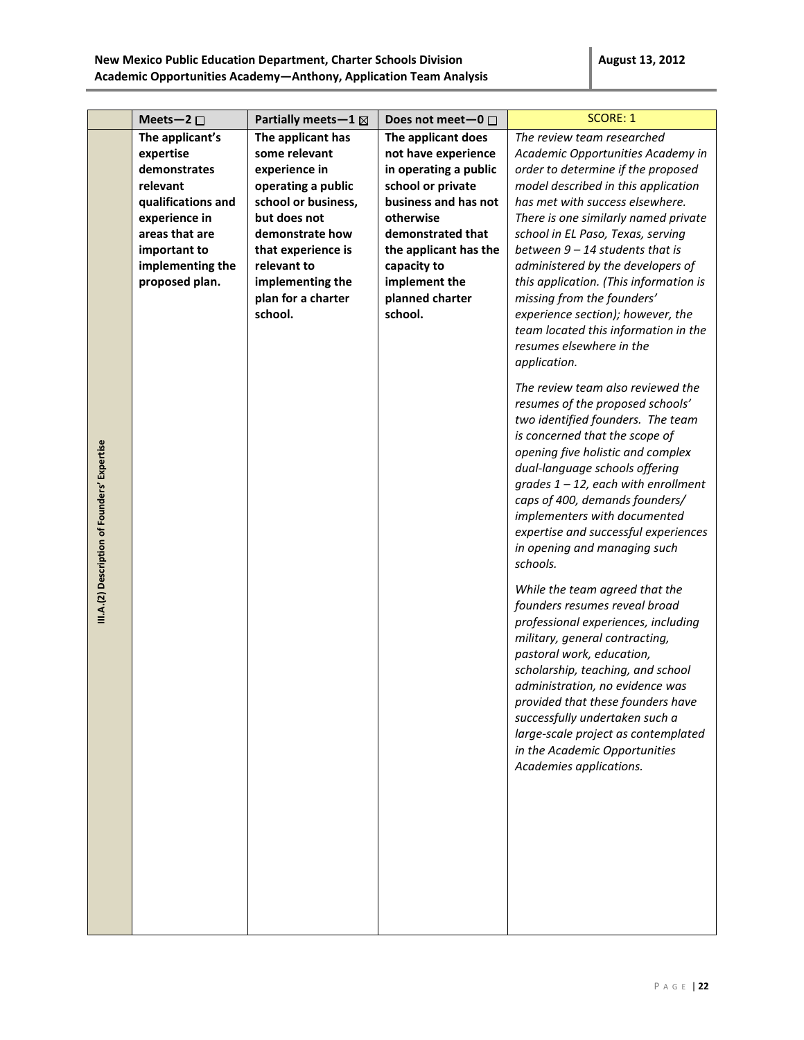|                                              | Meets-2 $\square$  | Partially meets - $1 \boxtimes$ | Does not meet-0 $\Box$ | <b>SCORE: 1</b>                                                 |
|----------------------------------------------|--------------------|---------------------------------|------------------------|-----------------------------------------------------------------|
|                                              | The applicant's    | The applicant has               | The applicant does     | The review team researched                                      |
|                                              | expertise          | some relevant                   | not have experience    | Academic Opportunities Academy in                               |
|                                              | demonstrates       | experience in                   | in operating a public  | order to determine if the proposed                              |
|                                              | relevant           | operating a public              | school or private      | model described in this application                             |
|                                              | qualifications and | school or business,             | business and has not   | has met with success elsewhere.                                 |
|                                              | experience in      | but does not                    | otherwise              | There is one similarly named private                            |
|                                              | areas that are     | demonstrate how                 | demonstrated that      | school in EL Paso, Texas, serving                               |
|                                              | important to       | that experience is              | the applicant has the  | between $9 - 14$ students that is                               |
|                                              | implementing the   | relevant to                     | capacity to            | administered by the developers of                               |
|                                              | proposed plan.     | implementing the                | implement the          | this application. (This information is                          |
|                                              |                    | plan for a charter              | planned charter        | missing from the founders'                                      |
|                                              |                    | school.                         | school.                | experience section); however, the                               |
|                                              |                    |                                 |                        | team located this information in the                            |
|                                              |                    |                                 |                        | resumes elsewhere in the                                        |
|                                              |                    |                                 |                        | application.                                                    |
|                                              |                    |                                 |                        | The review team also reviewed the                               |
|                                              |                    |                                 |                        | resumes of the proposed schools'                                |
|                                              |                    |                                 |                        | two identified founders. The team                               |
|                                              |                    |                                 |                        | is concerned that the scope of                                  |
|                                              |                    |                                 |                        | opening five holistic and complex                               |
|                                              |                    |                                 |                        | dual-language schools offering                                  |
|                                              |                    |                                 |                        | $grades 1 - 12$ , each with enrollment                          |
|                                              |                    |                                 |                        | caps of 400, demands founders/                                  |
|                                              |                    |                                 |                        | implementers with documented                                    |
|                                              |                    |                                 |                        | expertise and successful experiences                            |
|                                              |                    |                                 |                        | in opening and managing such                                    |
|                                              |                    |                                 |                        | schools.                                                        |
| III.A.(2) Description of Founders' Expertise |                    |                                 |                        |                                                                 |
|                                              |                    |                                 |                        | While the team agreed that the<br>founders resumes reveal broad |
|                                              |                    |                                 |                        | professional experiences, including                             |
|                                              |                    |                                 |                        | military, general contracting,                                  |
|                                              |                    |                                 |                        | pastoral work, education,                                       |
|                                              |                    |                                 |                        | scholarship, teaching, and school                               |
|                                              |                    |                                 |                        | administration, no evidence was                                 |
|                                              |                    |                                 |                        | provided that these founders have                               |
|                                              |                    |                                 |                        | successfully undertaken such a                                  |
|                                              |                    |                                 |                        | large-scale project as contemplated                             |
|                                              |                    |                                 |                        | in the Academic Opportunities                                   |
|                                              |                    |                                 |                        | Academies applications.                                         |
|                                              |                    |                                 |                        |                                                                 |
|                                              |                    |                                 |                        |                                                                 |
|                                              |                    |                                 |                        |                                                                 |
|                                              |                    |                                 |                        |                                                                 |
|                                              |                    |                                 |                        |                                                                 |
|                                              |                    |                                 |                        |                                                                 |
|                                              |                    |                                 |                        |                                                                 |
|                                              |                    |                                 |                        |                                                                 |
|                                              |                    |                                 |                        |                                                                 |
|                                              |                    |                                 |                        |                                                                 |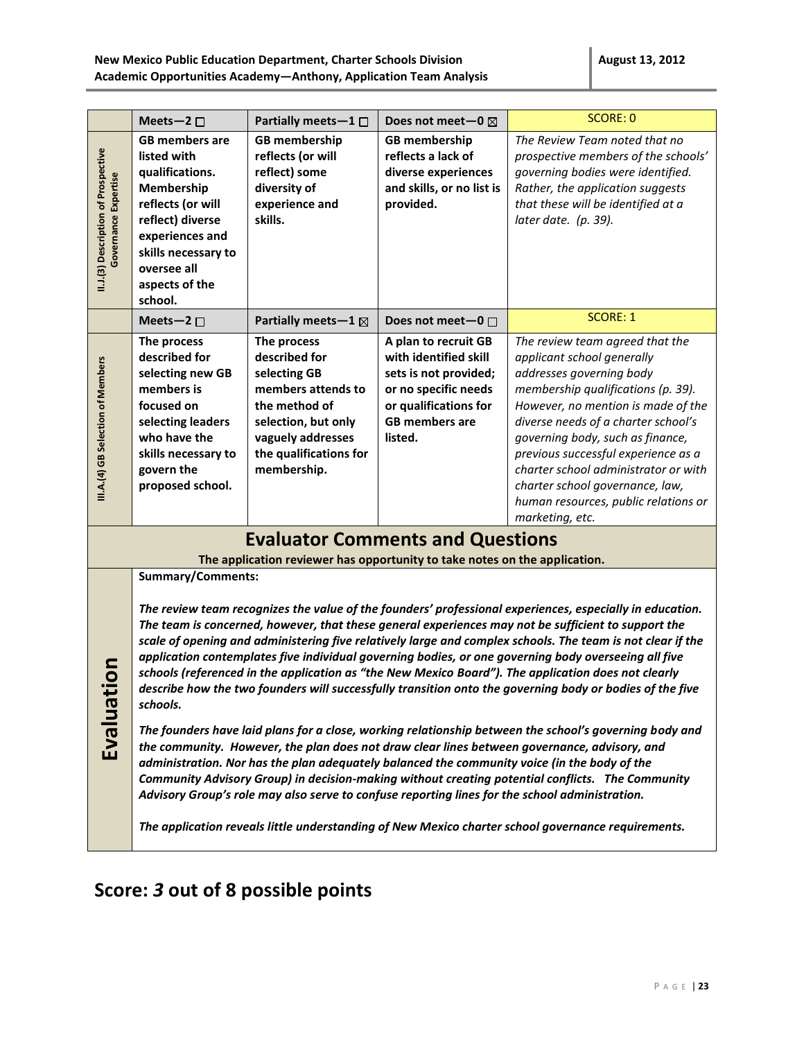|                                                             | Meets-2 $\square$                                                                                                                                                                                                                                                                                                                                                                                                                                                                                                                                                                                                                                                                                                                                                                                                                                                                                                                                                                                                                                                                                                                                                                                                                                                                                                                                                                                    | Partially meets-1 $\square$                                                                                                                                              | Does not meet - 0 $\boxtimes$                                                                                                                               | <b>SCORE: 0</b>                                                                                                                                                                                                                                                                                                                                                                                                               |  |
|-------------------------------------------------------------|------------------------------------------------------------------------------------------------------------------------------------------------------------------------------------------------------------------------------------------------------------------------------------------------------------------------------------------------------------------------------------------------------------------------------------------------------------------------------------------------------------------------------------------------------------------------------------------------------------------------------------------------------------------------------------------------------------------------------------------------------------------------------------------------------------------------------------------------------------------------------------------------------------------------------------------------------------------------------------------------------------------------------------------------------------------------------------------------------------------------------------------------------------------------------------------------------------------------------------------------------------------------------------------------------------------------------------------------------------------------------------------------------|--------------------------------------------------------------------------------------------------------------------------------------------------------------------------|-------------------------------------------------------------------------------------------------------------------------------------------------------------|-------------------------------------------------------------------------------------------------------------------------------------------------------------------------------------------------------------------------------------------------------------------------------------------------------------------------------------------------------------------------------------------------------------------------------|--|
| II.J.(3) Description of Prospective<br>Governance Expertise | <b>GB members are</b><br>listed with<br>qualifications.<br>Membership<br>reflects (or will<br>reflect) diverse<br>experiences and<br>skills necessary to<br>oversee all<br>aspects of the<br>school.                                                                                                                                                                                                                                                                                                                                                                                                                                                                                                                                                                                                                                                                                                                                                                                                                                                                                                                                                                                                                                                                                                                                                                                                 | <b>GB</b> membership<br>reflects (or will<br>reflect) some<br>diversity of<br>experience and<br>skills.                                                                  | <b>GB</b> membership<br>reflects a lack of<br>diverse experiences<br>and skills, or no list is<br>provided.                                                 | The Review Team noted that no<br>prospective members of the schools'<br>governing bodies were identified.<br>Rather, the application suggests<br>that these will be identified at a<br>later date. (p. 39).                                                                                                                                                                                                                   |  |
|                                                             | Meets-2 $\square$                                                                                                                                                                                                                                                                                                                                                                                                                                                                                                                                                                                                                                                                                                                                                                                                                                                                                                                                                                                                                                                                                                                                                                                                                                                                                                                                                                                    | Partially meets-1 $\boxtimes$                                                                                                                                            | Does not meet-0 $\Box$                                                                                                                                      | <b>SCORE: 1</b>                                                                                                                                                                                                                                                                                                                                                                                                               |  |
| III.A.(4) GB Selection of Members                           | The process<br>described for<br>selecting new GB<br>members is<br>focused on<br>selecting leaders<br>who have the<br>skills necessary to<br>govern the<br>proposed school.                                                                                                                                                                                                                                                                                                                                                                                                                                                                                                                                                                                                                                                                                                                                                                                                                                                                                                                                                                                                                                                                                                                                                                                                                           | The process<br>described for<br>selecting GB<br>members attends to<br>the method of<br>selection, but only<br>vaguely addresses<br>the qualifications for<br>membership. | A plan to recruit GB<br>with identified skill<br>sets is not provided;<br>or no specific needs<br>or qualifications for<br><b>GB</b> members are<br>listed. | The review team agreed that the<br>applicant school generally<br>addresses governing body<br>membership qualifications (p. 39).<br>However, no mention is made of the<br>diverse needs of a charter school's<br>governing body, such as finance,<br>previous successful experience as a<br>charter school administrator or with<br>charter school governance, law,<br>human resources, public relations or<br>marketing, etc. |  |
|                                                             |                                                                                                                                                                                                                                                                                                                                                                                                                                                                                                                                                                                                                                                                                                                                                                                                                                                                                                                                                                                                                                                                                                                                                                                                                                                                                                                                                                                                      | <b>Evaluator Comments and Questions</b>                                                                                                                                  |                                                                                                                                                             |                                                                                                                                                                                                                                                                                                                                                                                                                               |  |
| 5<br>0<br>Evaluati                                          | The application reviewer has opportunity to take notes on the application.<br><b>Summary/Comments:</b><br>The review team recognizes the value of the founders' professional experiences, especially in education.<br>The team is concerned, however, that these general experiences may not be sufficient to support the<br>scale of opening and administering five relatively large and complex schools. The team is not clear if the<br>application contemplates five individual governing bodies, or one governing body overseeing all five<br>schools (referenced in the application as "the New Mexico Board"). The application does not clearly<br>describe how the two founders will successfully transition onto the governing body or bodies of the five<br>schools.<br>The founders have laid plans for a close, working relationship between the school's governing body and<br>the community. However, the plan does not draw clear lines between governance, advisory, and<br>administration. Nor has the plan adequately balanced the community voice (in the body of the<br>Community Advisory Group) in decision-making without creating potential conflicts. The Community<br>Advisory Group's role may also serve to confuse reporting lines for the school administration.<br>The application reveals little understanding of New Mexico charter school governance requirements. |                                                                                                                                                                          |                                                                                                                                                             |                                                                                                                                                                                                                                                                                                                                                                                                                               |  |

# **Score:** *3* **out of 8 possible points**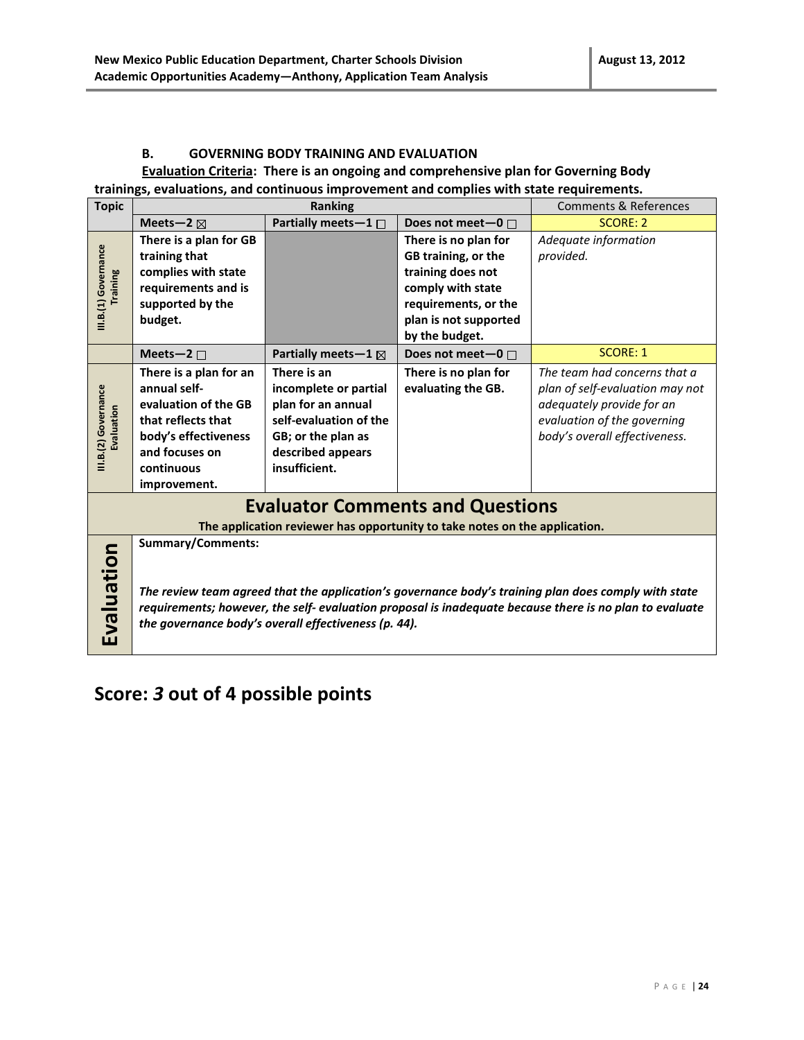#### **B. GOVERNING BODY TRAINING AND EVALUATION**

#### **Evaluation Criteria: There is an ongoing and comprehensive plan for Governing Body trainings, evaluations, and continuous improvement and complies with state requirements.**

| <b>Topic</b>                            |                                                                                                                                                                                                                                                                                                                                                                                   | <b>Ranking</b>                                                                                                                                   |                                                                                         | <b>Comments &amp; References</b>                                                                                                                             |  |
|-----------------------------------------|-----------------------------------------------------------------------------------------------------------------------------------------------------------------------------------------------------------------------------------------------------------------------------------------------------------------------------------------------------------------------------------|--------------------------------------------------------------------------------------------------------------------------------------------------|-----------------------------------------------------------------------------------------|--------------------------------------------------------------------------------------------------------------------------------------------------------------|--|
|                                         | Meets-2 $\boxtimes$                                                                                                                                                                                                                                                                                                                                                               | Partially meets-1 □                                                                                                                              | Does not meet-0 □                                                                       | <b>SCORE: 2</b>                                                                                                                                              |  |
|                                         | There is a plan for GB<br>training that                                                                                                                                                                                                                                                                                                                                           |                                                                                                                                                  | There is no plan for<br>GB training, or the                                             | Adequate information<br>provided.                                                                                                                            |  |
| III.B.(1) Governance<br><b>Training</b> | complies with state<br>requirements and is<br>supported by the<br>budget.                                                                                                                                                                                                                                                                                                         |                                                                                                                                                  | training does not<br>comply with state<br>requirements, or the<br>plan is not supported |                                                                                                                                                              |  |
|                                         | Meets-2 $\square$                                                                                                                                                                                                                                                                                                                                                                 | Partially meets-1 $\boxtimes$                                                                                                                    | by the budget.<br>Does not meet-0 $\Box$                                                | <b>SCORE: 1</b>                                                                                                                                              |  |
| III.B.(2) Governance<br>Evaluation      | There is a plan for an<br>annual self-<br>evaluation of the GB<br>that reflects that<br>body's effectiveness<br>and focuses on<br>continuous<br>improvement.                                                                                                                                                                                                                      | There is an<br>incomplete or partial<br>plan for an annual<br>self-evaluation of the<br>GB; or the plan as<br>described appears<br>insufficient. | There is no plan for<br>evaluating the GB.                                              | The team had concerns that a<br>plan of self-evaluation may not<br>adequately provide for an<br>evaluation of the governing<br>body's overall effectiveness. |  |
|                                         |                                                                                                                                                                                                                                                                                                                                                                                   |                                                                                                                                                  | <b>Evaluator Comments and Questions</b>                                                 |                                                                                                                                                              |  |
| Evaluation                              | The application reviewer has opportunity to take notes on the application.<br><b>Summary/Comments:</b><br>The review team agreed that the application's governance body's training plan does comply with state<br>requirements; however, the self- evaluation proposal is inadequate because there is no plan to evaluate<br>the governance body's overall effectiveness (p. 44). |                                                                                                                                                  |                                                                                         |                                                                                                                                                              |  |

## **Score:** *3* **out of 4 possible points**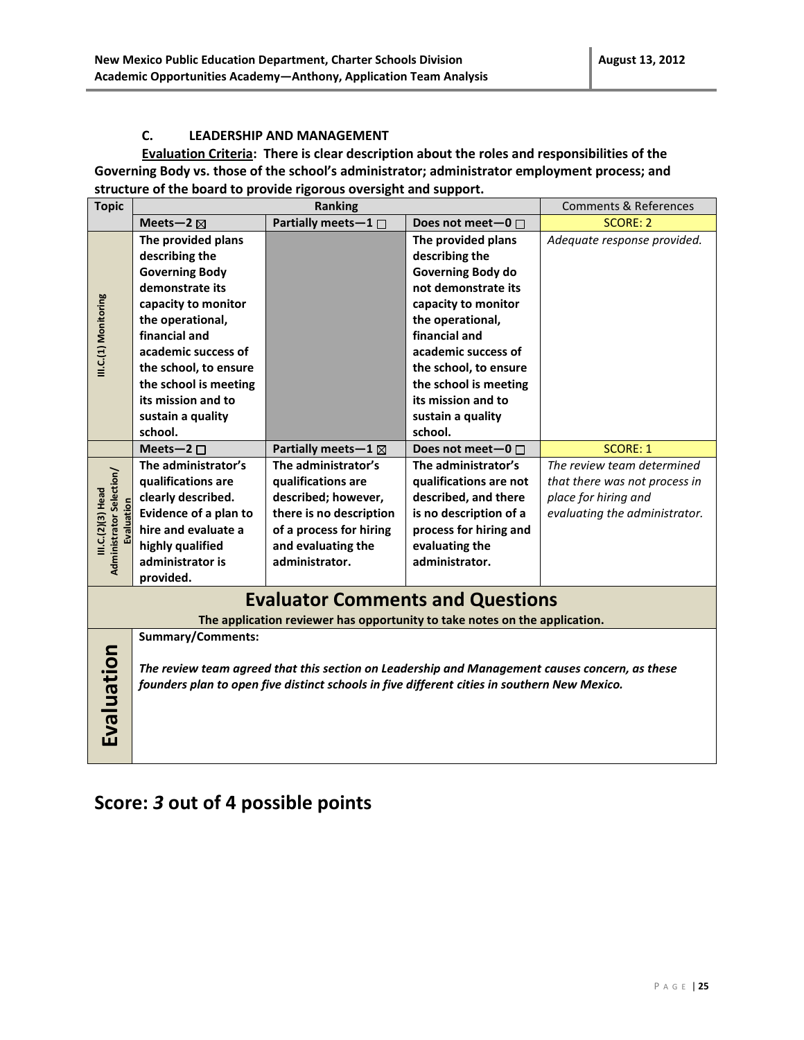#### **C. LEADERSHIP AND MANAGEMENT**

**Evaluation Criteria: There is clear description about the roles and responsibilities of the Governing Body vs. those of the school's administrator; administrator employment process; and structure of the board to provide rigorous oversight and support.**

| <b>Topic</b>                                                                                                 | <b>Ranking</b>           |                                                                                              |                          | <b>Comments &amp; References</b> |  |
|--------------------------------------------------------------------------------------------------------------|--------------------------|----------------------------------------------------------------------------------------------|--------------------------|----------------------------------|--|
|                                                                                                              | Meets-2 $\boxtimes$      | Partially meets-1 $\square$                                                                  | Does not meet-0 $\Box$   | <b>SCORE: 2</b>                  |  |
|                                                                                                              | The provided plans       |                                                                                              | The provided plans       | Adequate response provided.      |  |
|                                                                                                              | describing the           |                                                                                              | describing the           |                                  |  |
|                                                                                                              | <b>Governing Body</b>    |                                                                                              | <b>Governing Body do</b> |                                  |  |
|                                                                                                              | demonstrate its          |                                                                                              | not demonstrate its      |                                  |  |
|                                                                                                              | capacity to monitor      |                                                                                              | capacity to monitor      |                                  |  |
|                                                                                                              | the operational,         |                                                                                              | the operational,         |                                  |  |
| III.C.(1) Monitoring                                                                                         | financial and            |                                                                                              | financial and            |                                  |  |
|                                                                                                              | academic success of      |                                                                                              | academic success of      |                                  |  |
|                                                                                                              | the school, to ensure    |                                                                                              | the school, to ensure    |                                  |  |
|                                                                                                              | the school is meeting    |                                                                                              | the school is meeting    |                                  |  |
|                                                                                                              | its mission and to       |                                                                                              | its mission and to       |                                  |  |
|                                                                                                              | sustain a quality        |                                                                                              | sustain a quality        |                                  |  |
|                                                                                                              | school.                  |                                                                                              | school.                  |                                  |  |
|                                                                                                              | Meets-2 $\square$        | Partially meets-1 $\boxtimes$                                                                | Does not meet-0 $\Box$   | <b>SCORE: 1</b>                  |  |
|                                                                                                              | The administrator's      | The administrator's                                                                          | The administrator's      | The review team determined       |  |
|                                                                                                              | qualifications are       | qualifications are                                                                           | qualifications are not   | that there was not process in    |  |
|                                                                                                              | clearly described.       | described; however,                                                                          | described, and there     | place for hiring and             |  |
| Administrator Selection/<br>III.C.(2)(3) Head<br>Evaluation                                                  | Evidence of a plan to    | there is no description                                                                      | is no description of a   | evaluating the administrator.    |  |
|                                                                                                              | hire and evaluate a      | of a process for hiring                                                                      | process for hiring and   |                                  |  |
|                                                                                                              | highly qualified         | and evaluating the                                                                           | evaluating the           |                                  |  |
|                                                                                                              | administrator is         | administrator.                                                                               | administrator.           |                                  |  |
|                                                                                                              | provided.                |                                                                                              |                          |                                  |  |
|                                                                                                              |                          | <b>Evaluator Comments and Questions</b>                                                      |                          |                                  |  |
|                                                                                                              |                          | The application reviewer has opportunity to take notes on the application.                   |                          |                                  |  |
|                                                                                                              | <b>Summary/Comments:</b> |                                                                                              |                          |                                  |  |
| Evaluation<br>The review team agreed that this section on Leadership and Management causes concern, as these |                          |                                                                                              |                          |                                  |  |
|                                                                                                              |                          | founders plan to open five distinct schools in five different cities in southern New Mexico. |                          |                                  |  |
|                                                                                                              |                          |                                                                                              |                          |                                  |  |
|                                                                                                              |                          |                                                                                              |                          |                                  |  |
|                                                                                                              |                          |                                                                                              |                          |                                  |  |
|                                                                                                              |                          |                                                                                              |                          |                                  |  |

### **Score:** *3* **out of 4 possible points**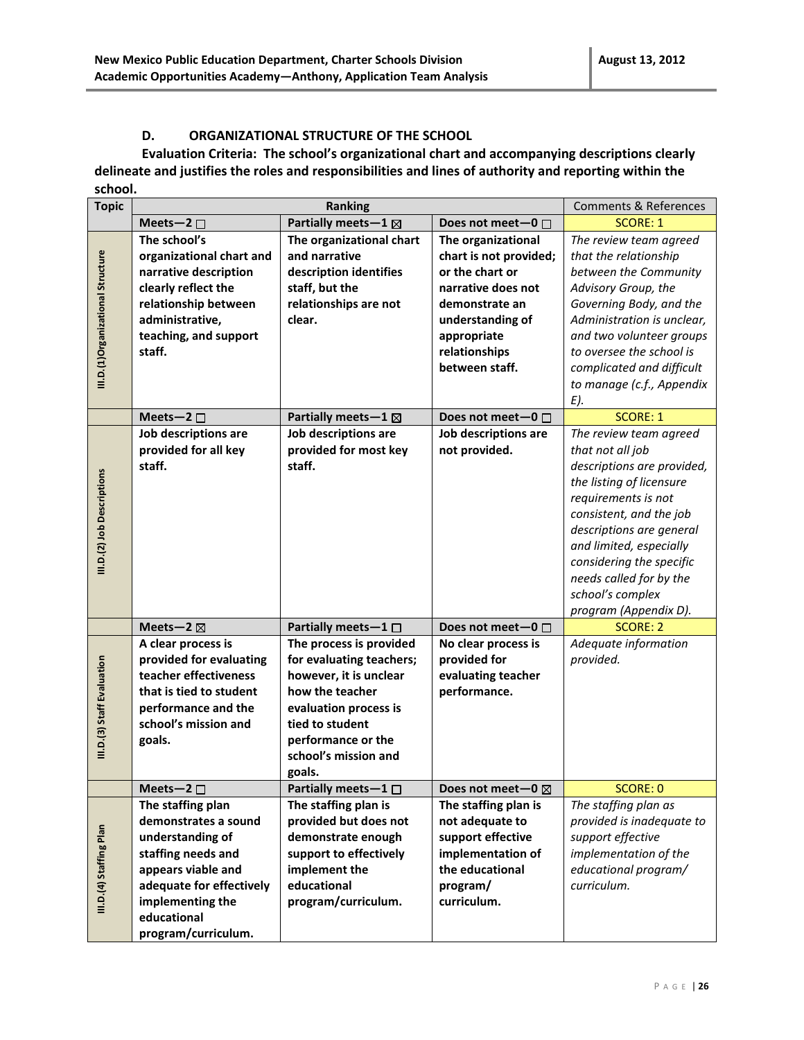#### **D. ORGANIZATIONAL STRUCTURE OF THE SCHOOL**

**Evaluation Criteria: The school's organizational chart and accompanying descriptions clearly delineate and justifies the roles and responsibilities and lines of authority and reporting within the school.** 

| <b>Topic</b>                      |                                           | <b>Ranking</b>                  |                        |                                         |
|-----------------------------------|-------------------------------------------|---------------------------------|------------------------|-----------------------------------------|
|                                   | Meets-2 $\square$                         | Partially meets-1 $\boxtimes$   | Does not meet-0 □      | <b>SCORE: 1</b>                         |
|                                   | The school's                              | The organizational chart        | The organizational     | The review team agreed                  |
|                                   | organizational chart and                  | and narrative                   | chart is not provided; | that the relationship                   |
|                                   | narrative description                     | description identifies          | or the chart or        | between the Community                   |
|                                   | clearly reflect the                       | staff, but the                  | narrative does not     | Advisory Group, the                     |
|                                   | relationship between                      | relationships are not           | demonstrate an         | Governing Body, and the                 |
|                                   | administrative,                           | clear.                          | understanding of       | Administration is unclear,              |
|                                   | teaching, and support                     |                                 | appropriate            | and two volunteer groups                |
|                                   | staff.                                    |                                 | relationships          | to oversee the school is                |
| III.D.(1)Organizational Structure |                                           |                                 | between staff.         | complicated and difficult               |
|                                   |                                           |                                 |                        | to manage (c.f., Appendix               |
|                                   |                                           |                                 |                        | E).                                     |
|                                   | Meets-2 $\square$                         | Partially meets - $1 \boxtimes$ | Does not meet-0 $\Box$ | <b>SCORE: 1</b>                         |
|                                   | Job descriptions are                      | Job descriptions are            | Job descriptions are   | The review team agreed                  |
|                                   | provided for all key                      | provided for most key           | not provided.          | that not all job                        |
|                                   | staff.                                    | staff.                          |                        | descriptions are provided,              |
| III.D.(2) Job Descriptions        |                                           |                                 |                        | the listing of licensure                |
|                                   |                                           |                                 |                        | requirements is not                     |
|                                   |                                           |                                 |                        | consistent, and the job                 |
|                                   |                                           |                                 |                        | descriptions are general                |
|                                   |                                           |                                 |                        | and limited, especially                 |
|                                   |                                           |                                 |                        | considering the specific                |
|                                   |                                           |                                 |                        | needs called for by the                 |
|                                   |                                           |                                 |                        | school's complex                        |
|                                   |                                           |                                 |                        | program (Appendix D).                   |
|                                   |                                           |                                 |                        |                                         |
|                                   |                                           |                                 |                        |                                         |
|                                   | Meets-2 $\boxtimes$                       | Partially meets-1 □             | Does not meet-0 □      | <b>SCORE: 2</b>                         |
|                                   | A clear process is                        | The process is provided         | No clear process is    | Adequate information                    |
|                                   | provided for evaluating                   | for evaluating teachers;        | provided for           | provided.                               |
|                                   | teacher effectiveness                     | however, it is unclear          | evaluating teacher     |                                         |
|                                   | that is tied to student                   | how the teacher                 | performance.           |                                         |
|                                   | performance and the                       | evaluation process is           |                        |                                         |
|                                   | school's mission and                      | tied to student                 |                        |                                         |
|                                   | goals.                                    | performance or the              |                        |                                         |
| III.D.(3) Staff Evaluation        |                                           | school's mission and            |                        |                                         |
|                                   |                                           | goals.                          |                        |                                         |
|                                   | Meets-2 $\square$                         | Partially meets $-1$ $\Box$     | Does not meet-0 ⊠      | <b>SCORE: 0</b><br>The staffing plan as |
|                                   | The staffing plan<br>demonstrates a sound | The staffing plan is            | The staffing plan is   |                                         |
|                                   |                                           | provided but does not           | not adequate to        | provided is inadequate to               |
|                                   | understanding of                          | demonstrate enough              | support effective      | support effective                       |
|                                   | staffing needs and                        | support to effectively          | implementation of      | implementation of the                   |
|                                   | appears viable and                        | implement the                   | the educational        | educational program/                    |
|                                   | adequate for effectively                  | educational                     | program/               | curriculum.                             |
| III.D.(4) Staffing Plan           | implementing the<br>educational           | program/curriculum.             | curriculum.            |                                         |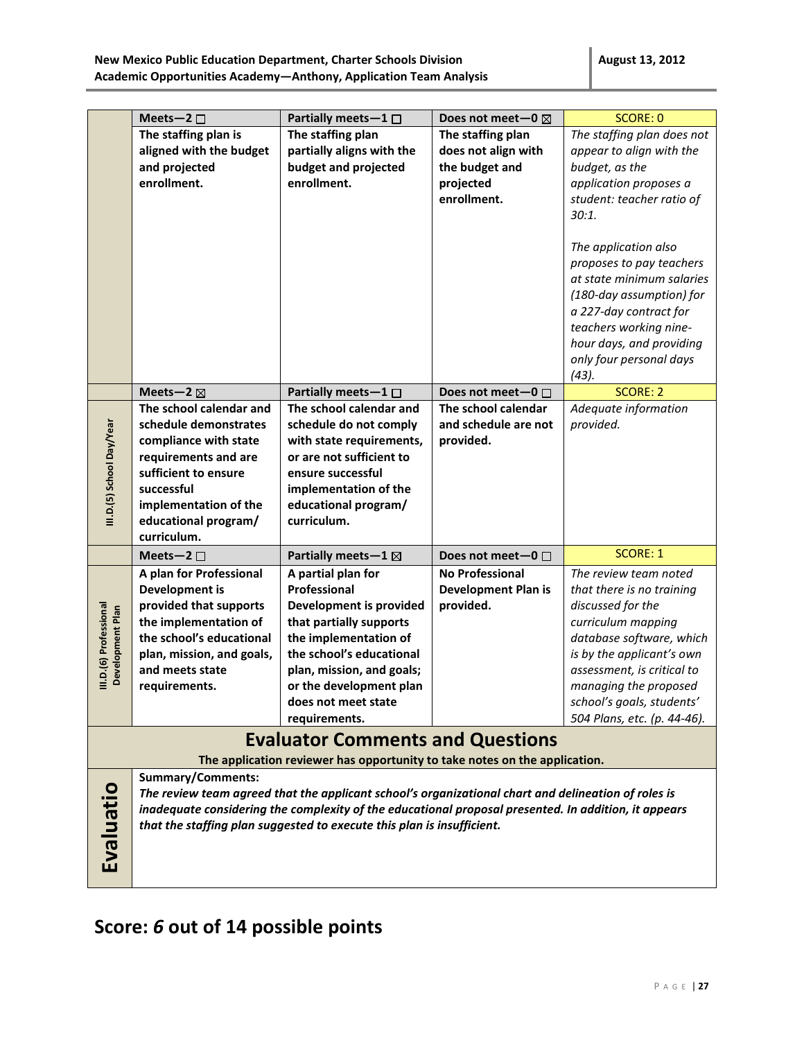|                                            | Meets-2 $\square$         | Partially meets $-1$ $\Box$                                                                          | Does not meet-0 $\boxtimes$ | <b>SCORE: 0</b>             |
|--------------------------------------------|---------------------------|------------------------------------------------------------------------------------------------------|-----------------------------|-----------------------------|
|                                            | The staffing plan is      | The staffing plan                                                                                    | The staffing plan           | The staffing plan does not  |
|                                            | aligned with the budget   | partially aligns with the                                                                            | does not align with         | appear to align with the    |
|                                            | and projected             | budget and projected                                                                                 | the budget and              | budget, as the              |
|                                            | enrollment.               | enrollment.                                                                                          | projected                   | application proposes a      |
|                                            |                           |                                                                                                      | enrollment.                 | student: teacher ratio of   |
|                                            |                           |                                                                                                      |                             | 30:1.                       |
|                                            |                           |                                                                                                      |                             |                             |
|                                            |                           |                                                                                                      |                             | The application also        |
|                                            |                           |                                                                                                      |                             | proposes to pay teachers    |
|                                            |                           |                                                                                                      |                             | at state minimum salaries   |
|                                            |                           |                                                                                                      |                             | (180-day assumption) for    |
|                                            |                           |                                                                                                      |                             | a 227-day contract for      |
|                                            |                           |                                                                                                      |                             | teachers working nine-      |
|                                            |                           |                                                                                                      |                             | hour days, and providing    |
|                                            |                           |                                                                                                      |                             | only four personal days     |
|                                            |                           |                                                                                                      |                             | $(43)$ .                    |
|                                            | Meets-2 $\boxtimes$       | Partially meets $-1$ $\Box$                                                                          | Does not meet-0 $\Box$      | <b>SCORE: 2</b>             |
|                                            | The school calendar and   | The school calendar and                                                                              | The school calendar         | Adequate information        |
|                                            | schedule demonstrates     | schedule do not comply                                                                               | and schedule are not        | provided.                   |
|                                            | compliance with state     | with state requirements,                                                                             | provided.                   |                             |
|                                            | requirements and are      | or are not sufficient to                                                                             |                             |                             |
|                                            | sufficient to ensure      | ensure successful                                                                                    |                             |                             |
|                                            | successful                | implementation of the                                                                                |                             |                             |
| III.D.(5) School Day/Year                  | implementation of the     | educational program/                                                                                 |                             |                             |
|                                            | educational program/      | curriculum.                                                                                          |                             |                             |
|                                            | curriculum.               |                                                                                                      |                             |                             |
|                                            | Meets-2 $\square$         | Partially meets-1 ⊠                                                                                  | Does not meet-0 $\Box$      | <b>SCORE: 1</b>             |
|                                            | A plan for Professional   | A partial plan for                                                                                   | <b>No Professional</b>      | The review team noted       |
|                                            | <b>Development is</b>     | Professional                                                                                         | <b>Development Plan is</b>  | that there is no training   |
|                                            | provided that supports    | Development is provided                                                                              | provided.                   | discussed for the           |
| III.D.(6) Professional<br>Development Plan | the implementation of     | that partially supports                                                                              |                             | curriculum mapping          |
|                                            | the school's educational  | the implementation of                                                                                |                             | database software, which    |
|                                            | plan, mission, and goals, | the school's educational                                                                             |                             | is by the applicant's own   |
|                                            | and meets state           | plan, mission, and goals;                                                                            |                             | assessment, is critical to  |
|                                            | requirements.             | or the development plan                                                                              |                             | managing the proposed       |
|                                            |                           | does not meet state                                                                                  |                             | school's goals, students'   |
|                                            |                           | requirements.                                                                                        |                             | 504 Plans, etc. (p. 44-46). |
|                                            |                           | <b>Evaluator Comments and Questions</b>                                                              |                             |                             |
|                                            |                           | The application reviewer has opportunity to take notes on the application.                           |                             |                             |
|                                            | <b>Summary/Comments:</b>  |                                                                                                      |                             |                             |
|                                            |                           | The review team agreed that the applicant school's organizational chart and delineation of roles is  |                             |                             |
|                                            |                           | inadequate considering the complexity of the educational proposal presented. In addition, it appears |                             |                             |
|                                            |                           | that the staffing plan suggested to execute this plan is insufficient.                               |                             |                             |
|                                            |                           |                                                                                                      |                             |                             |
| Evaluatio                                  |                           |                                                                                                      |                             |                             |
|                                            |                           |                                                                                                      |                             |                             |
|                                            |                           |                                                                                                      |                             |                             |

# **Score:** *6* **out of 14 possible points**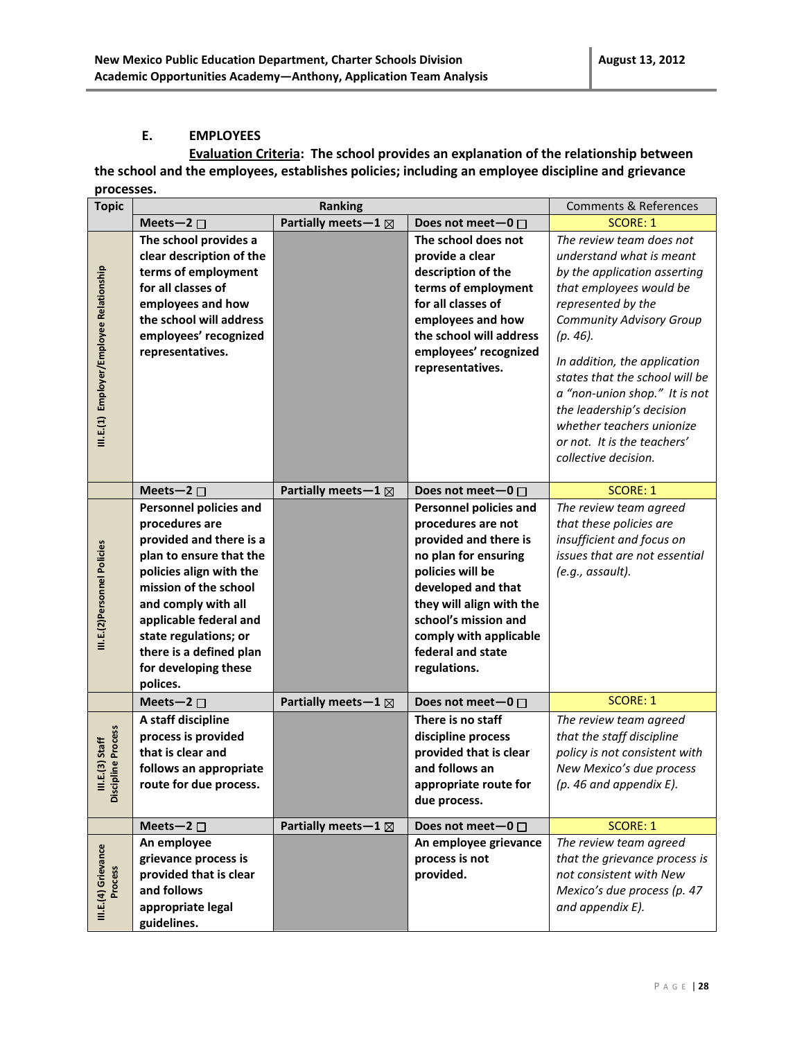#### **E. EMPLOYEES**

**Evaluation Criteria: The school provides an explanation of the relationship between the school and the employees, establishes policies; including an employee discipline and grievance processes.**

| <b>Topic</b>                             | <b>Ranking</b>                                                                                                                                                                                                                                                                                     |                                 | <b>Comments &amp; References</b>                                                                                                                                                                                                                                  |                                                                                                                                                                                                                                                                                                                                                                                                             |
|------------------------------------------|----------------------------------------------------------------------------------------------------------------------------------------------------------------------------------------------------------------------------------------------------------------------------------------------------|---------------------------------|-------------------------------------------------------------------------------------------------------------------------------------------------------------------------------------------------------------------------------------------------------------------|-------------------------------------------------------------------------------------------------------------------------------------------------------------------------------------------------------------------------------------------------------------------------------------------------------------------------------------------------------------------------------------------------------------|
|                                          | Meets-2 $\square$                                                                                                                                                                                                                                                                                  | Partially meets - $1 \boxtimes$ | Does not meet-0 □                                                                                                                                                                                                                                                 | <b>SCORE: 1</b>                                                                                                                                                                                                                                                                                                                                                                                             |
| III.E.(1) Employer/Employee Relationship | The school provides a<br>clear description of the<br>terms of employment<br>for all classes of<br>employees and how<br>the school will address<br>employees' recognized<br>representatives.                                                                                                        |                                 | The school does not<br>provide a clear<br>description of the<br>terms of employment<br>for all classes of<br>employees and how<br>the school will address<br>employees' recognized<br>representatives.                                                            | The review team does not<br>understand what is meant<br>by the application asserting<br>that employees would be<br>represented by the<br><b>Community Advisory Group</b><br>$(p. 46)$ .<br>In addition, the application<br>states that the school will be<br>a "non-union shop." It is not<br>the leadership's decision<br>whether teachers unionize<br>or not. It is the teachers'<br>collective decision. |
|                                          | Meets-2 $\square$                                                                                                                                                                                                                                                                                  | Partially meets - $1 \boxtimes$ | Does not meet-0 $\Box$                                                                                                                                                                                                                                            | <b>SCORE: 1</b>                                                                                                                                                                                                                                                                                                                                                                                             |
| III.E.(2)Personnel Policies              | <b>Personnel policies and</b><br>procedures are<br>provided and there is a<br>plan to ensure that the<br>policies align with the<br>mission of the school<br>and comply with all<br>applicable federal and<br>state regulations; or<br>there is a defined plan<br>for developing these<br>polices. |                                 | <b>Personnel policies and</b><br>procedures are not<br>provided and there is<br>no plan for ensuring<br>policies will be<br>developed and that<br>they will align with the<br>school's mission and<br>comply with applicable<br>federal and state<br>regulations. | The review team agreed<br>that these policies are<br>insufficient and focus on<br>issues that are not essential<br>(e.g., assault).                                                                                                                                                                                                                                                                         |
|                                          | Meets-2 $\square$                                                                                                                                                                                                                                                                                  | Partially meets-1 $\boxtimes$   | Does not meet-0 $\square$                                                                                                                                                                                                                                         | <b>SCORE: 1</b>                                                                                                                                                                                                                                                                                                                                                                                             |
| cipline Process<br>III.E.(3) Staff<br>ä  | A staff discipline<br>process is provided<br>that is clear and<br>follows an appropriate<br>route for due process.                                                                                                                                                                                 |                                 | There is no staff<br>discipline process<br>provided that is clear<br>and follows an<br>appropriate route for<br>due process.                                                                                                                                      | The review team agreed<br>that the staff discipline<br>policy is not consistent with<br>New Mexico's due process<br>$(p. 46$ and appendix $E$ ).                                                                                                                                                                                                                                                            |
|                                          | Meets-2 $\square$                                                                                                                                                                                                                                                                                  | Partially meets-1 $\boxtimes$   | Does not meet-0 □                                                                                                                                                                                                                                                 | <b>SCORE: 1</b>                                                                                                                                                                                                                                                                                                                                                                                             |
| III.E.(4) Grievance<br>Process           | An employee<br>grievance process is<br>provided that is clear<br>and follows<br>appropriate legal<br>guidelines.                                                                                                                                                                                   |                                 | An employee grievance<br>process is not<br>provided.                                                                                                                                                                                                              | The review team agreed<br>that the grievance process is<br>not consistent with New<br>Mexico's due process (p. 47<br>and appendix E).                                                                                                                                                                                                                                                                       |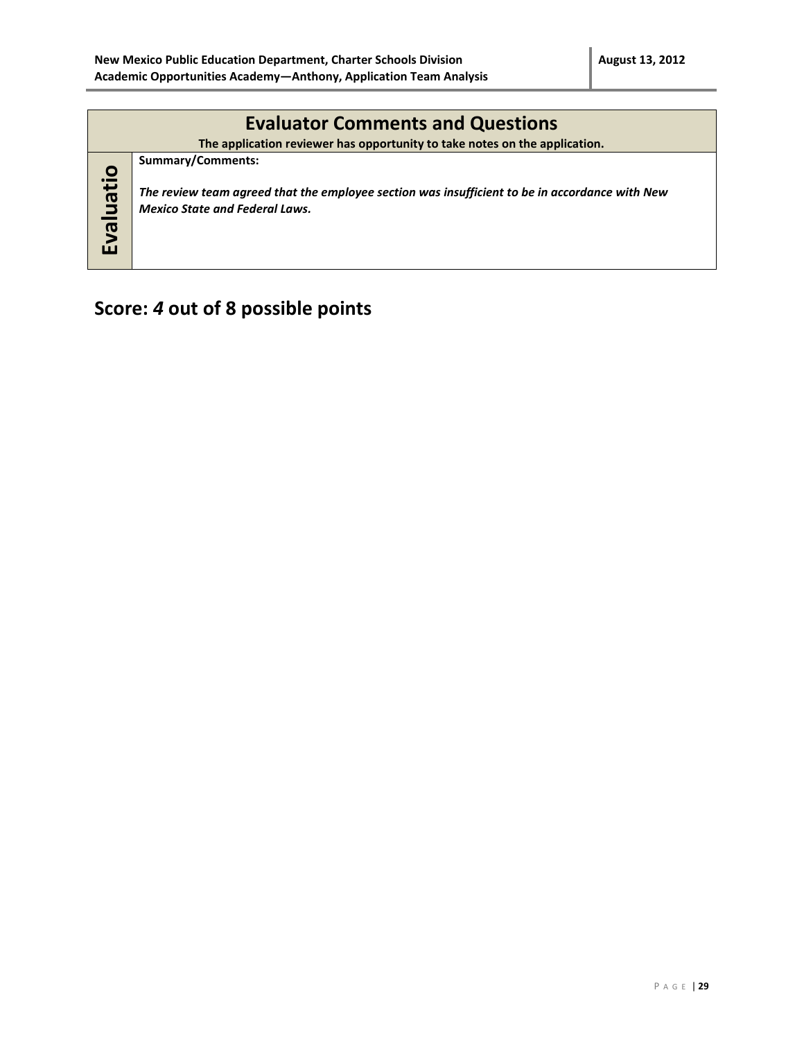|           | <b>Evaluator Comments and Questions</b><br>The application reviewer has opportunity to take notes on the application.                                        |
|-----------|--------------------------------------------------------------------------------------------------------------------------------------------------------------|
| Evaluatio | Summary/Comments:<br>The review team agreed that the employee section was insufficient to be in accordance with New<br><b>Mexico State and Federal Laws.</b> |

## **Score:** *4* **out of 8 possible points**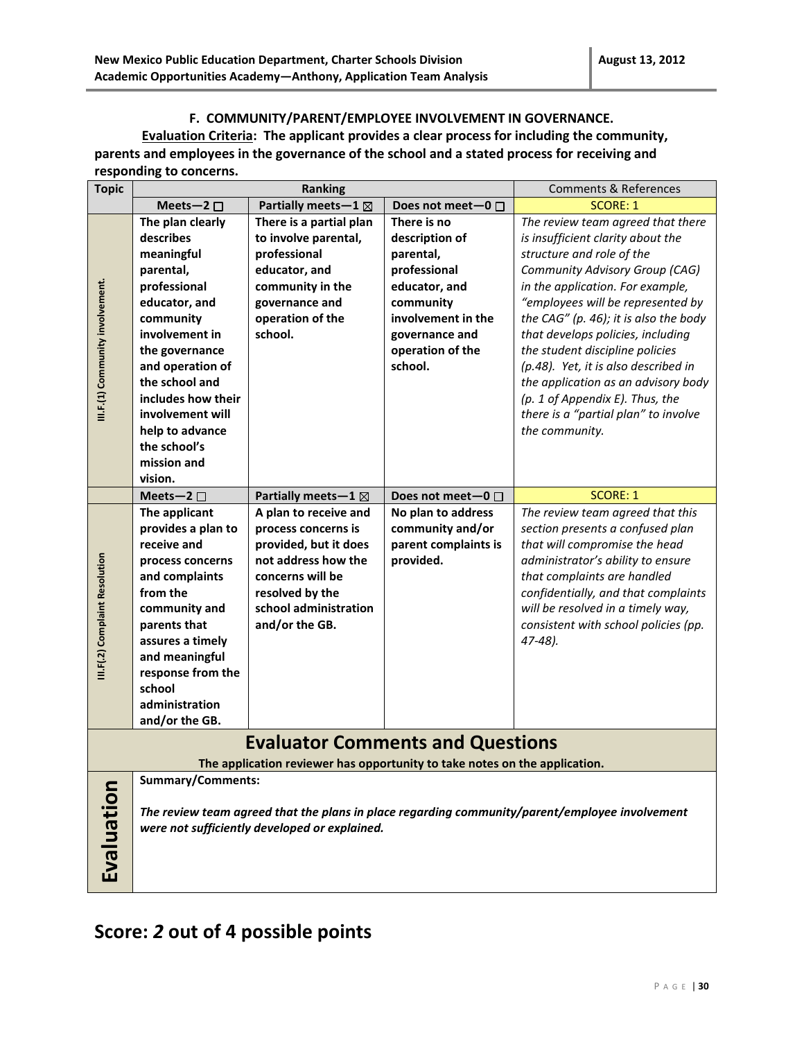#### **F. COMMUNITY/PARENT/EMPLOYEE INVOLVEMENT IN GOVERNANCE.**

**Evaluation Criteria: The applicant provides a clear process for including the community, parents and employees in the governance of the school and a stated process for receiving and responding to concerns.** 

| <b>Topic</b>                                                                                                          |                                                                                                                                                                                                                                                                                         | <b>Ranking</b>                                                                                                                                                                 |                                                                                                                                                                 | <b>Comments &amp; References</b>                                                                                                                                                                                                                                                                                                                                                                                                                                                                            |  |
|-----------------------------------------------------------------------------------------------------------------------|-----------------------------------------------------------------------------------------------------------------------------------------------------------------------------------------------------------------------------------------------------------------------------------------|--------------------------------------------------------------------------------------------------------------------------------------------------------------------------------|-----------------------------------------------------------------------------------------------------------------------------------------------------------------|-------------------------------------------------------------------------------------------------------------------------------------------------------------------------------------------------------------------------------------------------------------------------------------------------------------------------------------------------------------------------------------------------------------------------------------------------------------------------------------------------------------|--|
|                                                                                                                       | Meets-2 $\square$                                                                                                                                                                                                                                                                       | Partially meets-1 $\boxtimes$                                                                                                                                                  | Does not meet-0 $\Box$                                                                                                                                          | <b>SCORE: 1</b>                                                                                                                                                                                                                                                                                                                                                                                                                                                                                             |  |
| III.F.(1) Community involvement.                                                                                      | The plan clearly<br>describes<br>meaningful<br>parental,<br>professional<br>educator, and<br>community<br>involvement in<br>the governance<br>and operation of<br>the school and<br>includes how their<br>involvement will<br>help to advance<br>the school's<br>mission and<br>vision. | There is a partial plan<br>to involve parental,<br>professional<br>educator, and<br>community in the<br>governance and<br>operation of the<br>school.                          | There is no<br>description of<br>parental,<br>professional<br>educator, and<br>community<br>involvement in the<br>governance and<br>operation of the<br>school. | The review team agreed that there<br>is insufficient clarity about the<br>structure and role of the<br>Community Advisory Group (CAG)<br>in the application. For example,<br>"employees will be represented by<br>the CAG" (p. 46); it is also the body<br>that develops policies, including<br>the student discipline policies<br>(p.48). Yet, it is also described in<br>the application as an advisory body<br>(p. 1 of Appendix E). Thus, the<br>there is a "partial plan" to involve<br>the community. |  |
|                                                                                                                       | Meets-2 $\square$                                                                                                                                                                                                                                                                       | Partially meets-1 $\boxtimes$                                                                                                                                                  | Does not meet-0 $\Box$                                                                                                                                          | <b>SCORE: 1</b>                                                                                                                                                                                                                                                                                                                                                                                                                                                                                             |  |
| III.F(.2) Complaint Resolution                                                                                        | The applicant<br>provides a plan to<br>receive and<br>process concerns<br>and complaints<br>from the<br>community and<br>parents that<br>assures a timely<br>and meaningful<br>response from the<br>school<br>administration<br>and/or the GB.                                          | A plan to receive and<br>process concerns is<br>provided, but it does<br>not address how the<br>concerns will be<br>resolved by the<br>school administration<br>and/or the GB. | No plan to address<br>community and/or<br>parent complaints is<br>provided.                                                                                     | The review team agreed that this<br>section presents a confused plan<br>that will compromise the head<br>administrator's ability to ensure<br>that complaints are handled<br>confidentially, and that complaints<br>will be resolved in a timely way,<br>consistent with school policies (pp.<br>47-48).                                                                                                                                                                                                    |  |
| <b>Evaluator Comments and Questions</b><br>The application reviewer has opportunity to take notes on the application. |                                                                                                                                                                                                                                                                                         |                                                                                                                                                                                |                                                                                                                                                                 |                                                                                                                                                                                                                                                                                                                                                                                                                                                                                                             |  |
| Evaluation                                                                                                            | Summary/Comments:                                                                                                                                                                                                                                                                       | were not sufficiently developed or explained.                                                                                                                                  |                                                                                                                                                                 | The review team agreed that the plans in place regarding community/parent/employee involvement                                                                                                                                                                                                                                                                                                                                                                                                              |  |

### **Score:** *2* **out of 4 possible points**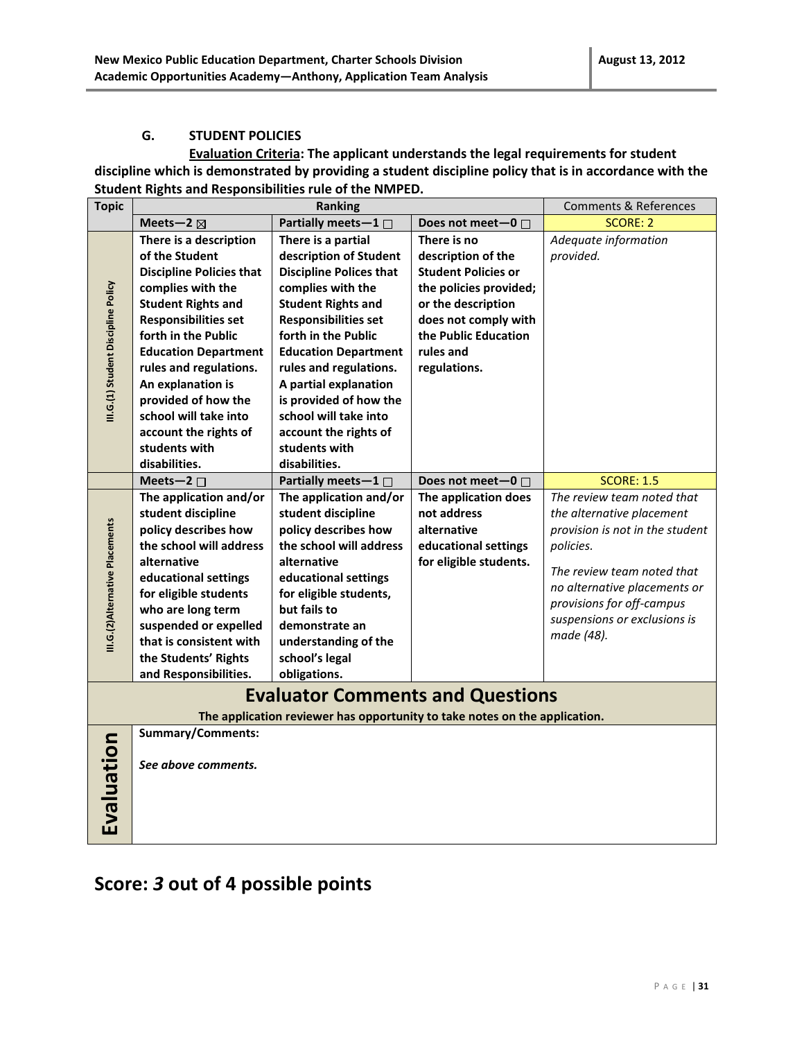#### **G. STUDENT POLICIES**

**Evaluation Criteria: The applicant understands the legal requirements for student discipline which is demonstrated by providing a student discipline policy that is in accordance with the Student Rights and Responsibilities rule of the NMPED.** 

| <b>Topic</b>                        | Ranking                                                                                                                                                                                                                                                                                                                                                                      |                                                                                                                                                                                                                                                                                                                                                                                        |                                                                                                                                                                                              | <b>Comments &amp; References</b>                                                                                                                                                                                                                                      |  |
|-------------------------------------|------------------------------------------------------------------------------------------------------------------------------------------------------------------------------------------------------------------------------------------------------------------------------------------------------------------------------------------------------------------------------|----------------------------------------------------------------------------------------------------------------------------------------------------------------------------------------------------------------------------------------------------------------------------------------------------------------------------------------------------------------------------------------|----------------------------------------------------------------------------------------------------------------------------------------------------------------------------------------------|-----------------------------------------------------------------------------------------------------------------------------------------------------------------------------------------------------------------------------------------------------------------------|--|
|                                     | Meets-2 $\boxtimes$                                                                                                                                                                                                                                                                                                                                                          | Partially meets-1 □                                                                                                                                                                                                                                                                                                                                                                    | Does not meet-0 □                                                                                                                                                                            | <b>SCORE: 2</b>                                                                                                                                                                                                                                                       |  |
| III.G.(1) Student Discipline Policy | There is a description<br>of the Student<br><b>Discipline Policies that</b><br>complies with the<br><b>Student Rights and</b><br><b>Responsibilities set</b><br>forth in the Public<br><b>Education Department</b><br>rules and regulations.<br>An explanation is<br>provided of how the<br>school will take into<br>account the rights of<br>students with<br>disabilities. | There is a partial<br>description of Student<br><b>Discipline Polices that</b><br>complies with the<br><b>Student Rights and</b><br><b>Responsibilities set</b><br>forth in the Public<br><b>Education Department</b><br>rules and regulations.<br>A partial explanation<br>is provided of how the<br>school will take into<br>account the rights of<br>students with<br>disabilities. | There is no<br>description of the<br><b>Student Policies or</b><br>the policies provided;<br>or the description<br>does not comply with<br>the Public Education<br>rules and<br>regulations. | Adequate information<br>provided.                                                                                                                                                                                                                                     |  |
| III.G.(2)Alternative Placements     | Meets-2 $\square$<br>The application and/or<br>student discipline<br>policy describes how<br>the school will address<br>alternative<br>educational settings<br>for eligible students<br>who are long term<br>suspended or expelled<br>that is consistent with<br>the Students' Rights<br>and Responsibilities.                                                               | Partially meets-1 $\Box$<br>The application and/or<br>student discipline<br>policy describes how<br>the school will address<br>alternative<br>educational settings<br>for eligible students,<br>but fails to<br>demonstrate an<br>understanding of the<br>school's legal<br>obligations.                                                                                               | Does not meet-0 □<br>The application does<br>not address<br>alternative<br>educational settings<br>for eligible students.                                                                    | <b>SCORE: 1.5</b><br>The review team noted that<br>the alternative placement<br>provision is not in the student<br>policies.<br>The review team noted that<br>no alternative placements or<br>provisions for off-campus<br>suspensions or exclusions is<br>made (48). |  |
|                                     | <b>Evaluator Comments and Questions</b><br>The application reviewer has opportunity to take notes on the application.                                                                                                                                                                                                                                                        |                                                                                                                                                                                                                                                                                                                                                                                        |                                                                                                                                                                                              |                                                                                                                                                                                                                                                                       |  |
| Evaluation                          | <b>Summary/Comments:</b><br>See above comments.                                                                                                                                                                                                                                                                                                                              |                                                                                                                                                                                                                                                                                                                                                                                        |                                                                                                                                                                                              |                                                                                                                                                                                                                                                                       |  |

# **Score:** *3* **out of 4 possible points**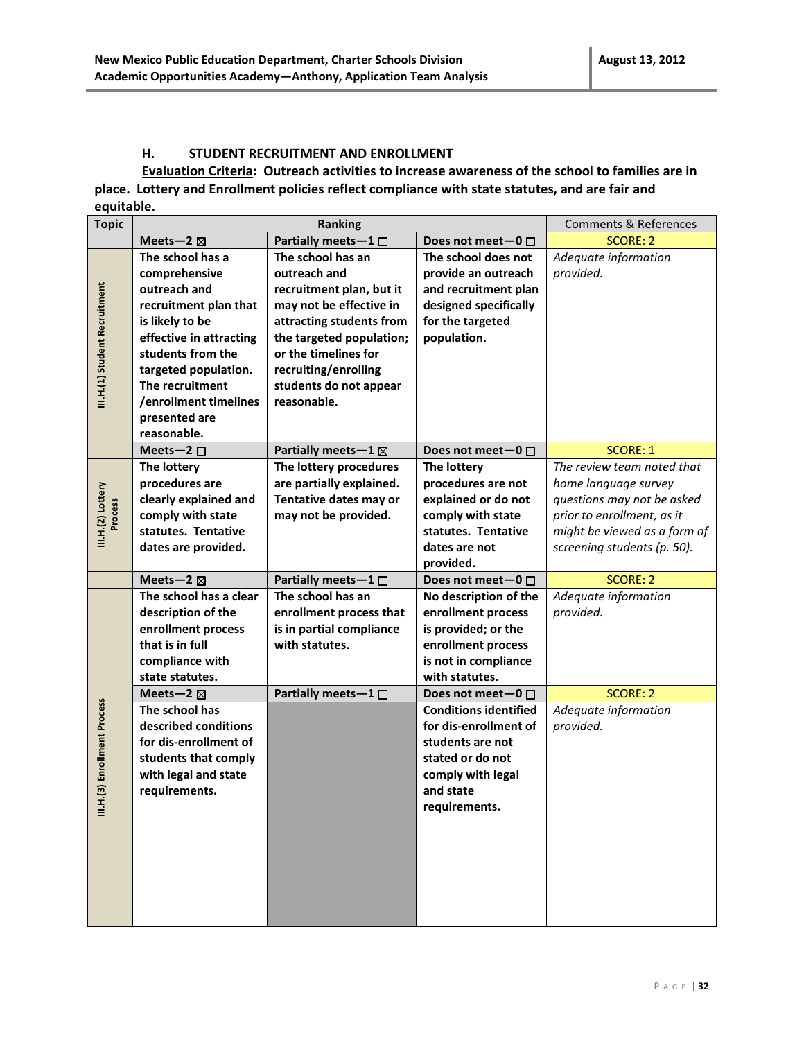#### **H. STUDENT RECRUITMENT AND ENROLLMENT**

**Evaluation Criteria: Outreach activities to increase awareness of the school to families are in place. Lottery and Enrollment policies reflect compliance with state statutes, and are fair and equitable.**

| <b>Topic</b>                  | <b>Ranking</b>                                                                                                                                                                                                    |                                                                                                                                                                                                             | <b>Comments &amp; References</b>                                                                                                                                           |                                                                                                                                                                               |
|-------------------------------|-------------------------------------------------------------------------------------------------------------------------------------------------------------------------------------------------------------------|-------------------------------------------------------------------------------------------------------------------------------------------------------------------------------------------------------------|----------------------------------------------------------------------------------------------------------------------------------------------------------------------------|-------------------------------------------------------------------------------------------------------------------------------------------------------------------------------|
|                               | Meets-2 $\boxtimes$                                                                                                                                                                                               | Partially meets- $1 \Box$                                                                                                                                                                                   | Does not meet-0 $\Box$                                                                                                                                                     | <b>SCORE: 2</b>                                                                                                                                                               |
|                               | The school has a<br>comprehensive<br>outreach and                                                                                                                                                                 | The school has an<br>outreach and<br>recruitment plan, but it                                                                                                                                               | The school does not<br>provide an outreach<br>and recruitment plan                                                                                                         | Adequate information<br>provided.                                                                                                                                             |
| III.H.(1) Student Recruitment | recruitment plan that<br>is likely to be<br>effective in attracting<br>students from the<br>targeted population.<br>The recruitment<br>/enrollment timelines<br>presented are<br>reasonable.<br>Meets-2 $\square$ | may not be effective in<br>attracting students from<br>the targeted population;<br>or the timelines for<br>recruiting/enrolling<br>students do not appear<br>reasonable.<br>Partially meets - $1 \boxtimes$ | designed specifically<br>for the targeted<br>population.<br>Does not meet-0 $\Box$                                                                                         | <b>SCORE: 1</b>                                                                                                                                                               |
| III.H.(2) Lottery<br>Process  | The lottery<br>procedures are<br>clearly explained and<br>comply with state<br>statutes. Tentative<br>dates are provided.                                                                                         | The lottery procedures<br>are partially explained.<br>Tentative dates may or<br>may not be provided.                                                                                                        | The lottery<br>procedures are not<br>explained or do not<br>comply with state<br>statutes. Tentative<br>dates are not<br>provided.                                         | The review team noted that<br>home language survey<br>questions may not be asked<br>prior to enrollment, as it<br>might be viewed as a form of<br>screening students (p. 50). |
|                               | Meets-2 $\boxtimes$                                                                                                                                                                                               | Partially meets $-1$ $\Box$                                                                                                                                                                                 | Does not meet-0                                                                                                                                                            | <b>SCORE: 2</b>                                                                                                                                                               |
|                               | The school has a clear<br>description of the<br>enrollment process<br>that is in full<br>compliance with<br>state statutes.                                                                                       | The school has an<br>enrollment process that<br>is in partial compliance<br>with statutes.                                                                                                                  | No description of the<br>enrollment process<br>is provided; or the<br>enrollment process<br>is not in compliance<br>with statutes.                                         | Adequate information<br>provided.                                                                                                                                             |
| III.H.(3) Enrollment Process  | Meets-2 $\boxtimes$<br>The school has<br>described conditions<br>for dis-enrollment of<br>students that comply<br>with legal and state<br>requirements.                                                           | Partially meets-1 □                                                                                                                                                                                         | Does not meet-0 $\Box$<br><b>Conditions identified</b><br>for dis-enrollment of<br>students are not<br>stated or do not<br>comply with legal<br>and state<br>requirements. | <b>SCORE: 2</b><br>Adequate information<br>provided.                                                                                                                          |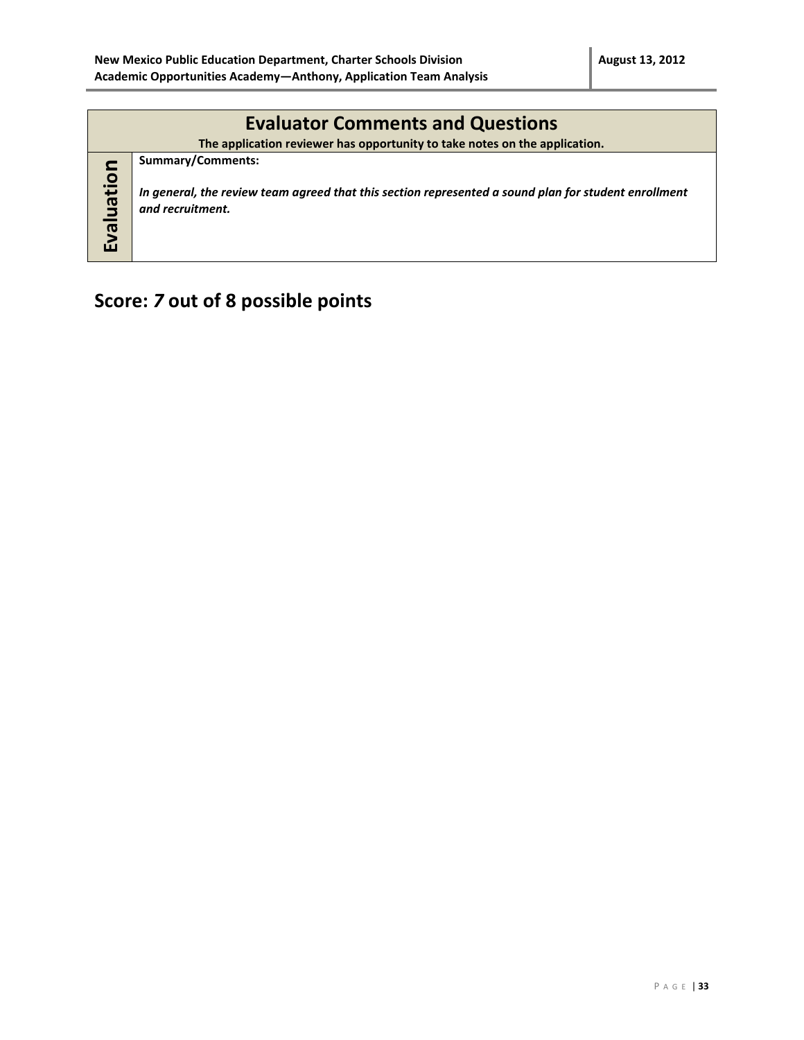|           | <b>Evaluator Comments and Questions</b>                                                                                                       |
|-----------|-----------------------------------------------------------------------------------------------------------------------------------------------|
|           | The application reviewer has opportunity to take notes on the application.                                                                    |
| Evaluatio | Summary/Comments:<br>In general, the review team agreed that this section represented a sound plan for student enrollment<br>and recruitment. |

# **Score:** *7* **out of 8 possible points**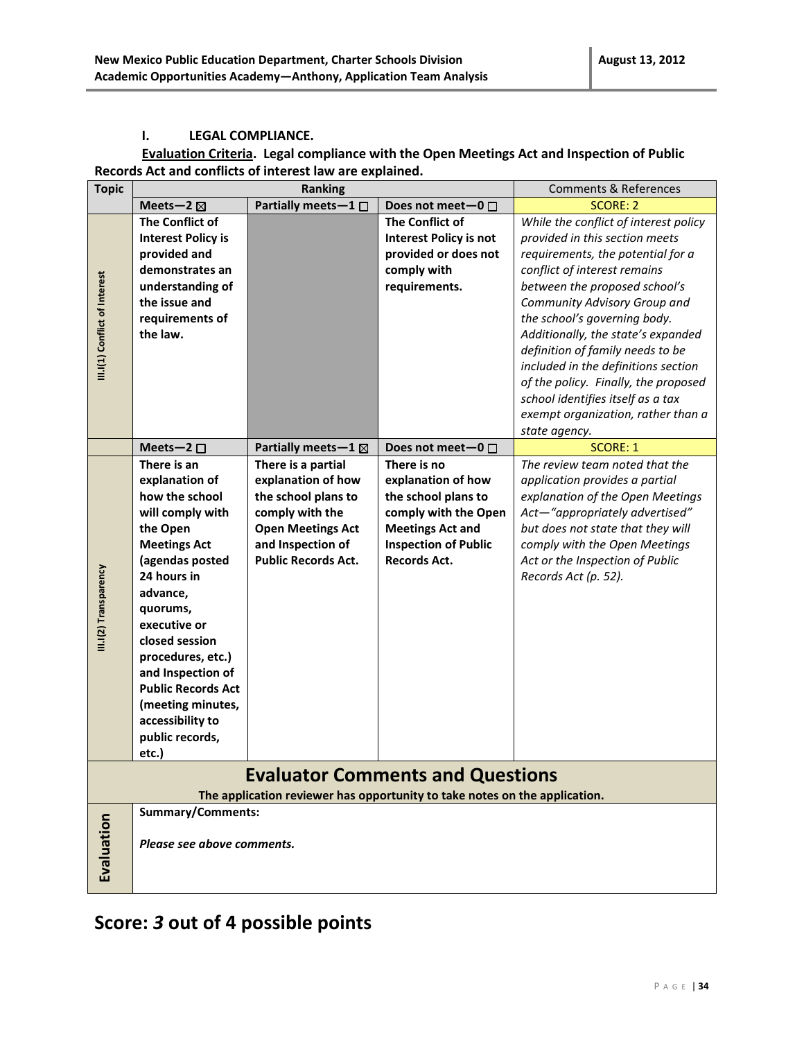#### **I. LEGAL COMPLIANCE.**

#### **Evaluation Criteria. Legal compliance with the Open Meetings Act and Inspection of Public Records Act and conflicts of interest law are explained.**

| <b>Topic</b>                  | <b>Ranking</b>             |                                 |                                                                            | <b>Comments &amp; References</b>      |
|-------------------------------|----------------------------|---------------------------------|----------------------------------------------------------------------------|---------------------------------------|
|                               | Meets-2 $\boxtimes$        | Partially meets $-1$ $\Box$     | Does not meet-0 $\Box$                                                     | <b>SCORE: 2</b>                       |
|                               | <b>The Conflict of</b>     |                                 | The Conflict of                                                            | While the conflict of interest policy |
|                               | <b>Interest Policy is</b>  |                                 | <b>Interest Policy is not</b>                                              | provided in this section meets        |
|                               | provided and               |                                 | provided or does not                                                       | requirements, the potential for a     |
|                               | demonstrates an            |                                 | comply with                                                                | conflict of interest remains          |
|                               | understanding of           |                                 | requirements.                                                              | between the proposed school's         |
|                               | the issue and              |                                 |                                                                            | Community Advisory Group and          |
|                               | requirements of            |                                 |                                                                            | the school's governing body.          |
| III.I(1) Conflict of Interest | the law.                   |                                 |                                                                            | Additionally, the state's expanded    |
|                               |                            |                                 |                                                                            | definition of family needs to be      |
|                               |                            |                                 |                                                                            | included in the definitions section   |
|                               |                            |                                 |                                                                            | of the policy. Finally, the proposed  |
|                               |                            |                                 |                                                                            | school identifies itself as a tax     |
|                               |                            |                                 |                                                                            | exempt organization, rather than a    |
|                               |                            |                                 |                                                                            | state agency.                         |
|                               | Meets-2 $\square$          | Partially meets - $1 \boxtimes$ | Does not meet-0 □                                                          | <b>SCORE: 1</b>                       |
|                               | There is an                | There is a partial              | There is no                                                                | The review team noted that the        |
|                               | explanation of             | explanation of how              | explanation of how                                                         | application provides a partial        |
|                               | how the school             | the school plans to             | the school plans to                                                        | explanation of the Open Meetings      |
|                               | will comply with           | comply with the                 | comply with the Open                                                       | Act-"appropriately advertised"        |
|                               | the Open                   | <b>Open Meetings Act</b>        | <b>Meetings Act and</b>                                                    | but does not state that they will     |
|                               | <b>Meetings Act</b>        | and Inspection of               | <b>Inspection of Public</b>                                                | comply with the Open Meetings         |
|                               | (agendas posted            | <b>Public Records Act.</b>      | <b>Records Act.</b>                                                        | Act or the Inspection of Public       |
|                               | 24 hours in                |                                 |                                                                            | Records Act (p. 52).                  |
|                               | advance,                   |                                 |                                                                            |                                       |
|                               | quorums,                   |                                 |                                                                            |                                       |
| III.I(2) Transparency         | executive or               |                                 |                                                                            |                                       |
|                               | closed session             |                                 |                                                                            |                                       |
|                               | procedures, etc.)          |                                 |                                                                            |                                       |
|                               | and Inspection of          |                                 |                                                                            |                                       |
|                               | <b>Public Records Act</b>  |                                 |                                                                            |                                       |
|                               | (meeting minutes,          |                                 |                                                                            |                                       |
|                               | accessibility to           |                                 |                                                                            |                                       |
|                               | public records,            |                                 |                                                                            |                                       |
|                               | etc.)                      |                                 |                                                                            |                                       |
|                               |                            |                                 | <b>Evaluator Comments and Questions</b>                                    |                                       |
|                               |                            |                                 | The application reviewer has opportunity to take notes on the application. |                                       |
|                               | <b>Summary/Comments:</b>   |                                 |                                                                            |                                       |
| Evaluation                    |                            |                                 |                                                                            |                                       |
|                               | Please see above comments. |                                 |                                                                            |                                       |
|                               |                            |                                 |                                                                            |                                       |
|                               |                            |                                 |                                                                            |                                       |
|                               |                            |                                 |                                                                            |                                       |

### **Score:** *3* **out of 4 possible points**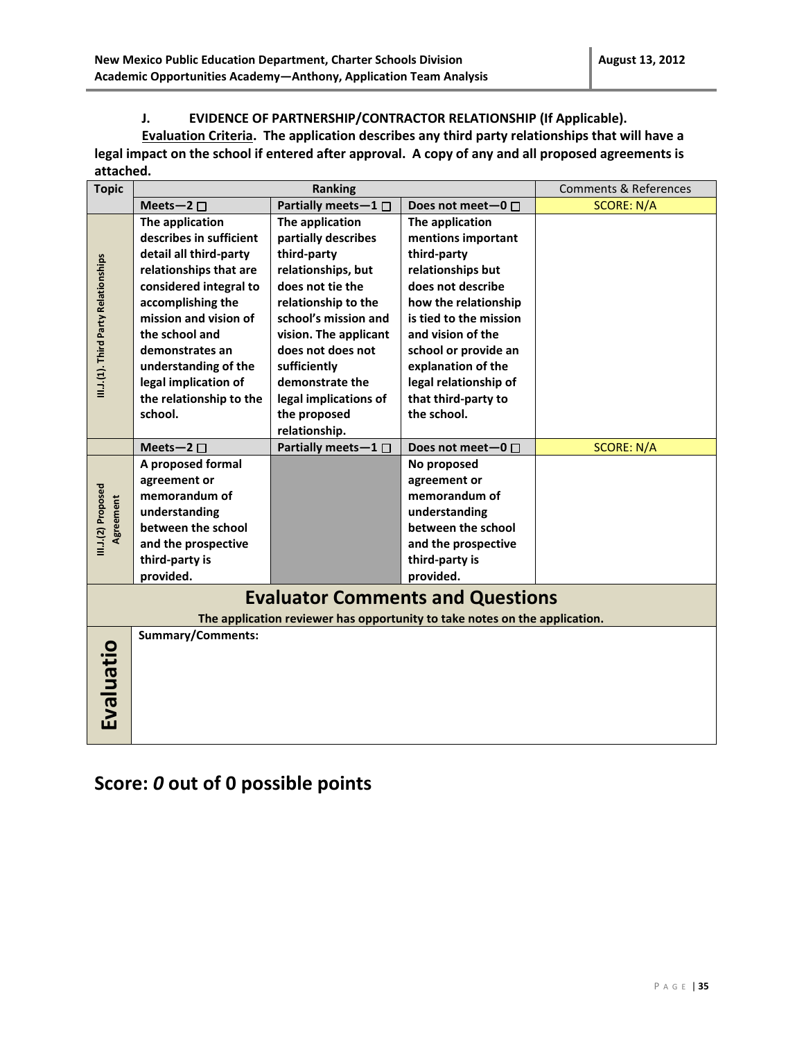#### **J. EVIDENCE OF PARTNERSHIP/CONTRACTOR RELATIONSHIP (If Applicable).**

**Evaluation Criteria. The application describes any third party relationships that will have a legal impact on the school if entered after approval. A copy of any and all proposed agreements is attached.** 

| <b>Topic</b>                         | <b>Ranking</b>           |                             | <b>Comments &amp; References</b>                                           |                   |
|--------------------------------------|--------------------------|-----------------------------|----------------------------------------------------------------------------|-------------------|
|                                      | Meets-2 $\square$        | Partially meets $-1$ $\Box$ | Does not meet-0 $\Box$                                                     | <b>SCORE: N/A</b> |
|                                      | The application          | The application             | The application                                                            |                   |
|                                      | describes in sufficient  | partially describes         | mentions important                                                         |                   |
|                                      | detail all third-party   | third-party                 | third-party                                                                |                   |
|                                      | relationships that are   | relationships, but          | relationships but                                                          |                   |
|                                      | considered integral to   | does not tie the            | does not describe                                                          |                   |
|                                      | accomplishing the        | relationship to the         | how the relationship                                                       |                   |
| III.J.(1). Third Party Relationships | mission and vision of    | school's mission and        | is tied to the mission                                                     |                   |
|                                      | the school and           | vision. The applicant       | and vision of the                                                          |                   |
|                                      | demonstrates an          | does not does not           | school or provide an                                                       |                   |
|                                      | understanding of the     | sufficiently                | explanation of the                                                         |                   |
|                                      | legal implication of     | demonstrate the             | legal relationship of                                                      |                   |
|                                      | the relationship to the  | legal implications of       | that third-party to                                                        |                   |
|                                      | school.                  | the proposed                | the school.                                                                |                   |
|                                      |                          | relationship.               |                                                                            |                   |
|                                      | Meets-2 $\square$        | Partially meets-1 $\square$ | Does not meet-0 $\Box$                                                     | <b>SCORE: N/A</b> |
|                                      | A proposed formal        |                             | No proposed                                                                |                   |
|                                      | agreement or             |                             | agreement or                                                               |                   |
| III.J.(2) Proposed                   | memorandum of            |                             | memorandum of                                                              |                   |
| Agreement                            | understanding            |                             | understanding                                                              |                   |
|                                      | between the school       |                             | between the school                                                         |                   |
|                                      | and the prospective      |                             | and the prospective                                                        |                   |
|                                      | third-party is           |                             | third-party is                                                             |                   |
|                                      | provided.                |                             | provided.                                                                  |                   |
|                                      |                          |                             | <b>Evaluator Comments and Questions</b>                                    |                   |
|                                      |                          |                             | The application reviewer has opportunity to take notes on the application. |                   |
|                                      | <b>Summary/Comments:</b> |                             |                                                                            |                   |
|                                      |                          |                             |                                                                            |                   |
|                                      |                          |                             |                                                                            |                   |
|                                      |                          |                             |                                                                            |                   |
|                                      |                          |                             |                                                                            |                   |
| Evaluatio                            |                          |                             |                                                                            |                   |
|                                      |                          |                             |                                                                            |                   |
|                                      |                          |                             |                                                                            |                   |

## **Score:** *0* **out of 0 possible points**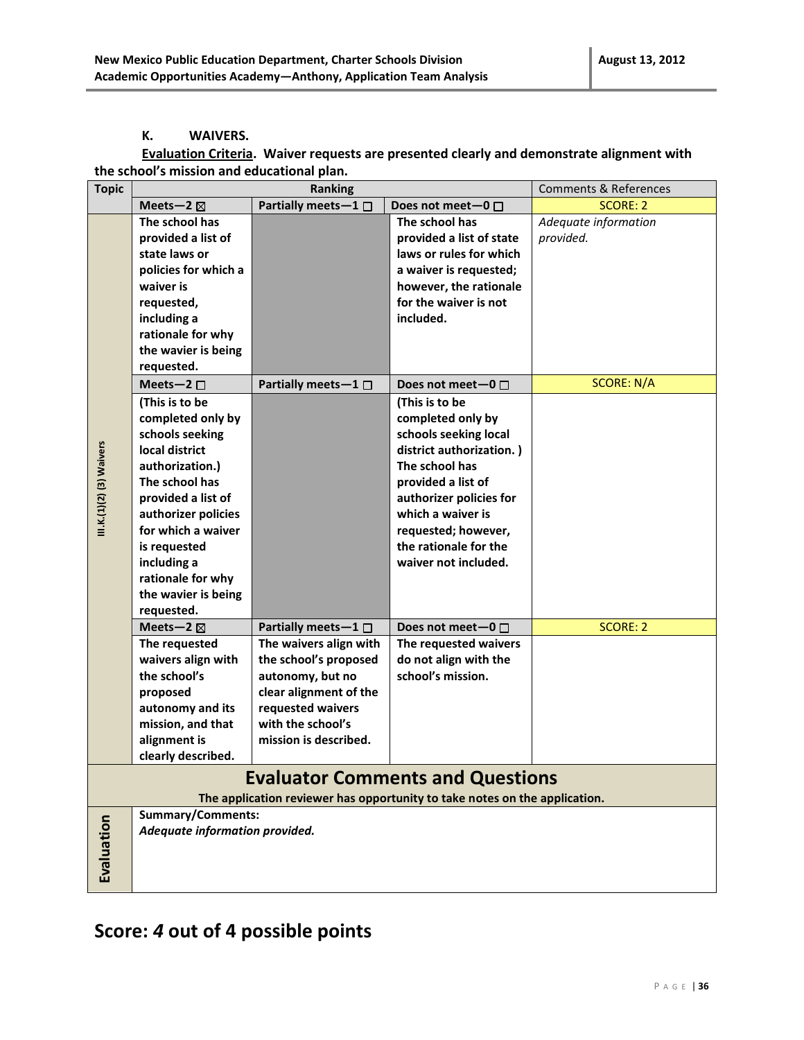#### **K. WAIVERS.**

#### **Evaluation Criteria. Waiver requests are presented clearly and demonstrate alignment with the school's mission and educational plan.**

| <b>Topic</b>             |                                | <b>Ranking</b>              |                                                                            | <b>Comments &amp; References</b> |
|--------------------------|--------------------------------|-----------------------------|----------------------------------------------------------------------------|----------------------------------|
|                          | Meets-2 $\boxtimes$            | Partially meets-1 □         | Does not meet-0 $\Box$                                                     | <b>SCORE: 2</b>                  |
|                          | The school has                 |                             | The school has                                                             | Adequate information             |
|                          | provided a list of             |                             | provided a list of state                                                   | provided.                        |
|                          | state laws or                  |                             | laws or rules for which                                                    |                                  |
|                          | policies for which a           |                             | a waiver is requested;                                                     |                                  |
|                          | waiver is                      |                             | however, the rationale                                                     |                                  |
|                          | requested,                     |                             | for the waiver is not                                                      |                                  |
|                          | including a                    |                             | included.                                                                  |                                  |
|                          | rationale for why              |                             |                                                                            |                                  |
|                          | the wavier is being            |                             |                                                                            |                                  |
|                          | requested.                     |                             |                                                                            |                                  |
|                          | Meets-2 $\square$              | Partially meets $-1$ $\Box$ | Does not meet-0 $\Box$                                                     | <b>SCORE: N/A</b>                |
|                          | (This is to be                 |                             | (This is to be                                                             |                                  |
|                          | completed only by              |                             | completed only by                                                          |                                  |
|                          | schools seeking                |                             | schools seeking local                                                      |                                  |
|                          | local district                 |                             | district authorization.)                                                   |                                  |
|                          | authorization.)                |                             | The school has                                                             |                                  |
| III.K.(1)(2) (3) Waivers | The school has                 |                             | provided a list of                                                         |                                  |
|                          | provided a list of             |                             | authorizer policies for                                                    |                                  |
|                          | authorizer policies            |                             | which a waiver is                                                          |                                  |
|                          | for which a waiver             |                             | requested; however,                                                        |                                  |
|                          | is requested                   |                             | the rationale for the                                                      |                                  |
|                          | including a                    |                             | waiver not included.                                                       |                                  |
|                          | rationale for why              |                             |                                                                            |                                  |
|                          | the wavier is being            |                             |                                                                            |                                  |
|                          | requested.                     |                             |                                                                            |                                  |
|                          | Meets-2 $\boxtimes$            | Partially meets $-1$ $\Box$ | Does not meet $-0$ $\Box$                                                  | <b>SCORE: 2</b>                  |
|                          | The requested                  | The waivers align with      | The requested waivers                                                      |                                  |
|                          | waivers align with             | the school's proposed       | do not align with the                                                      |                                  |
|                          | the school's                   | autonomy, but no            | school's mission.                                                          |                                  |
|                          | proposed                       | clear alignment of the      |                                                                            |                                  |
|                          | autonomy and its               | requested waivers           |                                                                            |                                  |
|                          | mission, and that              | with the school's           |                                                                            |                                  |
|                          | alignment is                   | mission is described.       |                                                                            |                                  |
|                          | clearly described.             |                             |                                                                            |                                  |
|                          |                                |                             | <b>Evaluator Comments and Questions</b>                                    |                                  |
|                          |                                |                             | The application reviewer has opportunity to take notes on the application. |                                  |
|                          | <b>Summary/Comments:</b>       |                             |                                                                            |                                  |
| Evaluation               | Adequate information provided. |                             |                                                                            |                                  |
|                          |                                |                             |                                                                            |                                  |
|                          |                                |                             |                                                                            |                                  |
|                          |                                |                             |                                                                            |                                  |

## **Score:** *4* **out of 4 possible points**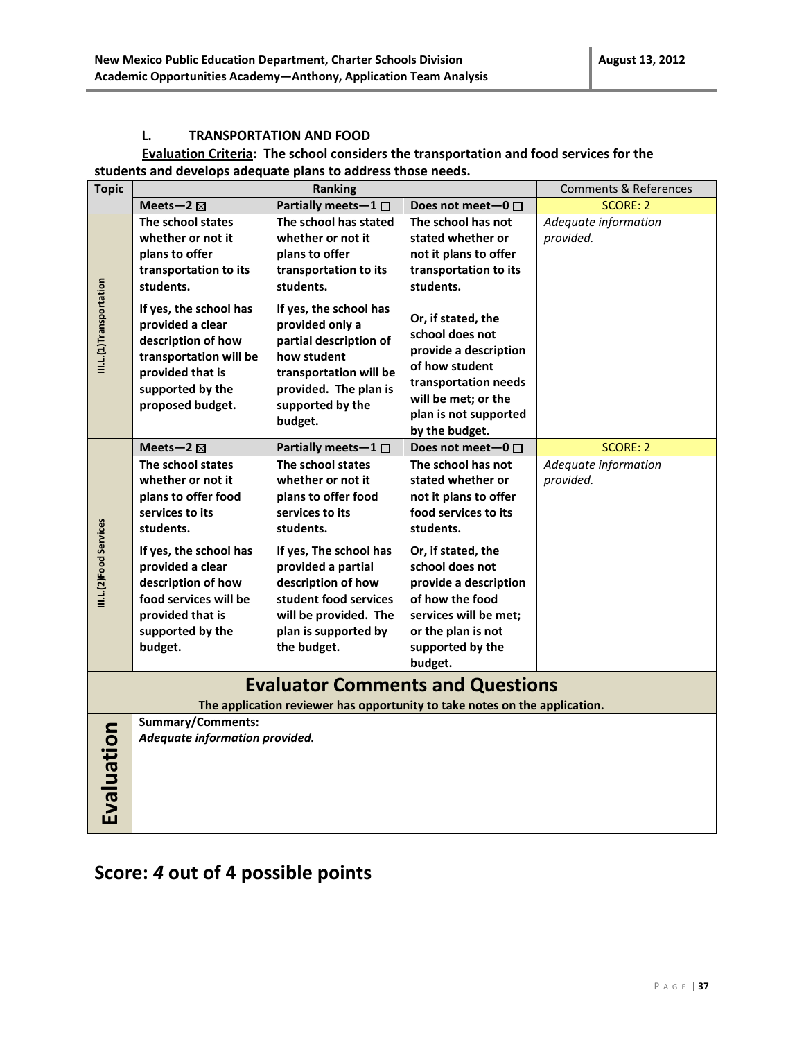#### **L. TRANSPORTATION AND FOOD**

#### **Evaluation Criteria: The school considers the transportation and food services for the students and develops adequate plans to address those needs.**

| <b>Topic</b>                                                                                                          |                                                                                                                                                                                                                                               | Ranking                                                                                                                                                                                                                                                      |                                                                                                                                                                                                                                                                          | <b>Comments &amp; References</b>  |
|-----------------------------------------------------------------------------------------------------------------------|-----------------------------------------------------------------------------------------------------------------------------------------------------------------------------------------------------------------------------------------------|--------------------------------------------------------------------------------------------------------------------------------------------------------------------------------------------------------------------------------------------------------------|--------------------------------------------------------------------------------------------------------------------------------------------------------------------------------------------------------------------------------------------------------------------------|-----------------------------------|
|                                                                                                                       | Meets-2 $\boxtimes$                                                                                                                                                                                                                           | Partially meets-1 $\Box$                                                                                                                                                                                                                                     | Does not meet-0 $\Box$                                                                                                                                                                                                                                                   | SCORE: 2                          |
|                                                                                                                       | The school states<br>whether or not it<br>plans to offer<br>transportation to its<br>students.                                                                                                                                                | The school has stated<br>whether or not it<br>plans to offer<br>transportation to its<br>students.                                                                                                                                                           | The school has not<br>stated whether or<br>not it plans to offer<br>transportation to its<br>students.                                                                                                                                                                   | Adequate information<br>provided. |
| III.L.(1)Transportation                                                                                               | If yes, the school has<br>provided a clear<br>description of how<br>transportation will be<br>provided that is<br>supported by the<br>proposed budget.                                                                                        | If yes, the school has<br>provided only a<br>partial description of<br>how student<br>transportation will be<br>provided. The plan is<br>supported by the<br>budget.                                                                                         | Or, if stated, the<br>school does not<br>provide a description<br>of how student<br>transportation needs<br>will be met; or the<br>plan is not supported<br>by the budget.                                                                                               |                                   |
|                                                                                                                       | Meets-2 $\boxtimes$                                                                                                                                                                                                                           | Partially meets-1 $\Box$                                                                                                                                                                                                                                     | Does not meet-0 □                                                                                                                                                                                                                                                        | <b>SCORE: 2</b>                   |
| III.L.(2)Food Services                                                                                                | The school states<br>whether or not it<br>plans to offer food<br>services to its<br>students.<br>If yes, the school has<br>provided a clear<br>description of how<br>food services will be<br>provided that is<br>supported by the<br>budget. | The school states<br>whether or not it<br>plans to offer food<br>services to its<br>students.<br>If yes, The school has<br>provided a partial<br>description of how<br>student food services<br>will be provided. The<br>plan is supported by<br>the budget. | The school has not<br>stated whether or<br>not it plans to offer<br>food services to its<br>students.<br>Or, if stated, the<br>school does not<br>provide a description<br>of how the food<br>services will be met;<br>or the plan is not<br>supported by the<br>budget. | Adequate information<br>provided. |
| <b>Evaluator Comments and Questions</b><br>The application reviewer has opportunity to take notes on the application. |                                                                                                                                                                                                                                               |                                                                                                                                                                                                                                                              |                                                                                                                                                                                                                                                                          |                                   |
|                                                                                                                       | <b>Summary/Comments:</b>                                                                                                                                                                                                                      |                                                                                                                                                                                                                                                              |                                                                                                                                                                                                                                                                          |                                   |
| Evaluation                                                                                                            | Adequate information provided.                                                                                                                                                                                                                |                                                                                                                                                                                                                                                              |                                                                                                                                                                                                                                                                          |                                   |

## **Score:** *4* **out of 4 possible points**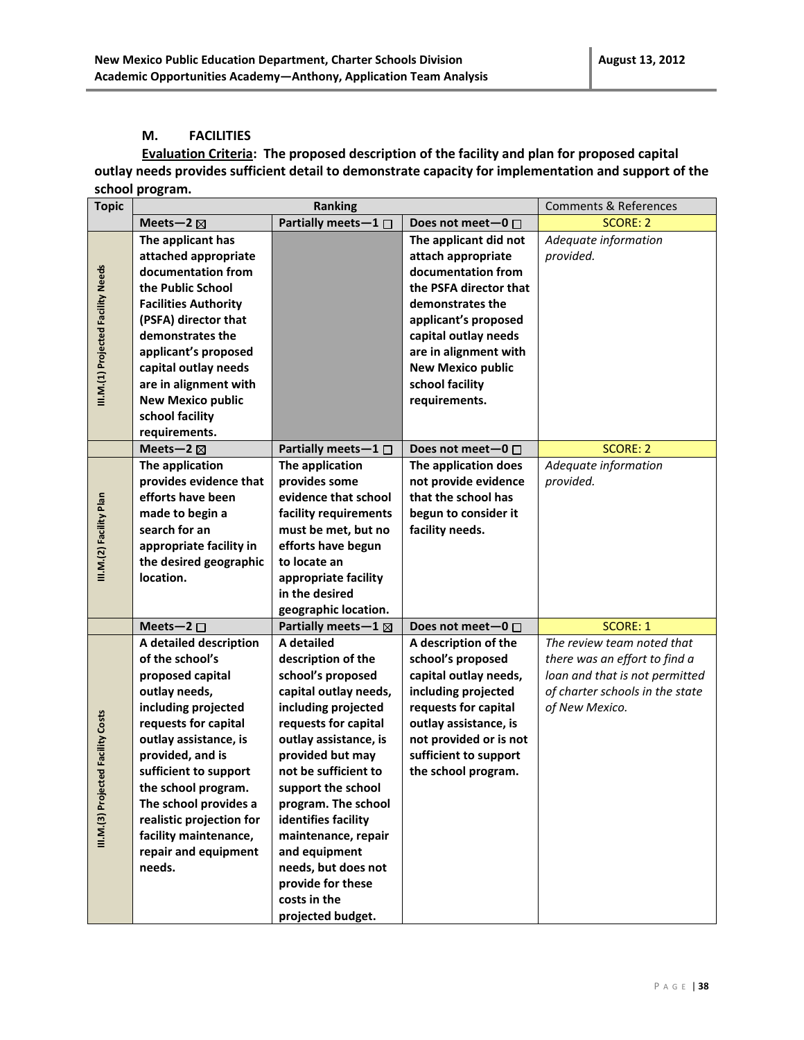#### **M. FACILITIES**

**Evaluation Criteria: The proposed description of the facility and plan for proposed capital outlay needs provides sufficient detail to demonstrate capacity for implementation and support of the school program.**

| <b>Topic</b>                       |                             | Ranking                       |                          | <b>Comments &amp; References</b> |
|------------------------------------|-----------------------------|-------------------------------|--------------------------|----------------------------------|
|                                    | Meets-2 $\boxtimes$         | Partially meets-1 $\Box$      | Does not meet-0 □        | <b>SCORE: 2</b>                  |
|                                    | The applicant has           |                               | The applicant did not    | Adequate information             |
|                                    | attached appropriate        |                               | attach appropriate       | provided.                        |
|                                    | documentation from          |                               | documentation from       |                                  |
|                                    | the Public School           |                               | the PSFA director that   |                                  |
|                                    | <b>Facilities Authority</b> |                               | demonstrates the         |                                  |
|                                    | (PSFA) director that        |                               | applicant's proposed     |                                  |
| III.M.(1) Projected Facility Needs | demonstrates the            |                               | capital outlay needs     |                                  |
|                                    | applicant's proposed        |                               | are in alignment with    |                                  |
|                                    | capital outlay needs        |                               | <b>New Mexico public</b> |                                  |
|                                    | are in alignment with       |                               | school facility          |                                  |
|                                    | <b>New Mexico public</b>    |                               | requirements.            |                                  |
|                                    | school facility             |                               |                          |                                  |
|                                    | requirements.               |                               |                          |                                  |
|                                    | Meets-2 $\boxtimes$         | Partially meets $-1$ $\Box$   | Does not meet-0 $\Box$   | <b>SCORE: 2</b>                  |
|                                    | The application             | The application               | The application does     | Adequate information             |
|                                    | provides evidence that      | provides some                 | not provide evidence     | provided.                        |
|                                    | efforts have been           | evidence that school          | that the school has      |                                  |
|                                    | made to begin a             | facility requirements         | begun to consider it     |                                  |
| III.M.(2) Facility Plan            | search for an               | must be met, but no           | facility needs.          |                                  |
|                                    | appropriate facility in     | efforts have begun            |                          |                                  |
|                                    | the desired geographic      | to locate an                  |                          |                                  |
|                                    | location.                   | appropriate facility          |                          |                                  |
|                                    |                             | in the desired                |                          |                                  |
|                                    |                             | geographic location.          |                          |                                  |
|                                    | Meets-2 $\square$           | Partially meets-1 $\boxtimes$ | Does not meet-0 □        | <b>SCORE: 1</b>                  |
|                                    | A detailed description      | A detailed                    | A description of the     | The review team noted that       |
|                                    | of the school's             | description of the            | school's proposed        | there was an effort to find a    |
|                                    | proposed capital            | school's proposed             | capital outlay needs,    | loan and that is not permitted   |
|                                    | outlay needs,               | capital outlay needs,         | including projected      | of charter schools in the state  |
|                                    | including projected         | including projected           | requests for capital     | of New Mexico.                   |
|                                    | requests for capital        | requests for capital          | outlay assistance, is    |                                  |
|                                    | outlay assistance, is       | outlay assistance, is         | not provided or is not   |                                  |
|                                    | provided, and is            | provided but may              | sufficient to support    |                                  |
|                                    | sufficient to support       | not be sufficient to          | the school program.      |                                  |
|                                    | the school program.         | support the school            |                          |                                  |
|                                    | The school provides a       | program. The school           |                          |                                  |
|                                    | realistic projection for    | identifies facility           |                          |                                  |
| III.M.(3) Projected Facility Costs | facility maintenance,       | maintenance, repair           |                          |                                  |
|                                    | repair and equipment        | and equipment                 |                          |                                  |
|                                    | needs.                      | needs, but does not           |                          |                                  |
|                                    |                             | provide for these             |                          |                                  |
|                                    |                             | costs in the                  |                          |                                  |
|                                    |                             | projected budget.             |                          |                                  |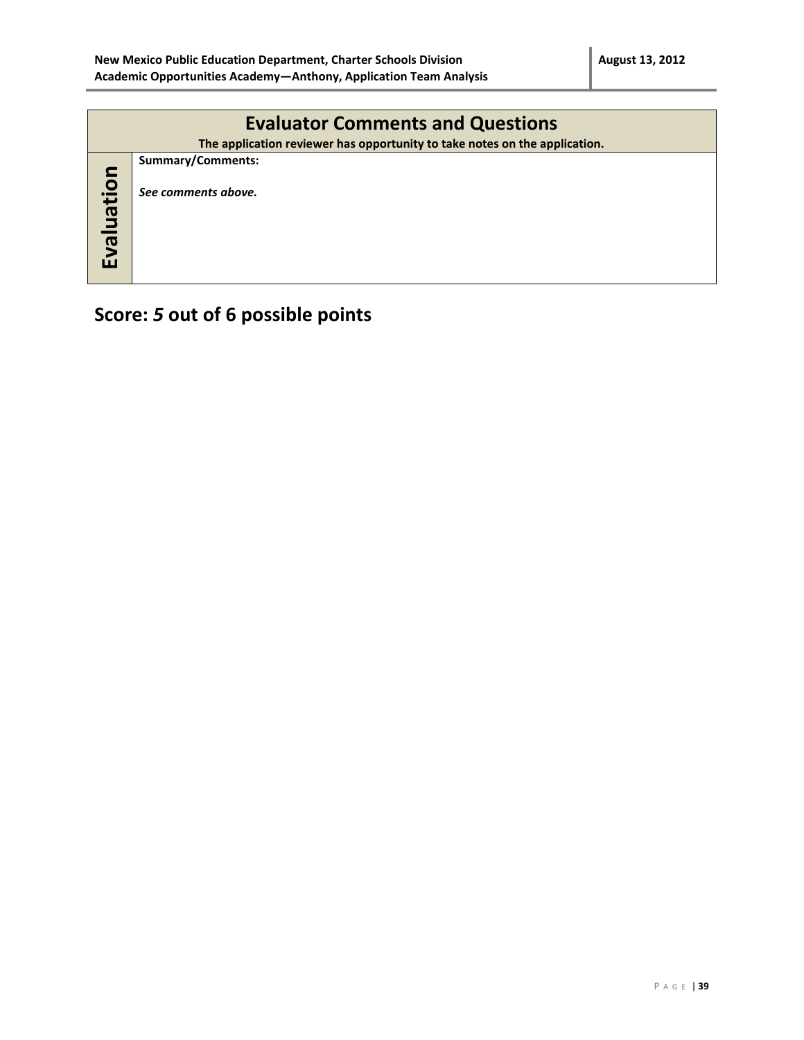|            | <b>Evaluator Comments and Questions</b>                                    |
|------------|----------------------------------------------------------------------------|
|            | The application reviewer has opportunity to take notes on the application. |
|            | <b>Summary/Comments:</b>                                                   |
| Evaluation | See comments above.                                                        |

# **Score:** *5* **out of 6 possible points**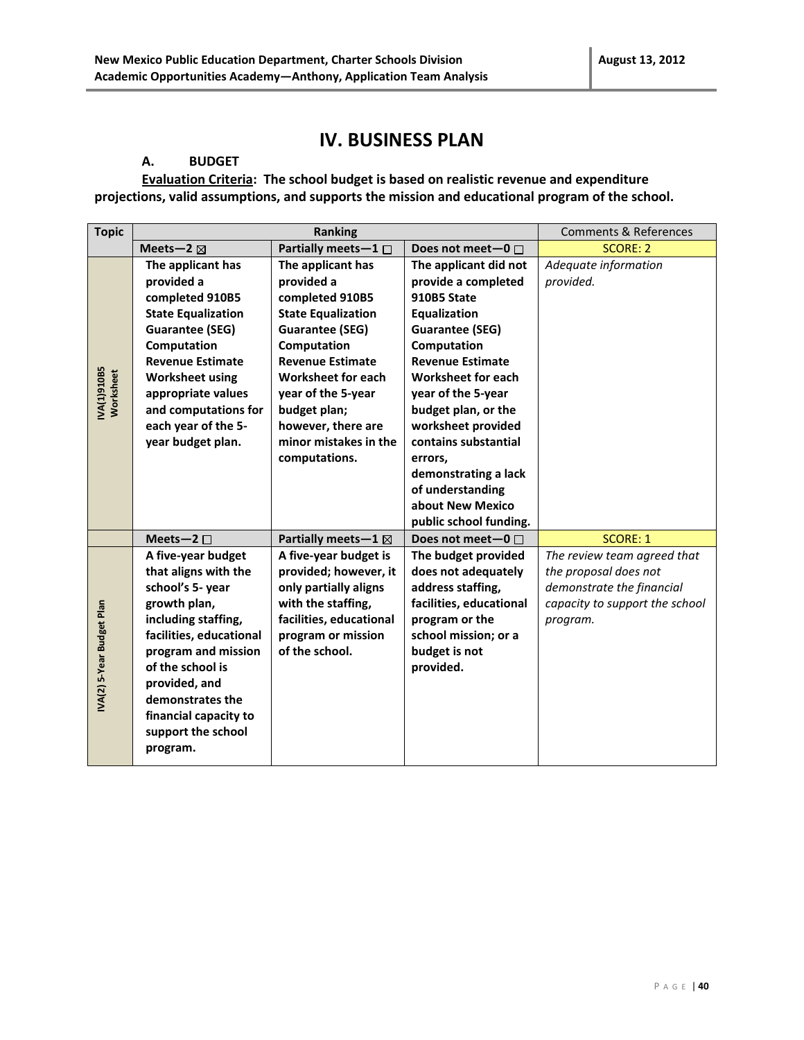### **IV. BUSINESS PLAN**

#### **A. BUDGET**

**Evaluation Criteria: The school budget is based on realistic revenue and expenditure projections, valid assumptions, and supports the mission and educational program of the school.**

| <b>Topic</b>                   |                                            | <b>Ranking</b>            |                           | <b>Comments &amp; References</b> |
|--------------------------------|--------------------------------------------|---------------------------|---------------------------|----------------------------------|
|                                | Partially meets-1 □<br>Meets-2 $\boxtimes$ |                           | Does not meet-0 □         | <b>SCORE: 2</b>                  |
|                                | The applicant has                          | The applicant has         | The applicant did not     | Adequate information             |
|                                | provided a                                 | provided a                | provide a completed       | provided.                        |
|                                | completed 910B5                            | completed 910B5           | 910B5 State               |                                  |
|                                | <b>State Equalization</b>                  | <b>State Equalization</b> | Equalization              |                                  |
|                                | <b>Guarantee (SEG)</b>                     | <b>Guarantee (SEG)</b>    | <b>Guarantee (SEG)</b>    |                                  |
|                                | Computation                                | Computation               | Computation               |                                  |
|                                | <b>Revenue Estimate</b>                    | <b>Revenue Estimate</b>   | <b>Revenue Estimate</b>   |                                  |
| <b>NA(1)910B5</b><br>Worksheet | <b>Worksheet using</b>                     | <b>Worksheet for each</b> | <b>Worksheet for each</b> |                                  |
|                                | appropriate values                         | year of the 5-year        | year of the 5-year        |                                  |
|                                | and computations for                       | budget plan;              | budget plan, or the       |                                  |
|                                | each year of the 5-                        | however, there are        | worksheet provided        |                                  |
|                                | year budget plan.                          | minor mistakes in the     | contains substantial      |                                  |
|                                |                                            | computations.             | errors,                   |                                  |
|                                |                                            |                           | demonstrating a lack      |                                  |
|                                |                                            |                           | of understanding          |                                  |
|                                |                                            |                           | about New Mexico          |                                  |
|                                |                                            |                           | public school funding.    |                                  |
|                                | Meets-2 $\square$                          | Partially meets-1 ⊠       | Does not meet-0 □         | <b>SCORE: 1</b>                  |
|                                | A five-year budget                         | A five-year budget is     | The budget provided       | The review team agreed that      |
|                                | that aligns with the                       | provided; however, it     | does not adequately       | the proposal does not            |
|                                | school's 5- year                           | only partially aligns     | address staffing,         | demonstrate the financial        |
|                                | growth plan,                               | with the staffing,        | facilities, educational   | capacity to support the school   |
|                                | including staffing,                        | facilities, educational   | program or the            | program.                         |
|                                | facilities, educational                    | program or mission        | school mission; or a      |                                  |
| IVA(2) 5-Year Budget Plan      | program and mission                        | of the school.            | budget is not             |                                  |
|                                | of the school is                           |                           | provided.                 |                                  |
|                                | provided, and                              |                           |                           |                                  |
|                                | demonstrates the                           |                           |                           |                                  |
|                                | financial capacity to                      |                           |                           |                                  |
|                                | support the school                         |                           |                           |                                  |
|                                | program.                                   |                           |                           |                                  |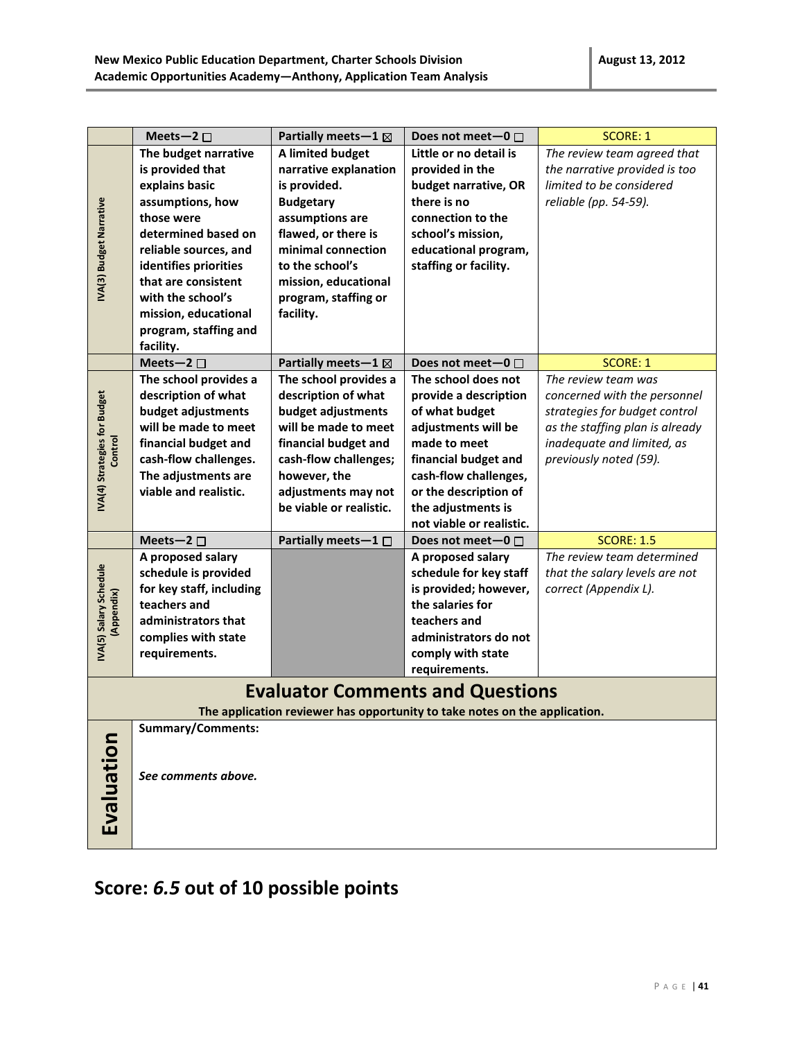|                                         | Meets-2 $\square$                                                                                                                                                                                                                                                               | Partially meets-1 $\boxtimes$                                                                                                                                                                                                 | Does not meet-0 $\Box$                                                                                                                                                                                                            | <b>SCORE: 1</b>                                                                                                                                                                 |
|-----------------------------------------|---------------------------------------------------------------------------------------------------------------------------------------------------------------------------------------------------------------------------------------------------------------------------------|-------------------------------------------------------------------------------------------------------------------------------------------------------------------------------------------------------------------------------|-----------------------------------------------------------------------------------------------------------------------------------------------------------------------------------------------------------------------------------|---------------------------------------------------------------------------------------------------------------------------------------------------------------------------------|
| IVA(3) Budget Narrative                 | The budget narrative<br>is provided that<br>explains basic<br>assumptions, how<br>those were<br>determined based on<br>reliable sources, and<br>identifies priorities<br>that are consistent<br>with the school's<br>mission, educational<br>program, staffing and<br>facility. | A limited budget<br>narrative explanation<br>is provided.<br><b>Budgetary</b><br>assumptions are<br>flawed, or there is<br>minimal connection<br>to the school's<br>mission, educational<br>program, staffing or<br>facility. | Little or no detail is<br>provided in the<br>budget narrative, OR<br>there is no<br>connection to the<br>school's mission,<br>educational program,<br>staffing or facility.                                                       | The review team agreed that<br>the narrative provided is too<br>limited to be considered<br>reliable (pp. 54-59).                                                               |
|                                         | Meets-2 $\square$                                                                                                                                                                                                                                                               | Partially meets - $1 \boxtimes$                                                                                                                                                                                               | Does not meet-0 $\Box$                                                                                                                                                                                                            | <b>SCORE: 1</b>                                                                                                                                                                 |
| IVA(4) Strategies for Budget<br>Control | The school provides a<br>description of what<br>budget adjustments<br>will be made to meet<br>financial budget and<br>cash-flow challenges.<br>The adjustments are<br>viable and realistic.                                                                                     | The school provides a<br>description of what<br>budget adjustments<br>will be made to meet<br>financial budget and<br>cash-flow challenges;<br>however, the<br>adjustments may not<br>be viable or realistic.                 | The school does not<br>provide a description<br>of what budget<br>adjustments will be<br>made to meet<br>financial budget and<br>cash-flow challenges,<br>or the description of<br>the adjustments is<br>not viable or realistic. | The review team was<br>concerned with the personnel<br>strategies for budget control<br>as the staffing plan is already<br>inadequate and limited, as<br>previously noted (59). |
|                                         | Meets-2 $\square$                                                                                                                                                                                                                                                               | Partially meets-1 □                                                                                                                                                                                                           | Does not meet-0 □                                                                                                                                                                                                                 | <b>SCORE: 1.5</b>                                                                                                                                                               |
| IVA(5) Salary Schedule<br>(Appendix)    | A proposed salary<br>schedule is provided<br>for key staff, including<br>teachers and<br>administrators that<br>complies with state<br>requirements.                                                                                                                            |                                                                                                                                                                                                                               | A proposed salary<br>schedule for key staff<br>is provided; however,<br>the salaries for<br>teachers and<br>administrators do not<br>comply with state<br>requirements.                                                           | The review team determined<br>that the salary levels are not<br>correct (Appendix L).                                                                                           |
|                                         |                                                                                                                                                                                                                                                                                 |                                                                                                                                                                                                                               | <b>Evaluator Comments and Questions</b>                                                                                                                                                                                           |                                                                                                                                                                                 |
|                                         |                                                                                                                                                                                                                                                                                 |                                                                                                                                                                                                                               | The application reviewer has opportunity to take notes on the application.                                                                                                                                                        |                                                                                                                                                                                 |
| Evaluation                              | <b>Summary/Comments:</b><br>See comments above.                                                                                                                                                                                                                                 |                                                                                                                                                                                                                               |                                                                                                                                                                                                                                   |                                                                                                                                                                                 |

# **Score:** *6.5* **out of 10 possible points**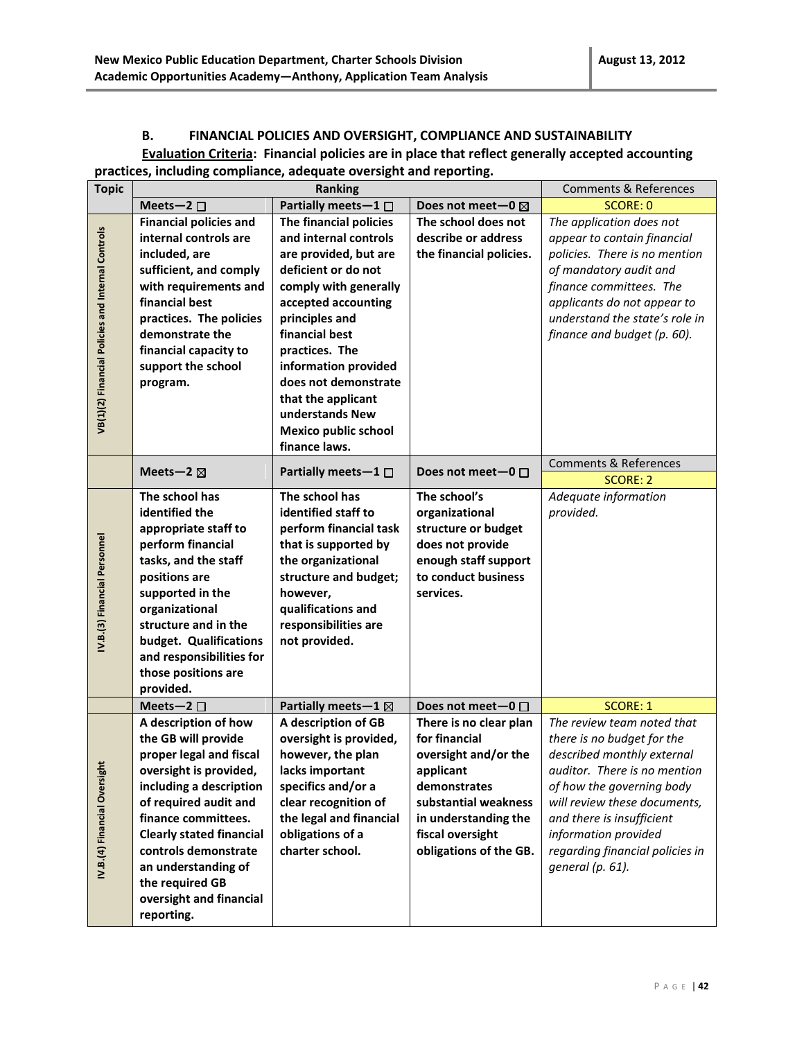#### **B. FINANCIAL POLICIES AND OVERSIGHT, COMPLIANCE AND SUSTAINABILITY Evaluation Criteria: Financial policies are in place that reflect generally accepted accounting practices, including compliance, adequate oversight and reporting.**

| <b>Topic</b>                                      |                                              | <b>Ranking</b>                                  |                                          | <b>Comments &amp; References</b>                          |
|---------------------------------------------------|----------------------------------------------|-------------------------------------------------|------------------------------------------|-----------------------------------------------------------|
|                                                   | Meets-2 $\square$                            | Partially meets-1 $\Box$                        | Does not meet-0 $\boxtimes$              | SCORF: 0                                                  |
|                                                   | <b>Financial policies and</b>                | The financial policies                          | The school does not                      | The application does not                                  |
| VB(1)(2) Financial Policies and Internal Controls | internal controls are                        | and internal controls                           | describe or address                      | appear to contain financial                               |
|                                                   | included, are                                | are provided, but are                           | the financial policies.                  | policies. There is no mention                             |
|                                                   | sufficient, and comply                       | deficient or do not                             |                                          | of mandatory audit and                                    |
|                                                   | with requirements and                        | comply with generally                           |                                          | finance committees. The                                   |
|                                                   | financial best                               | accepted accounting                             |                                          | applicants do not appear to                               |
|                                                   | practices. The policies                      | principles and                                  |                                          | understand the state's role in                            |
|                                                   | demonstrate the                              | financial best                                  |                                          | finance and budget (p. 60).                               |
|                                                   | financial capacity to                        | practices. The                                  |                                          |                                                           |
|                                                   | support the school                           | information provided                            |                                          |                                                           |
|                                                   | program.                                     | does not demonstrate                            |                                          |                                                           |
|                                                   |                                              | that the applicant                              |                                          |                                                           |
|                                                   |                                              | understands New                                 |                                          |                                                           |
|                                                   |                                              | <b>Mexico public school</b>                     |                                          |                                                           |
|                                                   |                                              | finance laws.                                   |                                          |                                                           |
|                                                   |                                              |                                                 | Does not meet-0 □                        | <b>Comments &amp; References</b>                          |
|                                                   | Meets-2 $\boxtimes$                          | Partially meets $-1$ $\Box$                     |                                          | <b>SCORE: 2</b>                                           |
|                                                   | The school has                               | The school has                                  | The school's                             | Adequate information                                      |
|                                                   | identified the                               | identified staff to                             | organizational                           | provided.                                                 |
|                                                   | appropriate staff to                         | perform financial task                          | structure or budget                      |                                                           |
|                                                   | perform financial                            | that is supported by                            | does not provide                         |                                                           |
|                                                   | tasks, and the staff                         | the organizational                              | enough staff support                     |                                                           |
|                                                   | positions are                                | structure and budget;                           | to conduct business                      |                                                           |
| IV.B.(3) Financial Personnel                      | supported in the                             | however,                                        | services.                                |                                                           |
|                                                   | organizational                               | qualifications and                              |                                          |                                                           |
|                                                   | structure and in the                         | responsibilities are                            |                                          |                                                           |
|                                                   | budget. Qualifications                       | not provided.                                   |                                          |                                                           |
|                                                   | and responsibilities for                     |                                                 |                                          |                                                           |
|                                                   | those positions are                          |                                                 |                                          |                                                           |
|                                                   | provided.                                    |                                                 |                                          |                                                           |
|                                                   | Meets-2 $\square$                            | Partially meets-1 $\boxtimes$                   | Does not meet-0 $\Box$                   | SCORE: 1                                                  |
|                                                   | A description of how                         | A description of GB                             | There is no clear plan                   | The review team noted that                                |
|                                                   | the GB will provide                          | oversight is provided,                          | for financial                            | there is no budget for the                                |
|                                                   | proper legal and fiscal                      | however, the plan                               | oversight and/or the                     | described monthly external                                |
|                                                   | oversight is provided,                       | lacks important                                 | applicant                                | auditor. There is no mention                              |
|                                                   | including a description                      | specifics and/or a                              | demonstrates                             | of how the governing body<br>will review these documents, |
|                                                   | of required audit and<br>finance committees. | clear recognition of<br>the legal and financial | substantial weakness                     |                                                           |
| IV.B.(4) Financial Oversight                      | <b>Clearly stated financial</b>              | obligations of a                                | in understanding the<br>fiscal oversight | and there is insufficient<br>information provided         |
|                                                   | controls demonstrate                         | charter school.                                 | obligations of the GB.                   | regarding financial policies in                           |
|                                                   | an understanding of                          |                                                 |                                          | general (p. 61).                                          |
|                                                   | the required GB                              |                                                 |                                          |                                                           |
|                                                   | oversight and financial                      |                                                 |                                          |                                                           |
|                                                   |                                              |                                                 |                                          |                                                           |
|                                                   | reporting.                                   |                                                 |                                          |                                                           |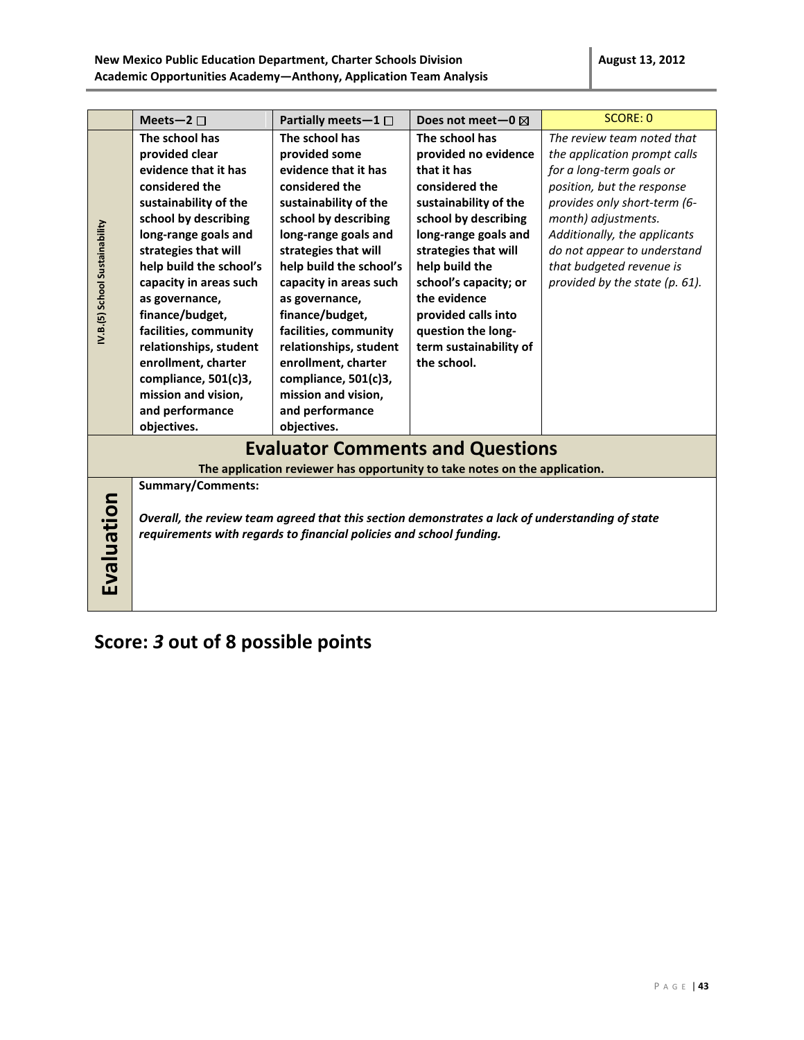|                                      | Meets-2 $\square$                                                   | Partially meets-1 $\Box$                                                                        | Does not meet-0 ⊠      | <b>SCORE: 0</b>                |  |
|--------------------------------------|---------------------------------------------------------------------|-------------------------------------------------------------------------------------------------|------------------------|--------------------------------|--|
|                                      | The school has                                                      | The school has                                                                                  | The school has         | The review team noted that     |  |
|                                      | provided clear                                                      | provided some                                                                                   | provided no evidence   | the application prompt calls   |  |
|                                      | evidence that it has                                                | evidence that it has                                                                            | that it has            | for a long-term goals or       |  |
|                                      | considered the                                                      | considered the                                                                                  | considered the         | position, but the response     |  |
|                                      | sustainability of the                                               | sustainability of the                                                                           | sustainability of the  | provides only short-term (6-   |  |
|                                      | school by describing                                                | school by describing                                                                            | school by describing   | month) adjustments.            |  |
|                                      | long-range goals and                                                | long-range goals and                                                                            | long-range goals and   | Additionally, the applicants   |  |
|                                      | strategies that will                                                | strategies that will                                                                            | strategies that will   | do not appear to understand    |  |
|                                      | help build the school's                                             | help build the school's                                                                         | help build the         | that budgeted revenue is       |  |
|                                      | capacity in areas such                                              | capacity in areas such                                                                          | school's capacity; or  | provided by the state (p. 61). |  |
|                                      | as governance,                                                      | as governance,                                                                                  | the evidence           |                                |  |
| <b>N.B.(5)</b> School Sustainability | finance/budget,                                                     | finance/budget,                                                                                 | provided calls into    |                                |  |
|                                      | facilities, community                                               | facilities, community                                                                           | question the long-     |                                |  |
|                                      | relationships, student                                              | relationships, student                                                                          | term sustainability of |                                |  |
|                                      | enrollment, charter                                                 | enrollment, charter                                                                             | the school.            |                                |  |
|                                      | compliance, 501(c)3,                                                | compliance, 501(c)3,                                                                            |                        |                                |  |
|                                      | mission and vision,                                                 | mission and vision,                                                                             |                        |                                |  |
|                                      | and performance                                                     | and performance                                                                                 |                        |                                |  |
|                                      | objectives.                                                         | objectives.                                                                                     |                        |                                |  |
|                                      |                                                                     | <b>Evaluator Comments and Questions</b>                                                         |                        |                                |  |
|                                      |                                                                     |                                                                                                 |                        |                                |  |
|                                      |                                                                     | The application reviewer has opportunity to take notes on the application.                      |                        |                                |  |
|                                      | <b>Summary/Comments:</b>                                            |                                                                                                 |                        |                                |  |
| Evaluation                           |                                                                     |                                                                                                 |                        |                                |  |
|                                      |                                                                     | Overall, the review team agreed that this section demonstrates a lack of understanding of state |                        |                                |  |
|                                      | requirements with regards to financial policies and school funding. |                                                                                                 |                        |                                |  |
|                                      |                                                                     |                                                                                                 |                        |                                |  |
|                                      |                                                                     |                                                                                                 |                        |                                |  |
|                                      |                                                                     |                                                                                                 |                        |                                |  |
|                                      |                                                                     |                                                                                                 |                        |                                |  |

## **Score:** *3* **out of 8 possible points**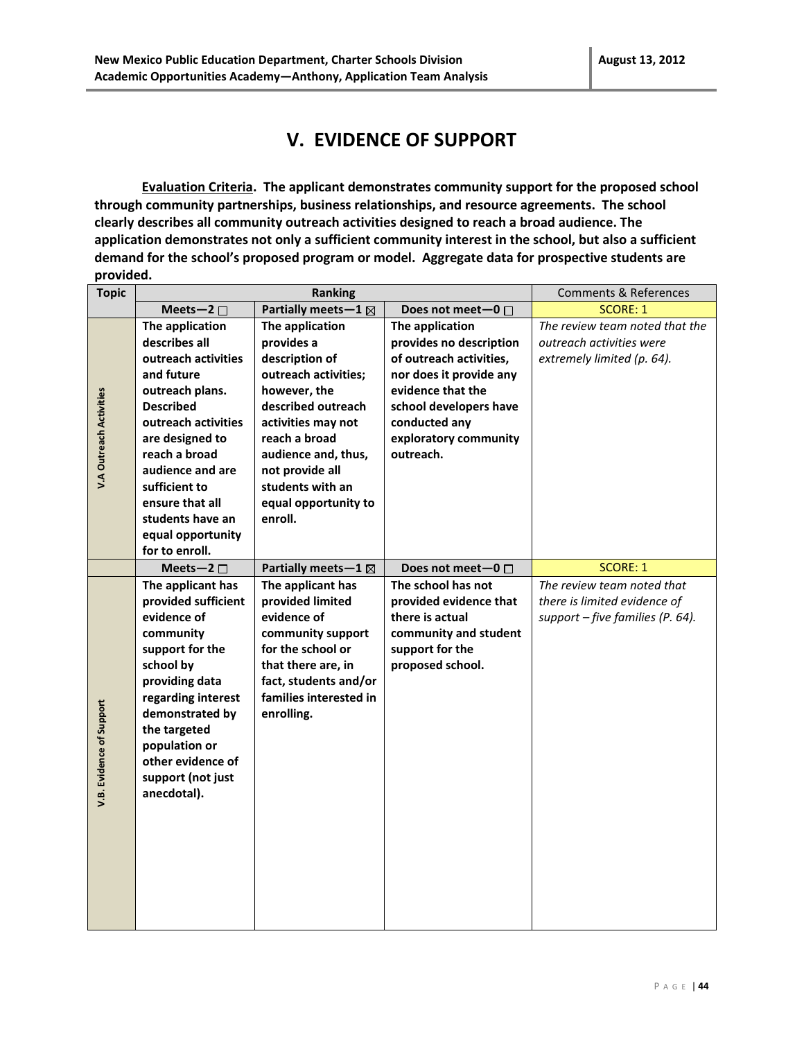### **V. EVIDENCE OF SUPPORT**

**Evaluation Criteria. The applicant demonstrates community support for the proposed school through community partnerships, business relationships, and resource agreements. The school clearly describes all community outreach activities designed to reach a broad audience. The application demonstrates not only a sufficient community interest in the school, but also a sufficient demand for the school's proposed program or model. Aggregate data for prospective students are provided.**

| <b>Topic</b>             |                                                                                                                                                                                                                                                                                            | <b>Ranking</b>                                                                                                                                                                                                                                        |                                                                                                                                                                                                        | <b>Comments &amp; References</b>                                                                 |
|--------------------------|--------------------------------------------------------------------------------------------------------------------------------------------------------------------------------------------------------------------------------------------------------------------------------------------|-------------------------------------------------------------------------------------------------------------------------------------------------------------------------------------------------------------------------------------------------------|--------------------------------------------------------------------------------------------------------------------------------------------------------------------------------------------------------|--------------------------------------------------------------------------------------------------|
|                          | Meets-2 $\square$                                                                                                                                                                                                                                                                          | Partially meets-1 ⊠                                                                                                                                                                                                                                   | Does not meet-0 □                                                                                                                                                                                      | <b>SCORE: 1</b>                                                                                  |
| V.A Outreach Activities  | The application<br>describes all<br>outreach activities<br>and future<br>outreach plans.<br><b>Described</b><br>outreach activities<br>are designed to<br>reach a broad<br>audience and are<br>sufficient to<br>ensure that all<br>students have an<br>equal opportunity<br>for to enroll. | The application<br>provides a<br>description of<br>outreach activities;<br>however, the<br>described outreach<br>activities may not<br>reach a broad<br>audience and, thus,<br>not provide all<br>students with an<br>equal opportunity to<br>enroll. | The application<br>provides no description<br>of outreach activities,<br>nor does it provide any<br>evidence that the<br>school developers have<br>conducted any<br>exploratory community<br>outreach. | The review team noted that the<br>outreach activities were<br>extremely limited (p. 64).         |
|                          | Meets-2 $\square$                                                                                                                                                                                                                                                                          | Partially meets - $1 \boxtimes$                                                                                                                                                                                                                       | Does not meet-0 □                                                                                                                                                                                      | <b>SCORE: 1</b>                                                                                  |
| V.B. Evidence of Support | The applicant has<br>provided sufficient<br>evidence of<br>community<br>support for the<br>school by<br>providing data<br>regarding interest<br>demonstrated by<br>the targeted<br>population or<br>other evidence of<br>support (not just<br>anecdotal).                                  | The applicant has<br>provided limited<br>evidence of<br>community support<br>for the school or<br>that there are, in<br>fact, students and/or<br>families interested in<br>enrolling.                                                                 | The school has not<br>provided evidence that<br>there is actual<br>community and student<br>support for the<br>proposed school.                                                                        | The review team noted that<br>there is limited evidence of<br>support $-$ five families (P. 64). |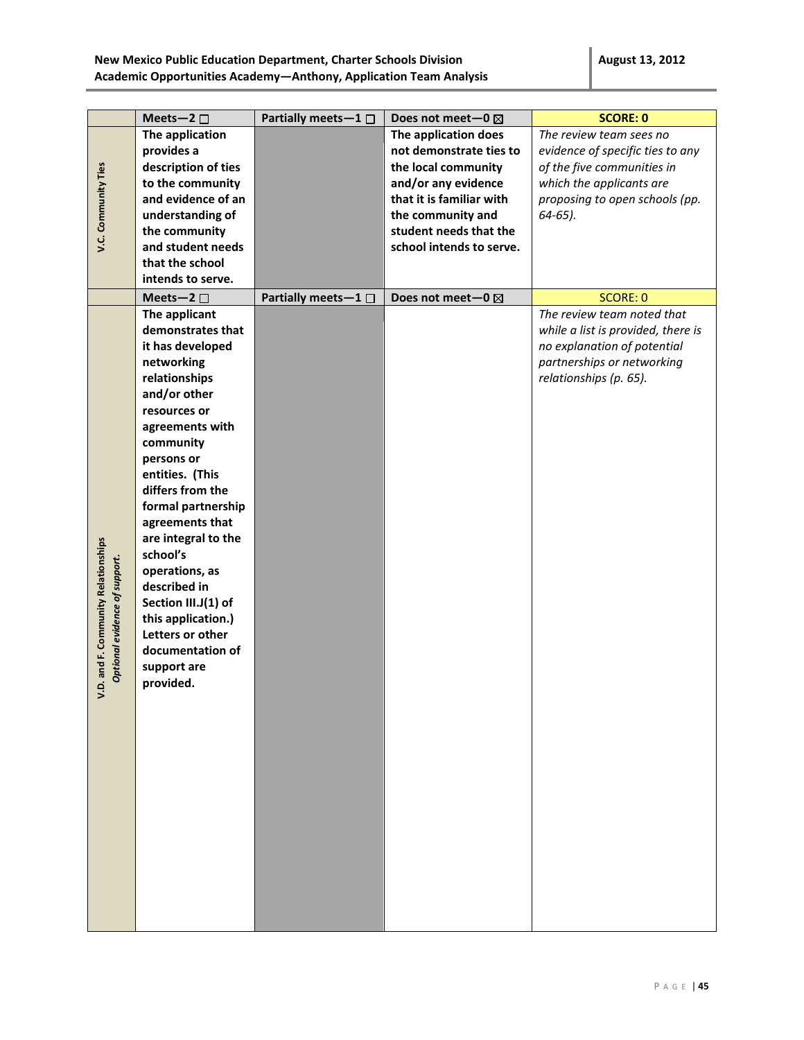|                                   | Meets-2 $\square$                 | Partially meets- $1 \Box$ | Does not meet-0 ⊠                           | <b>SCORE: 0</b>                    |
|-----------------------------------|-----------------------------------|---------------------------|---------------------------------------------|------------------------------------|
|                                   | The application                   |                           | The application does                        | The review team sees no            |
|                                   | provides a                        |                           | not demonstrate ties to                     | evidence of specific ties to any   |
| V.C. Community Ties               | description of ties               |                           | the local community                         | of the five communities in         |
|                                   | to the community                  |                           | and/or any evidence                         | which the applicants are           |
|                                   | and evidence of an                |                           | that it is familiar with                    | proposing to open schools (pp.     |
|                                   | understanding of<br>the community |                           | the community and<br>student needs that the | $64-65$ ).                         |
|                                   | and student needs                 |                           | school intends to serve.                    |                                    |
|                                   | that the school                   |                           |                                             |                                    |
|                                   | intends to serve.                 |                           |                                             |                                    |
|                                   | Meets-2 $\square$                 | Partially meets- $1 \Box$ | Does not meet-0 ⊠                           | <b>SCORE: 0</b>                    |
|                                   | The applicant                     |                           |                                             | The review team noted that         |
|                                   | demonstrates that                 |                           |                                             | while a list is provided, there is |
|                                   | it has developed                  |                           |                                             | no explanation of potential        |
|                                   | networking                        |                           |                                             | partnerships or networking         |
|                                   | relationships                     |                           |                                             | relationships (p. 65).             |
|                                   | and/or other                      |                           |                                             |                                    |
|                                   | resources or                      |                           |                                             |                                    |
|                                   | agreements with                   |                           |                                             |                                    |
|                                   | community                         |                           |                                             |                                    |
|                                   | persons or<br>entities. (This     |                           |                                             |                                    |
|                                   | differs from the                  |                           |                                             |                                    |
|                                   | formal partnership                |                           |                                             |                                    |
|                                   | agreements that                   |                           |                                             |                                    |
|                                   | are integral to the               |                           |                                             |                                    |
|                                   | school's                          |                           |                                             |                                    |
|                                   | operations, as                    |                           |                                             |                                    |
|                                   | described in                      |                           |                                             |                                    |
|                                   | Section III.J(1) of               |                           |                                             |                                    |
|                                   | this application.)                |                           |                                             |                                    |
|                                   | Letters or other                  |                           |                                             |                                    |
| Optional evidence of support.     | documentation of                  |                           |                                             |                                    |
| D. and F. Community Relationships | support are<br>provided.          |                           |                                             |                                    |
|                                   |                                   |                           |                                             |                                    |
|                                   |                                   |                           |                                             |                                    |
|                                   |                                   |                           |                                             |                                    |
|                                   |                                   |                           |                                             |                                    |
|                                   |                                   |                           |                                             |                                    |
|                                   |                                   |                           |                                             |                                    |
|                                   |                                   |                           |                                             |                                    |
|                                   |                                   |                           |                                             |                                    |
|                                   |                                   |                           |                                             |                                    |
|                                   |                                   |                           |                                             |                                    |
|                                   |                                   |                           |                                             |                                    |
|                                   |                                   |                           |                                             |                                    |
|                                   |                                   |                           |                                             |                                    |
|                                   |                                   |                           |                                             |                                    |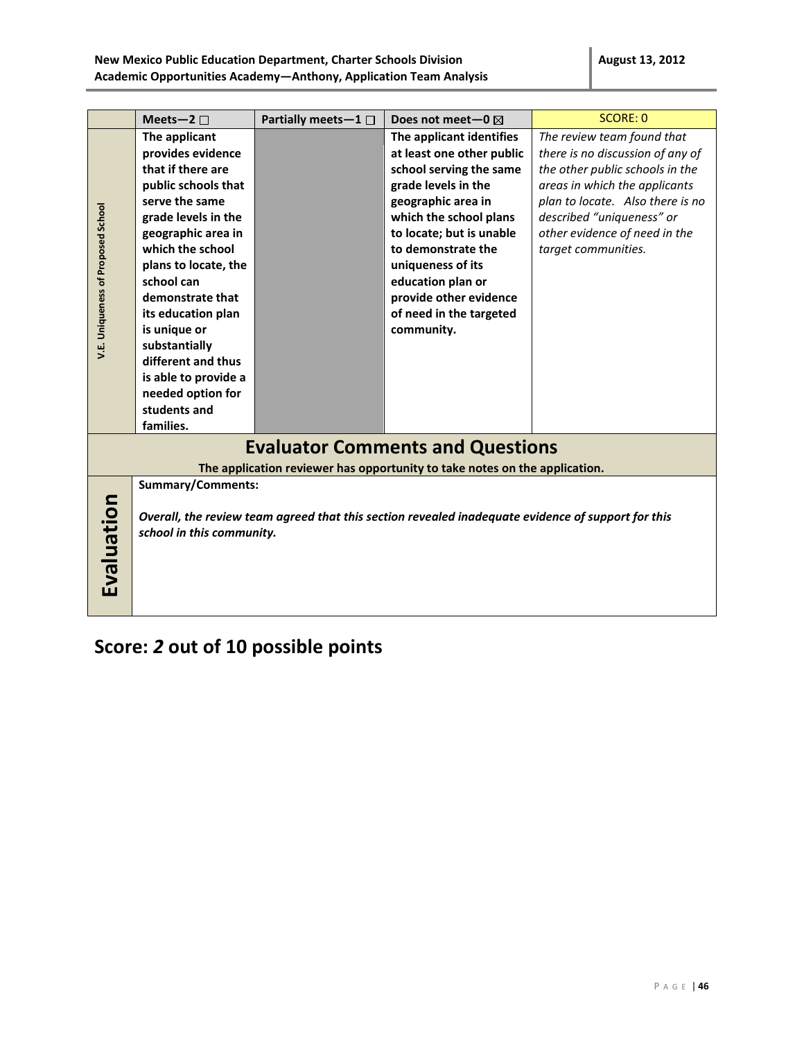|                                                                                                                                               | Meets-2 $\square$        | Partially meets-1 $\square$ | Does not meet-0 ⊠                                                          | <b>SCORE: 0</b>                  |
|-----------------------------------------------------------------------------------------------------------------------------------------------|--------------------------|-----------------------------|----------------------------------------------------------------------------|----------------------------------|
|                                                                                                                                               | The applicant            |                             | The applicant identifies                                                   | The review team found that       |
|                                                                                                                                               | provides evidence        |                             | at least one other public                                                  | there is no discussion of any of |
|                                                                                                                                               | that if there are        |                             | school serving the same                                                    | the other public schools in the  |
|                                                                                                                                               | public schools that      |                             | grade levels in the                                                        | areas in which the applicants    |
|                                                                                                                                               | serve the same           |                             | geographic area in                                                         | plan to locate. Also there is no |
|                                                                                                                                               | grade levels in the      |                             | which the school plans                                                     | described "uniqueness" or        |
|                                                                                                                                               | geographic area in       |                             | to locate; but is unable                                                   | other evidence of need in the    |
|                                                                                                                                               | which the school         |                             | to demonstrate the                                                         | target communities.              |
|                                                                                                                                               | plans to locate, the     |                             | uniqueness of its                                                          |                                  |
|                                                                                                                                               | school can               |                             | education plan or                                                          |                                  |
|                                                                                                                                               | demonstrate that         |                             | provide other evidence                                                     |                                  |
|                                                                                                                                               | its education plan       |                             | of need in the targeted                                                    |                                  |
| V.E. Uniqueness of Proposed School                                                                                                            | is unique or             |                             | community.                                                                 |                                  |
|                                                                                                                                               | substantially            |                             |                                                                            |                                  |
|                                                                                                                                               | different and thus       |                             |                                                                            |                                  |
|                                                                                                                                               | is able to provide a     |                             |                                                                            |                                  |
|                                                                                                                                               | needed option for        |                             |                                                                            |                                  |
|                                                                                                                                               | students and             |                             |                                                                            |                                  |
|                                                                                                                                               | families.                |                             |                                                                            |                                  |
|                                                                                                                                               |                          |                             | <b>Evaluator Comments and Questions</b>                                    |                                  |
|                                                                                                                                               |                          |                             | The application reviewer has opportunity to take notes on the application. |                                  |
|                                                                                                                                               | <b>Summary/Comments:</b> |                             |                                                                            |                                  |
|                                                                                                                                               |                          |                             |                                                                            |                                  |
|                                                                                                                                               |                          |                             |                                                                            |                                  |
| Evaluation<br>Overall, the review team agreed that this section revealed inadequate evidence of support for this<br>school in this community. |                          |                             |                                                                            |                                  |
|                                                                                                                                               |                          |                             |                                                                            |                                  |
|                                                                                                                                               |                          |                             |                                                                            |                                  |
|                                                                                                                                               |                          |                             |                                                                            |                                  |
|                                                                                                                                               |                          |                             |                                                                            |                                  |
|                                                                                                                                               |                          |                             |                                                                            |                                  |

# **Score:** *2* **out of 10 possible points**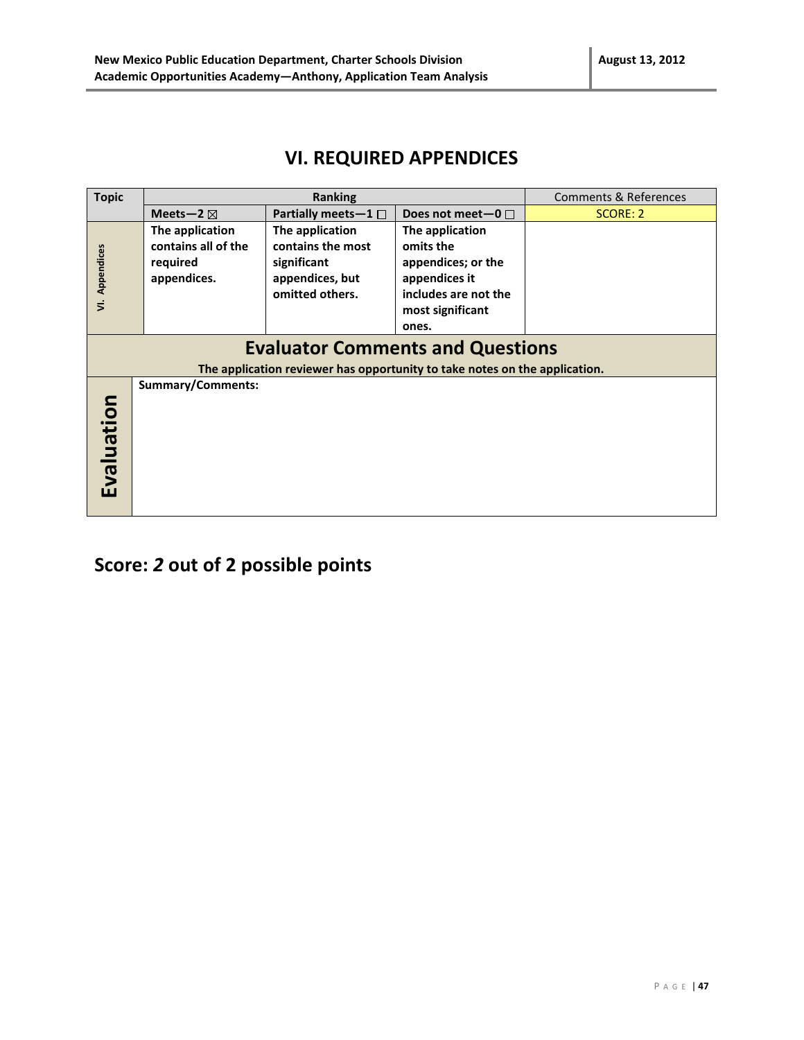### **VI. REQUIRED APPENDICES**

| <b>Topic</b>   |                          | <b>Ranking</b>                                                             |                        | <b>Comments &amp; References</b> |
|----------------|--------------------------|----------------------------------------------------------------------------|------------------------|----------------------------------|
|                | Meets-2 $\boxtimes$      | Partially meets $-1$ $\Box$                                                | Does not meet-0 $\Box$ | SCORE: 2                         |
|                | The application          | The application                                                            | The application        |                                  |
|                | contains all of the      | contains the most                                                          | omits the              |                                  |
| Appendices     | required                 | significant                                                                | appendices; or the     |                                  |
|                | appendices.              | appendices, but                                                            | appendices it          |                                  |
| $\overline{5}$ |                          | omitted others.                                                            | includes are not the   |                                  |
|                |                          |                                                                            | most significant       |                                  |
|                |                          |                                                                            | ones.                  |                                  |
|                |                          | <b>Evaluator Comments and Questions</b>                                    |                        |                                  |
|                |                          | The application reviewer has opportunity to take notes on the application. |                        |                                  |
|                | <b>Summary/Comments:</b> |                                                                            |                        |                                  |
|                |                          |                                                                            |                        |                                  |
|                |                          |                                                                            |                        |                                  |
|                |                          |                                                                            |                        |                                  |
|                |                          |                                                                            |                        |                                  |
|                |                          |                                                                            |                        |                                  |
|                |                          |                                                                            |                        |                                  |
|                |                          |                                                                            |                        |                                  |
| Evaluation     |                          |                                                                            |                        |                                  |

**Score:** *2* **out of 2 possible points**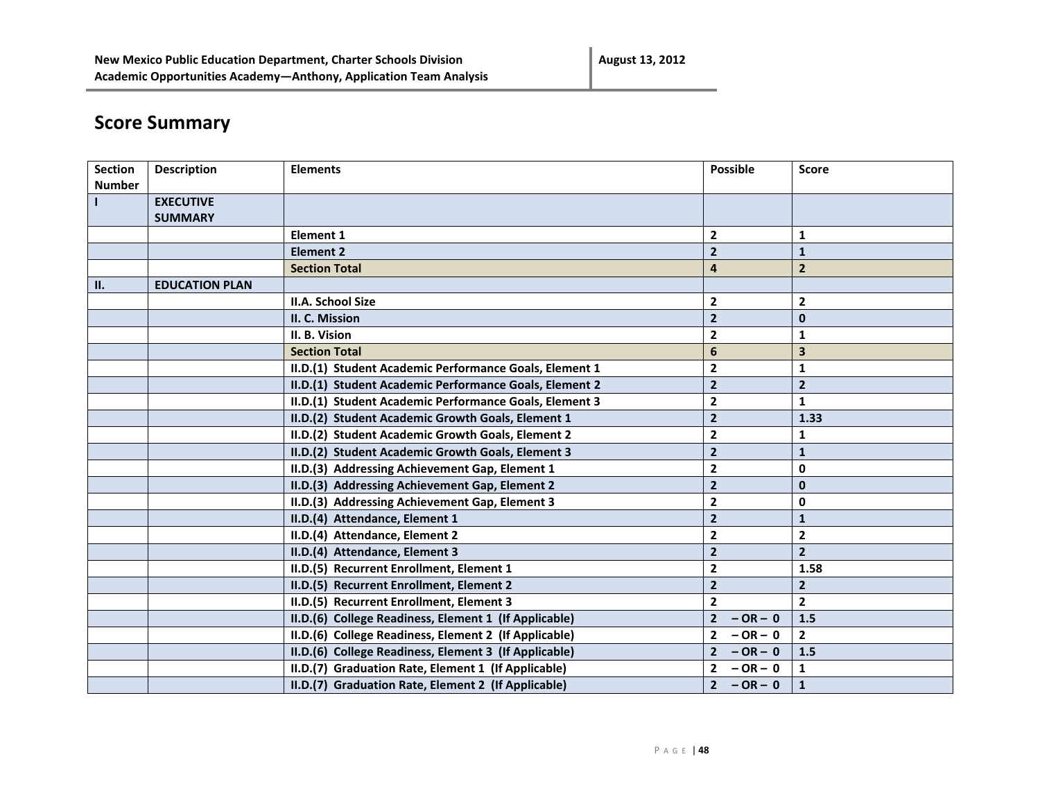# **Score Summary**

| <b>Section</b> | <b>Description</b>    | <b>Elements</b>                                        | <b>Possible</b>             | Score                   |
|----------------|-----------------------|--------------------------------------------------------|-----------------------------|-------------------------|
| <b>Number</b>  |                       |                                                        |                             |                         |
| $\mathbf{I}$   | <b>EXECUTIVE</b>      |                                                        |                             |                         |
|                | <b>SUMMARY</b>        |                                                        |                             |                         |
|                |                       | <b>Element 1</b>                                       | $\mathbf{2}$                | 1                       |
|                |                       | <b>Element 2</b>                                       | $\overline{2}$              | $\mathbf{1}$            |
|                |                       | <b>Section Total</b>                                   | $\overline{\mathbf{4}}$     | $\overline{2}$          |
| <b>II.</b>     | <b>EDUCATION PLAN</b> |                                                        |                             |                         |
|                |                       | <b>II.A. School Size</b>                               | $\overline{\mathbf{2}}$     | $\mathbf{2}$            |
|                |                       | II. C. Mission                                         | $\overline{2}$              | $\mathbf 0$             |
|                |                       | II. B. Vision                                          | $\overline{\mathbf{2}}$     | 1                       |
|                |                       | <b>Section Total</b>                                   | $6\phantom{1}6$             | 3                       |
|                |                       | II.D.(1) Student Academic Performance Goals, Element 1 | $\mathbf{2}$                | 1                       |
|                |                       | II.D.(1) Student Academic Performance Goals, Element 2 | $\overline{2}$              | $\mathbf{2}$            |
|                |                       | II.D.(1) Student Academic Performance Goals, Element 3 | $\overline{\mathbf{2}}$     | $\mathbf{1}$            |
|                |                       | II.D.(2) Student Academic Growth Goals, Element 1      | $\overline{\mathbf{2}}$     | 1.33                    |
|                |                       | II.D.(2) Student Academic Growth Goals, Element 2      | $\overline{\mathbf{2}}$     | 1                       |
|                |                       | II.D.(2) Student Academic Growth Goals, Element 3      | $\overline{2}$              | $\mathbf{1}$            |
|                |                       | II.D.(3) Addressing Achievement Gap, Element 1         | $\overline{\mathbf{2}}$     | 0                       |
|                |                       | II.D.(3) Addressing Achievement Gap, Element 2         | $\overline{2}$              | $\mathbf 0$             |
|                |                       | II.D.(3) Addressing Achievement Gap, Element 3         | $\overline{2}$              | 0                       |
|                |                       | II.D.(4) Attendance, Element 1                         | $\overline{2}$              | $\mathbf{1}$            |
|                |                       | II.D.(4) Attendance, Element 2                         | $\overline{\mathbf{2}}$     | $\overline{\mathbf{2}}$ |
|                |                       | II.D.(4) Attendance, Element 3                         | $\overline{2}$              | $\overline{2}$          |
|                |                       | II.D.(5) Recurrent Enrollment, Element 1               | $\overline{\mathbf{2}}$     | 1.58                    |
|                |                       | II.D.(5) Recurrent Enrollment, Element 2               | $\overline{2}$              | $\mathbf{2}$            |
|                |                       | II.D.(5) Recurrent Enrollment, Element 3               | $\overline{2}$              | $\mathbf{2}$            |
|                |                       | II.D.(6) College Readiness, Element 1 (If Applicable)  | $\overline{2}$<br>$-OR - 0$ | 1.5                     |
|                |                       | II.D.(6) College Readiness, Element 2 (If Applicable)  | $\overline{2}$<br>$-OR - 0$ | $\mathbf{2}$            |
|                |                       | II.D.(6) College Readiness, Element 3 (If Applicable)  | $\overline{2}$<br>$-OR - 0$ | 1.5                     |
|                |                       | II.D.(7) Graduation Rate, Element 1 (If Applicable)    | $-OR - 0$<br>$\overline{2}$ | $\mathbf{1}$            |
|                |                       | II.D.(7) Graduation Rate, Element 2 (If Applicable)    | $2 - OR - 0$                | $\mathbf{1}$            |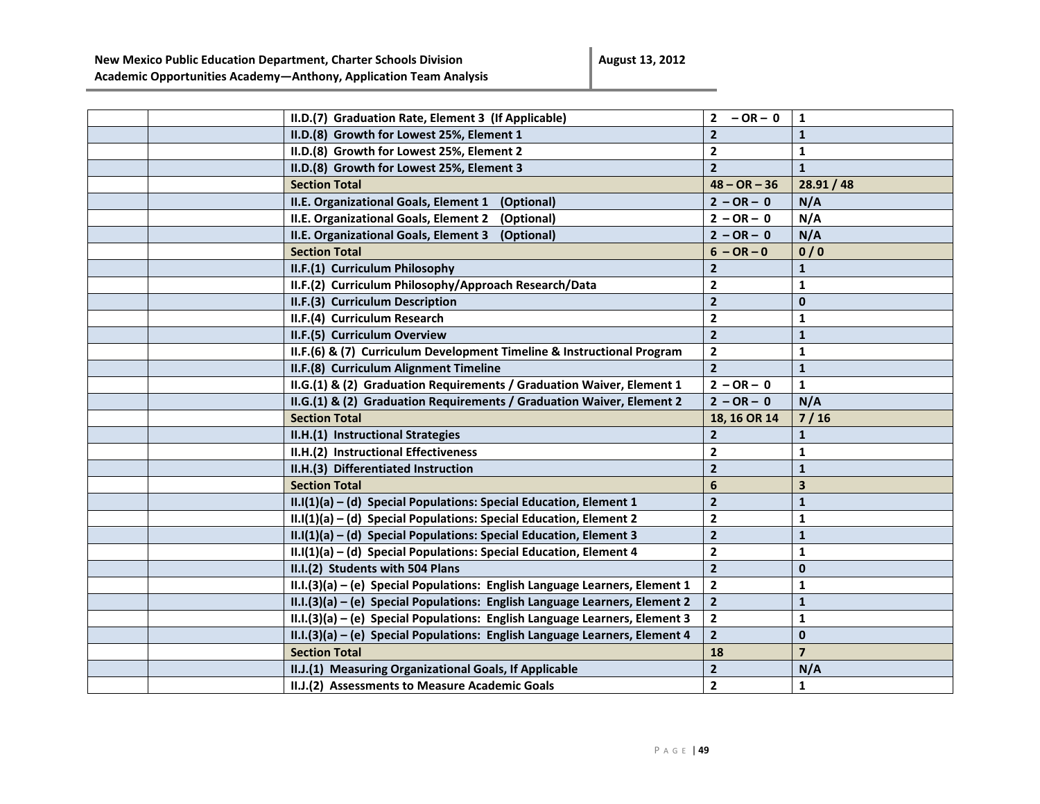|  | II.D.(7) Graduation Rate, Element 3 (If Applicable)                         | $-OR - 0$<br>$\mathbf{2}$ | $\mathbf{1}$   |
|--|-----------------------------------------------------------------------------|---------------------------|----------------|
|  | II.D.(8) Growth for Lowest 25%, Element 1                                   | $\overline{2}$            | $\mathbf{1}$   |
|  | II.D.(8) Growth for Lowest 25%, Element 2                                   | $\mathbf{2}$              | $\mathbf{1}$   |
|  | II.D.(8) Growth for Lowest 25%, Element 3                                   | $\overline{2}$            | $\mathbf{1}$   |
|  | <b>Section Total</b>                                                        | $48 - OR - 36$            | 28.91 / 48     |
|  | II.E. Organizational Goals, Element 1<br>(Optional)                         | $2 - OR - 0$              | N/A            |
|  | II.E. Organizational Goals, Element 2<br>(Optional)                         | $2 - OR - 0$              | N/A            |
|  | II.E. Organizational Goals, Element 3<br>(Optional)                         | $2 - OR - 0$              | N/A            |
|  | <b>Section Total</b>                                                        | $6 - OR - 0$              | 0/0            |
|  | II.F.(1) Curriculum Philosophy                                              | $\mathbf{2}$              | 1              |
|  | II.F.(2) Curriculum Philosophy/Approach Research/Data                       | $\mathbf{2}$              | $\mathbf{1}$   |
|  | II.F.(3) Curriculum Description                                             | $\mathbf{2}$              | $\mathbf 0$    |
|  | II.F.(4) Curriculum Research                                                | $\overline{\mathbf{2}}$   | $\mathbf{1}$   |
|  | II.F.(5) Curriculum Overview                                                | $\overline{2}$            | $\mathbf{1}$   |
|  | II.F.(6) & (7) Curriculum Development Timeline & Instructional Program      | $\mathbf{2}$              | $\mathbf{1}$   |
|  | II.F.(8) Curriculum Alignment Timeline                                      | $\overline{2}$            | $\mathbf{1}$   |
|  | II.G.(1) & (2) Graduation Requirements / Graduation Waiver, Element 1       | $2 - OR - 0$              | $\mathbf{1}$   |
|  | II.G.(1) & (2) Graduation Requirements / Graduation Waiver, Element 2       | $2 - OR - 0$              | N/A            |
|  | <b>Section Total</b>                                                        | 18, 16 OR 14              | $7/16$         |
|  | II.H.(1) Instructional Strategies                                           | $\overline{2}$            | $\mathbf{1}$   |
|  | II.H.(2) Instructional Effectiveness                                        | $\mathbf{2}$              | $\mathbf{1}$   |
|  | II.H.(3) Differentiated Instruction                                         | $\overline{2}$            | $\mathbf{1}$   |
|  | <b>Section Total</b>                                                        | 6                         | 3              |
|  | $II.I(1)(a) - (d)$ Special Populations: Special Education, Element 1        | $\overline{2}$            | $\mathbf{1}$   |
|  | $II.I(1)(a) - (d)$ Special Populations: Special Education, Element 2        | $\mathbf{2}$              | $\mathbf{1}$   |
|  | II.I(1)(a) - (d) Special Populations: Special Education, Element 3          | $\overline{2}$            | $\mathbf{1}$   |
|  | II.I(1)(a) - (d) Special Populations: Special Education, Element 4          | $\mathbf{2}$              | 1              |
|  | II.I.(2) Students with 504 Plans                                            | $\overline{2}$            | $\mathbf{0}$   |
|  | II.I.(3)(a) - (e) Special Populations: English Language Learners, Element 1 | $\overline{\mathbf{2}}$   | $\mathbf{1}$   |
|  | II.I.(3)(a) - (e) Special Populations: English Language Learners, Element 2 | $\overline{2}$            | $\mathbf{1}$   |
|  | II.I.(3)(a) - (e) Special Populations: English Language Learners, Element 3 | $\mathbf{2}$              | $\mathbf{1}$   |
|  | II.I.(3)(a) - (e) Special Populations: English Language Learners, Element 4 | $\overline{2}$            | $\mathbf 0$    |
|  | <b>Section Total</b>                                                        | 18                        | $\overline{7}$ |
|  | II.J.(1) Measuring Organizational Goals, If Applicable                      | $\mathbf{2}$              | N/A            |
|  | II.J.(2) Assessments to Measure Academic Goals                              | $\mathbf{2}$              | 1              |
|  |                                                                             |                           |                |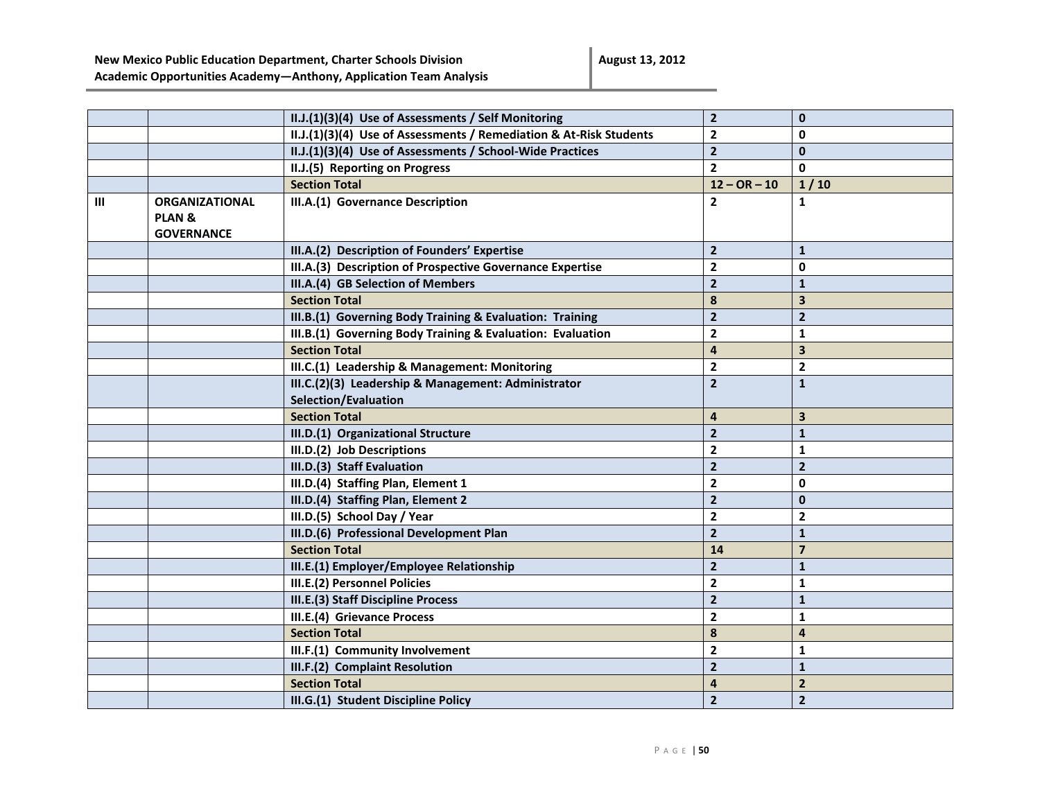|                |                       | II.J.(1)(3)(4) Use of Assessments / Self Monitoring                | $\overline{2}$          | $\mathbf 0$             |
|----------------|-----------------------|--------------------------------------------------------------------|-------------------------|-------------------------|
|                |                       | II.J.(1)(3)(4) Use of Assessments / Remediation & At-Risk Students | $\overline{2}$          | $\mathbf{0}$            |
|                |                       | II.J.(1)(3)(4) Use of Assessments / School-Wide Practices          | $\overline{\mathbf{2}}$ | $\mathbf{0}$            |
|                |                       | II.J.(5) Reporting on Progress                                     | $\overline{2}$          | $\mathbf{0}$            |
|                |                       | <b>Section Total</b>                                               | $12 - OR - 10$          | 1/10                    |
| $\mathbf{III}$ | <b>ORGANIZATIONAL</b> | III.A.(1) Governance Description                                   | $\mathbf{2}$            | $\mathbf{1}$            |
|                | <b>PLAN &amp;</b>     |                                                                    |                         |                         |
|                | <b>GOVERNANCE</b>     |                                                                    |                         |                         |
|                |                       | III.A.(2) Description of Founders' Expertise                       | $\overline{2}$          | $\mathbf{1}$            |
|                |                       | III.A.(3) Description of Prospective Governance Expertise          | $\mathbf{2}$            | 0                       |
|                |                       | III.A.(4) GB Selection of Members                                  | $\overline{2}$          | $\mathbf{1}$            |
|                |                       | <b>Section Total</b>                                               | 8                       | $\overline{\mathbf{3}}$ |
|                |                       | III.B.(1) Governing Body Training & Evaluation: Training           | $\overline{2}$          | $\overline{2}$          |
|                |                       | III.B.(1) Governing Body Training & Evaluation: Evaluation         | $\mathbf{2}$            | $\mathbf{1}$            |
|                |                       | <b>Section Total</b>                                               | $\overline{4}$          | $\overline{\mathbf{3}}$ |
|                |                       | III.C.(1) Leadership & Management: Monitoring                      | $\mathbf{2}$            | $\mathbf{2}$            |
|                |                       | III.C.(2)(3) Leadership & Management: Administrator                | $\overline{2}$          | $\mathbf{1}$            |
|                |                       | Selection/Evaluation                                               |                         |                         |
|                |                       | <b>Section Total</b>                                               | $\overline{4}$          | 3                       |
|                |                       | III.D.(1) Organizational Structure                                 | $\mathbf{2}$            | $\mathbf{1}$            |
|                |                       | III.D.(2) Job Descriptions                                         | $\mathbf{2}$            | $\mathbf{1}$            |
|                |                       | III.D.(3) Staff Evaluation                                         | $\overline{2}$          | $\mathbf{2}$            |
|                |                       | III.D.(4) Staffing Plan, Element 1                                 | $\mathbf{2}$            | 0                       |
|                |                       | III.D.(4) Staffing Plan, Element 2                                 | $\overline{2}$          | $\mathbf{0}$            |
|                |                       | III.D.(5) School Day / Year                                        | $\mathbf{2}$            | $\mathbf{2}$            |
|                |                       | III.D.(6) Professional Development Plan                            | $\overline{2}$          | $\mathbf{1}$            |
|                |                       | <b>Section Total</b>                                               | 14                      | $\overline{\mathbf{z}}$ |
|                |                       | III.E.(1) Employer/Employee Relationship                           | $\overline{2}$          | $\mathbf{1}$            |
|                |                       | III.E.(2) Personnel Policies                                       | $\overline{\mathbf{2}}$ | $\mathbf{1}$            |
|                |                       | III.E.(3) Staff Discipline Process                                 | $\overline{2}$          | $\mathbf{1}$            |
|                |                       | III.E.(4) Grievance Process                                        | $\mathbf{2}$            | $\mathbf{1}$            |
|                |                       | <b>Section Total</b>                                               | 8                       | $\overline{\mathbf{4}}$ |
|                |                       | III.F.(1) Community Involvement                                    | $\mathbf{2}$            | $\mathbf{1}$            |
|                |                       | III.F.(2) Complaint Resolution                                     | $\overline{2}$          | $\mathbf{1}$            |
|                |                       | <b>Section Total</b>                                               | 4                       | $\overline{2}$          |
|                |                       | III.G.(1) Student Discipline Policy                                | $\overline{2}$          | $\overline{2}$          |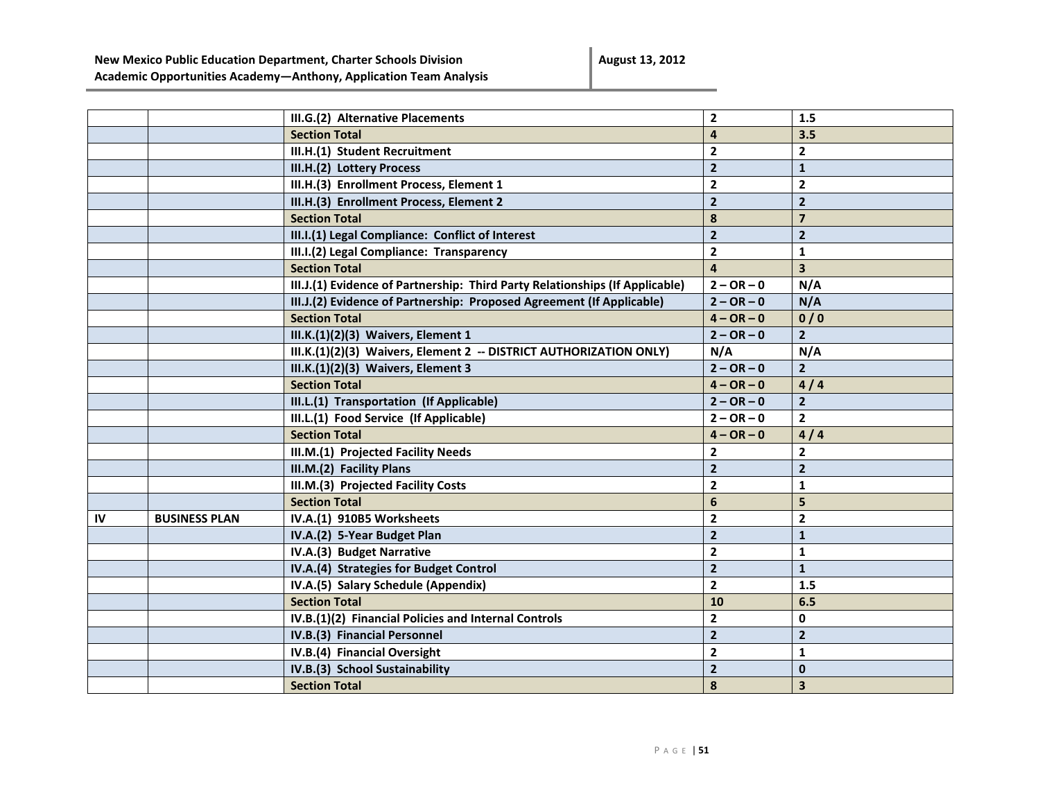|    |                      | III.G.(2) Alternative Placements                                             | $\overline{2}$          | 1.5                     |
|----|----------------------|------------------------------------------------------------------------------|-------------------------|-------------------------|
|    |                      | <b>Section Total</b>                                                         | 4                       | 3.5                     |
|    |                      | III.H.(1) Student Recruitment                                                | $\overline{2}$          | $\overline{2}$          |
|    |                      | III.H.(2) Lottery Process                                                    | $\overline{2}$          | $\mathbf{1}$            |
|    |                      | III.H.(3) Enrollment Process, Element 1                                      | $\overline{2}$          | $\overline{2}$          |
|    |                      | III.H.(3) Enrollment Process, Element 2                                      | $\overline{2}$          | $\overline{\mathbf{2}}$ |
|    |                      | <b>Section Total</b>                                                         | 8                       | $\overline{\mathbf{z}}$ |
|    |                      | III.I.(1) Legal Compliance: Conflict of Interest                             | $\overline{2}$          | $\overline{2}$          |
|    |                      | III.I.(2) Legal Compliance: Transparency                                     | $\overline{2}$          | $\mathbf{1}$            |
|    |                      | <b>Section Total</b>                                                         | $\overline{\mathbf{4}}$ | $\overline{\mathbf{3}}$ |
|    |                      | III.J.(1) Evidence of Partnership: Third Party Relationships (If Applicable) | $2 - OR - 0$            | N/A                     |
|    |                      | III.J.(2) Evidence of Partnership: Proposed Agreement (If Applicable)        | $2 - OR - 0$            | N/A                     |
|    |                      | <b>Section Total</b>                                                         | $4 - OR - 0$            | 0/0                     |
|    |                      | III.K.(1)(2)(3) Waivers, Element 1                                           | $2 - OR - 0$            | $\overline{2}$          |
|    |                      | III.K.(1)(2)(3) Waivers, Element 2 -- DISTRICT AUTHORIZATION ONLY)           | N/A                     | N/A                     |
|    |                      | III.K.(1)(2)(3) Waivers, Element 3                                           | $2 - OR - 0$            | $\overline{2}$          |
|    |                      | <b>Section Total</b>                                                         | $4 - OR - 0$            | 4/4                     |
|    |                      | III.L.(1) Transportation (If Applicable)                                     | $2 - OR - 0$            | $\mathbf{2}$            |
|    |                      | III.L.(1) Food Service (If Applicable)                                       | $2 - OR - 0$            | $\overline{2}$          |
|    |                      | <b>Section Total</b>                                                         | $4 - OR - 0$            | 4/4                     |
|    |                      | III.M.(1) Projected Facility Needs                                           | $\overline{2}$          | $\overline{2}$          |
|    |                      | III.M.(2) Facility Plans                                                     | $\overline{2}$          | $\overline{2}$          |
|    |                      | III.M.(3) Projected Facility Costs                                           | $\mathbf{2}$            | $\mathbf{1}$            |
|    |                      | <b>Section Total</b>                                                         | $6\phantom{1}6$         | 5                       |
| IV | <b>BUSINESS PLAN</b> | IV.A.(1) 910B5 Worksheets                                                    | $\overline{\mathbf{2}}$ | $\mathbf{2}$            |
|    |                      | IV.A.(2) 5-Year Budget Plan                                                  | $\overline{2}$          | $\mathbf{1}$            |
|    |                      | IV.A.(3) Budget Narrative                                                    | $\overline{2}$          | $\mathbf{1}$            |
|    |                      | IV.A.(4) Strategies for Budget Control                                       | $\overline{2}$          | $\mathbf{1}$            |
|    |                      | IV.A.(5) Salary Schedule (Appendix)                                          | $\overline{2}$          | 1.5                     |
|    |                      | <b>Section Total</b>                                                         | 10                      | 6.5                     |
|    |                      | IV.B.(1)(2) Financial Policies and Internal Controls                         | $\overline{2}$          | 0                       |
|    |                      | IV.B.(3) Financial Personnel                                                 | $\overline{2}$          | $\overline{2}$          |
|    |                      | IV.B.(4) Financial Oversight                                                 | $\overline{2}$          | 1                       |
|    |                      | IV.B.(3) School Sustainability                                               | $\overline{2}$          | $\mathbf{0}$            |
|    |                      | <b>Section Total</b>                                                         | 8                       | 3                       |